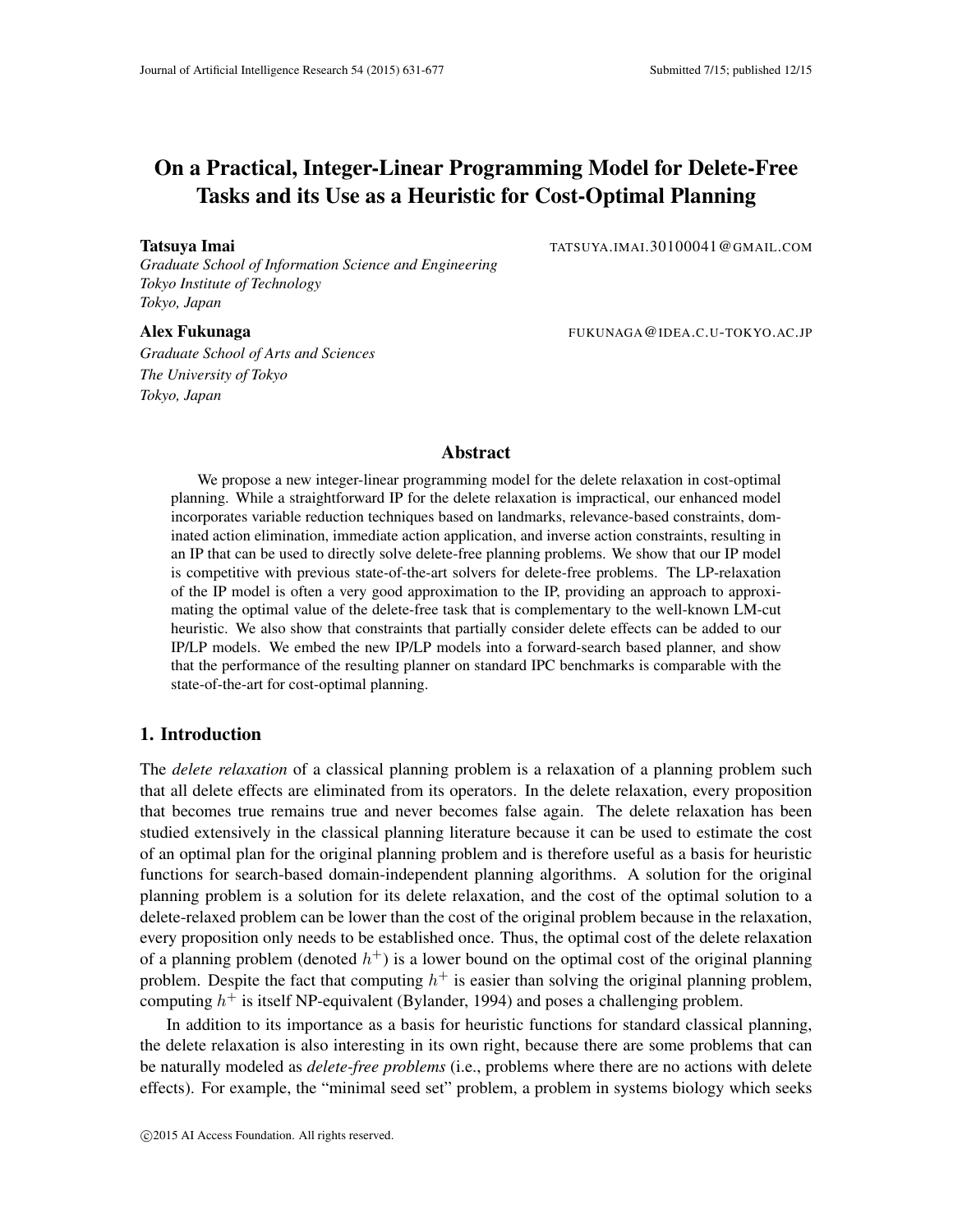# On a Practical, Integer-Linear Programming Model for Delete-Free Tasks and its Use as a Heuristic for Cost-Optimal Planning

*Graduate School of Information Science and Engineering Tokyo Institute of Technology Tokyo, Japan*

*Graduate School of Arts and Sciences The University of Tokyo Tokyo, Japan*

Tatsuya Imai Tatsuya Imai Tatsuya Imai Tatsuya Imai Tatsuya Imai Tatsuya Imai Tatsuya Imai Tatsuya Imai Tatsu

Alex Fukunaga Fukunaga FUKUNAGA@IDEA.C.U-TOKYO.AC.JP

## Abstract

We propose a new integer-linear programming model for the delete relaxation in cost-optimal planning. While a straightforward IP for the delete relaxation is impractical, our enhanced model incorporates variable reduction techniques based on landmarks, relevance-based constraints, dominated action elimination, immediate action application, and inverse action constraints, resulting in an IP that can be used to directly solve delete-free planning problems. We show that our IP model is competitive with previous state-of-the-art solvers for delete-free problems. The LP-relaxation of the IP model is often a very good approximation to the IP, providing an approach to approximating the optimal value of the delete-free task that is complementary to the well-known LM-cut heuristic. We also show that constraints that partially consider delete effects can be added to our IP/LP models. We embed the new IP/LP models into a forward-search based planner, and show that the performance of the resulting planner on standard IPC benchmarks is comparable with the state-of-the-art for cost-optimal planning.

## 1. Introduction

The *delete relaxation* of a classical planning problem is a relaxation of a planning problem such that all delete effects are eliminated from its operators. In the delete relaxation, every proposition that becomes true remains true and never becomes false again. The delete relaxation has been studied extensively in the classical planning literature because it can be used to estimate the cost of an optimal plan for the original planning problem and is therefore useful as a basis for heuristic functions for search-based domain-independent planning algorithms. A solution for the original planning problem is a solution for its delete relaxation, and the cost of the optimal solution to a delete-relaxed problem can be lower than the cost of the original problem because in the relaxation, every proposition only needs to be established once. Thus, the optimal cost of the delete relaxation of a planning problem (denoted  $h^+$ ) is a lower bound on the optimal cost of the original planning problem. Despite the fact that computing  $h^+$  is easier than solving the original planning problem, computing  $h^+$  is itself NP-equivalent (Bylander, 1994) and poses a challenging problem.

In addition to its importance as a basis for heuristic functions for standard classical planning, the delete relaxation is also interesting in its own right, because there are some problems that can be naturally modeled as *delete-free problems* (i.e., problems where there are no actions with delete effects). For example, the "minimal seed set" problem, a problem in systems biology which seeks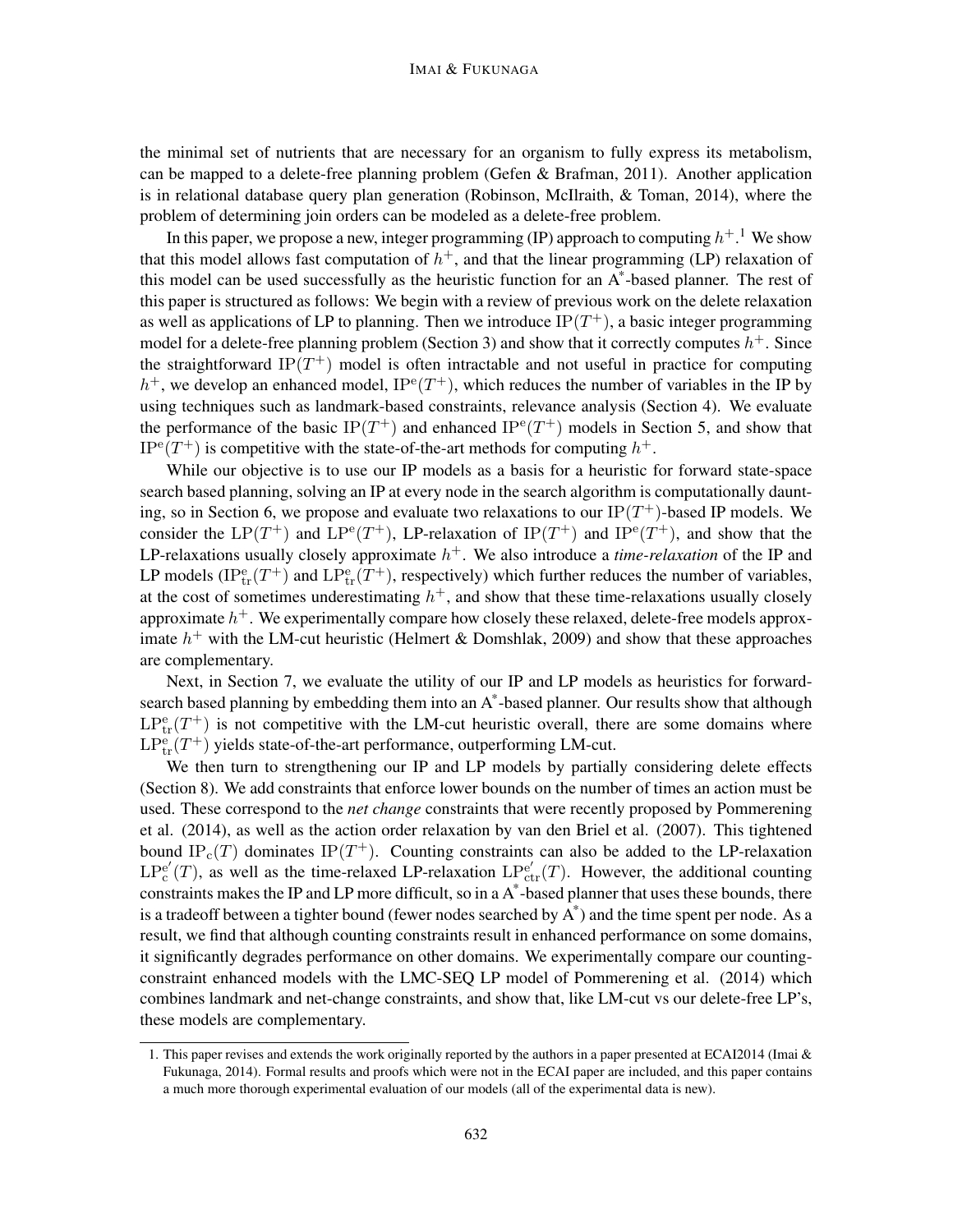the minimal set of nutrients that are necessary for an organism to fully express its metabolism, can be mapped to a delete-free planning problem (Gefen & Brafman, 2011). Another application is in relational database query plan generation (Robinson, McIlraith, & Toman, 2014), where the problem of determining join orders can be modeled as a delete-free problem.

In this paper, we propose a new, integer programming (IP) approach to computing  $h^{+}$ . We show that this model allows fast computation of  $h^+$ , and that the linear programming (LP) relaxation of this model can be used successfully as the heuristic function for an A\* -based planner. The rest of this paper is structured as follows: We begin with a review of previous work on the delete relaxation as well as applications of LP to planning. Then we introduce  $IP(T^{+})$ , a basic integer programming model for a delete-free planning problem (Section 3) and show that it correctly computes  $h^+$ . Since the straightforward IP $(T^+)$  model is often intractable and not useful in practice for computing  $h^+$ , we develop an enhanced model,  $IP^e(T^+)$ , which reduces the number of variables in the IP by using techniques such as landmark-based constraints, relevance analysis (Section 4). We evaluate the performance of the basic IP( $T^+$ ) and enhanced IP<sup>e</sup>( $T^+$ ) models in Section 5, and show that  $IP^e(T^+)$  is competitive with the state-of-the-art methods for computing  $h^+$ .

While our objective is to use our IP models as a basis for a heuristic for forward state-space search based planning, solving an IP at every node in the search algorithm is computationally daunting, so in Section 6, we propose and evaluate two relaxations to our  $IP(T^+)$ -based IP models. We consider the LP(T<sup>+</sup>) and LP<sup>e</sup>(T<sup>+</sup>), LP-relaxation of IP(T<sup>+</sup>) and IP<sup>e</sup>(T<sup>+</sup>), and show that the LP-relaxations usually closely approximate  $h<sup>+</sup>$ . We also introduce a *time-relaxation* of the IP and LP models ( $IP_{tr}^{e}(T^{+})$  and  $LP_{tr}^{e}(T^{+})$ , respectively) which further reduces the number of variables, at the cost of sometimes underestimating  $h^+$ , and show that these time-relaxations usually closely approximate  $h^+$  . We experimentally compare how closely these relaxed, delete-free models approximate  $h^+$  with the LM-cut heuristic (Helmert & Domshlak, 2009) and show that these approaches are complementary.

Next, in Section 7, we evaluate the utility of our IP and LP models as heuristics for forwardsearch based planning by embedding them into an A\* -based planner. Our results show that although  $LP<sup>e</sup><sub>tr</sub>(T<sup>+</sup>)$  is not competitive with the LM-cut heuristic overall, there are some domains where  $LP_{\text{tr}}^{\text{e}}(T^+)$  yields state-of-the-art performance, outperforming LM-cut.

We then turn to strengthening our IP and LP models by partially considering delete effects (Section 8). We add constraints that enforce lower bounds on the number of times an action must be used. These correspond to the *net change* constraints that were recently proposed by Pommerening et al. (2014), as well as the action order relaxation by van den Briel et al. (2007). This tightened bound IP<sub>c</sub> $(T)$  dominates IP $(T^+)$ . Counting constraints can also be added to the LP-relaxation  $\mathrm{LP_c^{e'}}$  $e'_{c}(T)$ , as well as the time-relaxed LP-relaxation  $LP_{ctr}(T)$ . However, the additional counting constraints makes the IP and LP more difficult, so in a A\* -based planner that uses these bounds, there is a tradeoff between a tighter bound (fewer nodes searched by A\* ) and the time spent per node. As a result, we find that although counting constraints result in enhanced performance on some domains, it significantly degrades performance on other domains. We experimentally compare our countingconstraint enhanced models with the LMC-SEQ LP model of Pommerening et al. (2014) which combines landmark and net-change constraints, and show that, like LM-cut vs our delete-free LP's, these models are complementary.

<sup>1.</sup> This paper revises and extends the work originally reported by the authors in a paper presented at ECAI2014 (Imai & Fukunaga, 2014). Formal results and proofs which were not in the ECAI paper are included, and this paper contains a much more thorough experimental evaluation of our models (all of the experimental data is new).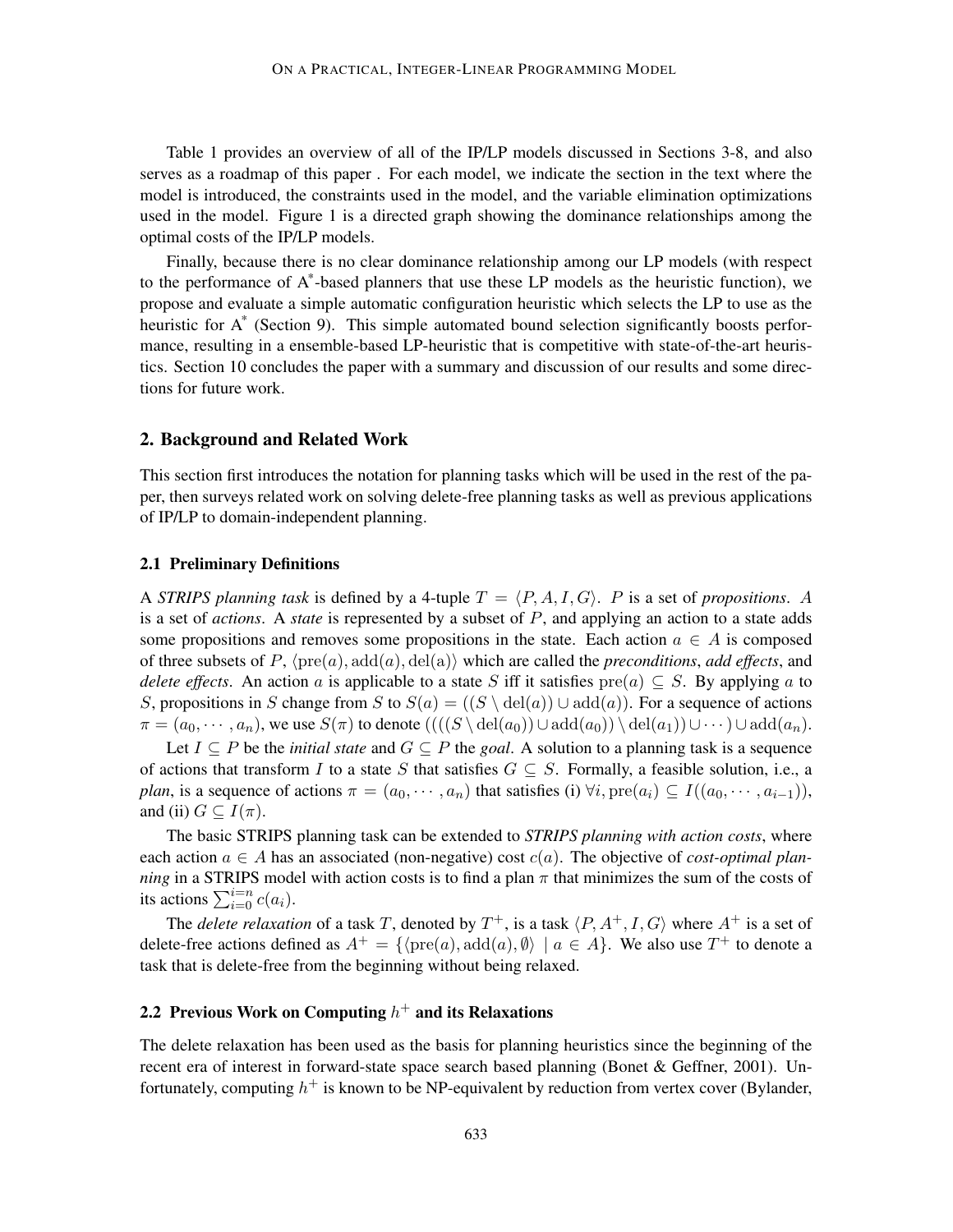Table 1 provides an overview of all of the IP/LP models discussed in Sections 3-8, and also serves as a roadmap of this paper . For each model, we indicate the section in the text where the model is introduced, the constraints used in the model, and the variable elimination optimizations used in the model. Figure 1 is a directed graph showing the dominance relationships among the optimal costs of the IP/LP models.

Finally, because there is no clear dominance relationship among our LP models (with respect to the performance of A\* -based planners that use these LP models as the heuristic function), we propose and evaluate a simple automatic configuration heuristic which selects the LP to use as the heuristic for A<sup>\*</sup> (Section 9). This simple automated bound selection significantly boosts performance, resulting in a ensemble-based LP-heuristic that is competitive with state-of-the-art heuristics. Section 10 concludes the paper with a summary and discussion of our results and some directions for future work.

## 2. Background and Related Work

This section first introduces the notation for planning tasks which will be used in the rest of the paper, then surveys related work on solving delete-free planning tasks as well as previous applications of IP/LP to domain-independent planning.

## 2.1 Preliminary Definitions

A *STRIPS planning task* is defined by a 4-tuple  $T = \langle P, A, I, G \rangle$ . P is a set of *propositions*. A is a set of *actions*. A *state* is represented by a subset of P, and applying an action to a state adds some propositions and removes some propositions in the state. Each action  $a \in A$  is composed of three subsets of P,  $\langle \text{pre}(a), \text{add}(a), \text{del}(a) \rangle$  which are called the *preconditions*, *add effects*, and *delete effects*. An action a is applicable to a state S iff it satisfies  $pre(a) \subseteq S$ . By applying a to S, propositions in S change from S to  $S(a) = ((S \ \ \text{del}(a)) \cup \text{add}(a))$ . For a sequence of actions  $\pi = (a_0, \dots, a_n)$ , we use  $S(\pi)$  to denote  $(((S \setminus \text{del}(a_0)) \cup \text{add}(a_0)) \setminus \text{del}(a_1)) \cup \dots) \cup \text{add}(a_n)$ .

Let  $I \subseteq P$  be the *initial state* and  $G \subseteq P$  the *goal*. A solution to a planning task is a sequence of actions that transform I to a state S that satisfies  $G \subseteq S$ . Formally, a feasible solution, i.e., a *plan*, is a sequence of actions  $\pi = (a_0, \dots, a_n)$  that satisfies (i)  $\forall i$ ,  $pre(a_i) \subseteq I((a_0, \dots, a_{i-1}))$ , and (ii)  $G \subseteq I(\pi)$ .

The basic STRIPS planning task can be extended to *STRIPS planning with action costs*, where each action  $a \in A$  has an associated (non-negative) cost  $c(a)$ . The objective of *cost-optimal planning* in a STRIPS model with action costs is to find a plan  $\pi$  that minimizes the sum of the costs of its actions  $\sum_{i=0}^{i=n} c(a_i)$ .

The *delete relaxation* of a task T, denoted by  $T^+$ , is a task  $\langle P, A^+, I, G \rangle$  where  $A^+$  is a set of delete-free actions defined as  $A^+ = \{ \langle \text{pre}(a), \text{add}(a), \emptyset \rangle \mid a \in A \}.$  We also use  $T^+$  to denote a task that is delete-free from the beginning without being relaxed.

## 2.2 Previous Work on Computing  $h^+$  and its Relaxations

The delete relaxation has been used as the basis for planning heuristics since the beginning of the recent era of interest in forward-state space search based planning (Bonet & Geffner, 2001). Unfortunately, computing  $h^+$  is known to be NP-equivalent by reduction from vertex cover (Bylander,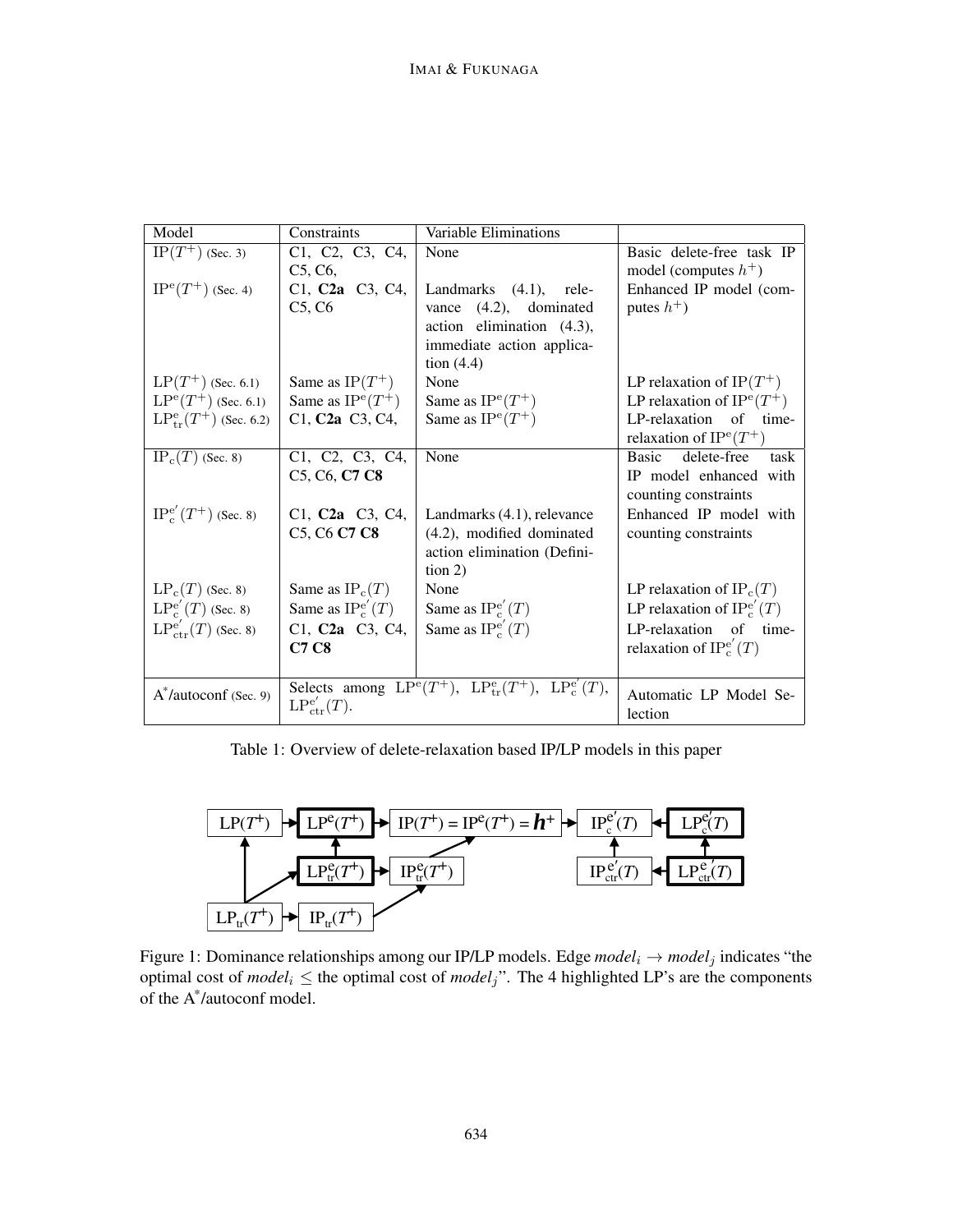| Model                                | Constraints                                                     | Variable Eliminations                                          |                                     |
|--------------------------------------|-----------------------------------------------------------------|----------------------------------------------------------------|-------------------------------------|
| $\overline{\text{IP}}(T^+)$ (Sec. 3) | C1, C2, C3, C4,                                                 | None                                                           | Basic delete-free task IP           |
|                                      | C5, C6,                                                         |                                                                | model (computes $h^+$ )             |
| $IP^{\rm e}(T^+)$ (Sec. 4)           | C1, C <sub>2</sub> a C <sub>3</sub> , C <sub>4</sub> ,          | Landmarks (4.1), rele-                                         | Enhanced IP model (com-             |
|                                      | C5, C6                                                          | vance (4.2), dominated                                         | putes $h^+$ )                       |
|                                      |                                                                 | action elimination $(4.3)$ ,                                   |                                     |
|                                      |                                                                 | immediate action applica-                                      |                                     |
|                                      |                                                                 | tion $(4.4)$                                                   |                                     |
| $LP(T^+)$ (Sec. 6.1)                 | Same as $IP(T^+)$                                               | None                                                           | LP relaxation of IP $(T^+)$         |
| $LP^{e}(T^{+})$ (Sec. 6.1)           | Same as $IP^e(T^+)$                                             | Same as $IP^e(T^+)$                                            | LP relaxation of $IP^{\rm e}(T^+)$  |
| $LP_{tr}^{e}(T^{+})$ (Sec. 6.2)      | C1, C <sub>2</sub> a C <sub>3</sub> , C <sub>4</sub> ,          | Same as $IP^e(T^+)$                                            | LP-relaxation of time-              |
|                                      |                                                                 |                                                                | relaxation of $IP^e(T^+)$           |
| $IP_c(T)$ (Sec. 8)                   | C1, C2, C3, C4,                                                 | None                                                           | delete-free<br><b>Basic</b><br>task |
|                                      | C <sub>5</sub> , C <sub>6</sub> , C <sub>7</sub> C <sub>8</sub> |                                                                | IP model enhanced with              |
|                                      |                                                                 |                                                                | counting constraints                |
| $IP_c^{e'}(T^+)$ (Sec. 8)            | C1, C <sub>2a</sub> C <sub>3</sub> , C <sub>4</sub> ,           | Landmarks (4.1), relevance                                     | Enhanced IP model with              |
|                                      | C5, C6 C7 C8                                                    | (4.2), modified dominated                                      | counting constraints                |
|                                      |                                                                 | action elimination (Defini-                                    |                                     |
|                                      |                                                                 | $\frac{1}{2}$                                                  |                                     |
| $LP_c(T)$ (Sec. 8)                   | Same as $IP_c(T)$                                               | None                                                           | LP relaxation of $IP_c(T)$          |
| $LP_c^{e'}(T)$ (Sec. 8)              | Same as $IP_c^{e'}(T)$                                          | Same as $IP_c^{e'}(T)$                                         | LP relaxation of $IP_c^{e'}(T)$     |
| $LP_{ctr}^{e'}(T)$ (Sec. 8)          | C1, C <sub>2</sub> a C <sub>3</sub> , C <sub>4</sub> ,          | Same as $IP_c^{e'}(T)$                                         | LP-relaxation of time-              |
|                                      | <b>C7 C8</b>                                                    |                                                                | relaxation of $IP_c^{e'}(T)$        |
|                                      |                                                                 |                                                                |                                     |
| $A^*$ /autoconf (Sec. 9)             |                                                                 | Selects among $LP^e(T^+)$ , $LP^e_{tr}(T^+)$ , $LP^e_{c}(T)$ , | Automatic LP Model Se-              |
|                                      | $LP_{ctr}^{e'}(T).$                                             |                                                                | lection                             |
|                                      |                                                                 |                                                                |                                     |

Table 1: Overview of delete-relaxation based IP/LP models in this paper



Figure 1: Dominance relationships among our IP/LP models. Edge  $model_i \rightarrow model_j$  indicates "the optimal cost of  $model_i \leq$  the optimal cost of  $model_j$ ". The 4 highlighted LP's are the components of the A\* /autoconf model.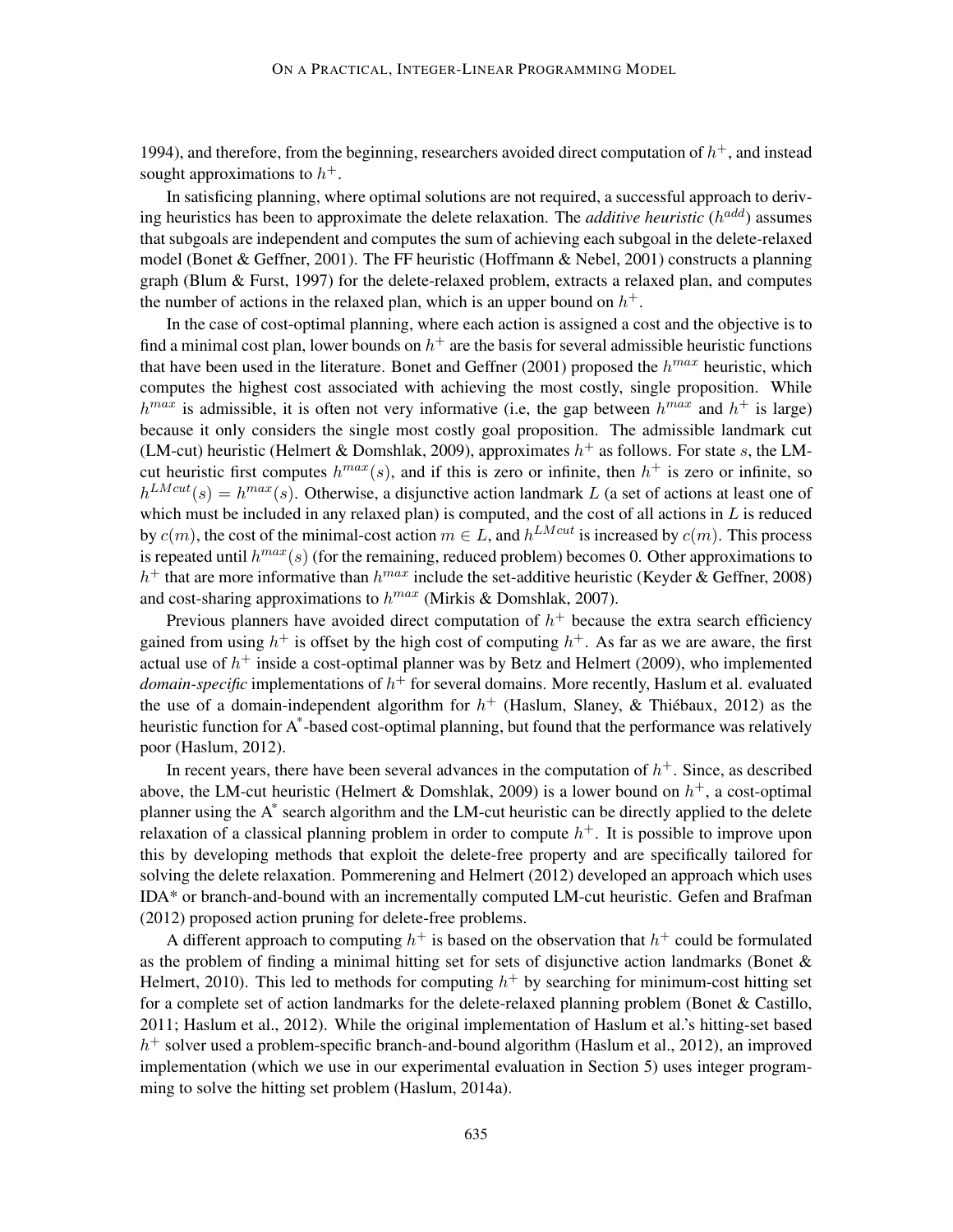1994), and therefore, from the beginning, researchers avoided direct computation of  $h^+$ , and instead sought approximations to  $h^+$ .

In satisficing planning, where optimal solutions are not required, a successful approach to deriving heuristics has been to approximate the delete relaxation. The *additive heuristic*  $(h^{add})$  assumes that subgoals are independent and computes the sum of achieving each subgoal in the delete-relaxed model (Bonet & Geffner, 2001). The FF heuristic (Hoffmann & Nebel, 2001) constructs a planning graph (Blum & Furst, 1997) for the delete-relaxed problem, extracts a relaxed plan, and computes the number of actions in the relaxed plan, which is an upper bound on  $h^+$ .

In the case of cost-optimal planning, where each action is assigned a cost and the objective is to find a minimal cost plan, lower bounds on  $h^+$  are the basis for several admissible heuristic functions that have been used in the literature. Bonet and Geffner (2001) proposed the  $h^{max}$  heuristic, which computes the highest cost associated with achieving the most costly, single proposition. While  $h^{max}$  is admissible, it is often not very informative (i.e, the gap between  $h^{max}$  and  $h^+$  is large) because it only considers the single most costly goal proposition. The admissible landmark cut (LM-cut) heuristic (Helmert & Domshlak, 2009), approximates  $h^+$  as follows. For state s, the LMcut heuristic first computes  $h^{max}(s)$ , and if this is zero or infinite, then  $h^{+}$  is zero or infinite, so  $h^{LMcut}(s) = h^{max}(s)$ . Otherwise, a disjunctive action landmark L (a set of actions at least one of which must be included in any relaxed plan) is computed, and the cost of all actions in  $L$  is reduced by  $c(m)$ , the cost of the minimal-cost action  $m \in L$ , and  $h^{LMcut}$  is increased by  $c(m)$ . This process is repeated until  $h^{max}(s)$  (for the remaining, reduced problem) becomes 0. Other approximations to  $h^+$  that are more informative than  $h^{max}$  include the set-additive heuristic (Keyder & Geffner, 2008) and cost-sharing approximations to  $h^{max}$  (Mirkis & Domshlak, 2007).

Previous planners have avoided direct computation of  $h<sup>+</sup>$  because the extra search efficiency gained from using  $h^+$  is offset by the high cost of computing  $h^+$ . As far as we are aware, the first actual use of  $h^+$  inside a cost-optimal planner was by Betz and Helmert (2009), who implemented *domain-specific* implementations of  $h^+$  for several domains. More recently, Haslum et al. evaluated the use of a domain-independent algorithm for  $h^+$  (Haslum, Slaney, & Thiébaux, 2012) as the heuristic function for A\*-based cost-optimal planning, but found that the performance was relatively poor (Haslum, 2012).

In recent years, there have been several advances in the computation of  $h<sup>+</sup>$ . Since, as described above, the LM-cut heuristic (Helmert & Domshlak, 2009) is a lower bound on  $h^+$ , a cost-optimal planner using the A<sup>\*</sup> search algorithm and the LM-cut heuristic can be directly applied to the delete relaxation of a classical planning problem in order to compute  $h<sup>+</sup>$ . It is possible to improve upon this by developing methods that exploit the delete-free property and are specifically tailored for solving the delete relaxation. Pommerening and Helmert (2012) developed an approach which uses IDA\* or branch-and-bound with an incrementally computed LM-cut heuristic. Gefen and Brafman (2012) proposed action pruning for delete-free problems.

A different approach to computing  $h^+$  is based on the observation that  $h^+$  could be formulated as the problem of finding a minimal hitting set for sets of disjunctive action landmarks (Bonet & Helmert, 2010). This led to methods for computing  $h^+$  by searching for minimum-cost hitting set for a complete set of action landmarks for the delete-relaxed planning problem (Bonet & Castillo, 2011; Haslum et al., 2012). While the original implementation of Haslum et al.'s hitting-set based  $h^+$  solver used a problem-specific branch-and-bound algorithm (Haslum et al., 2012), an improved implementation (which we use in our experimental evaluation in Section 5) uses integer programming to solve the hitting set problem (Haslum, 2014a).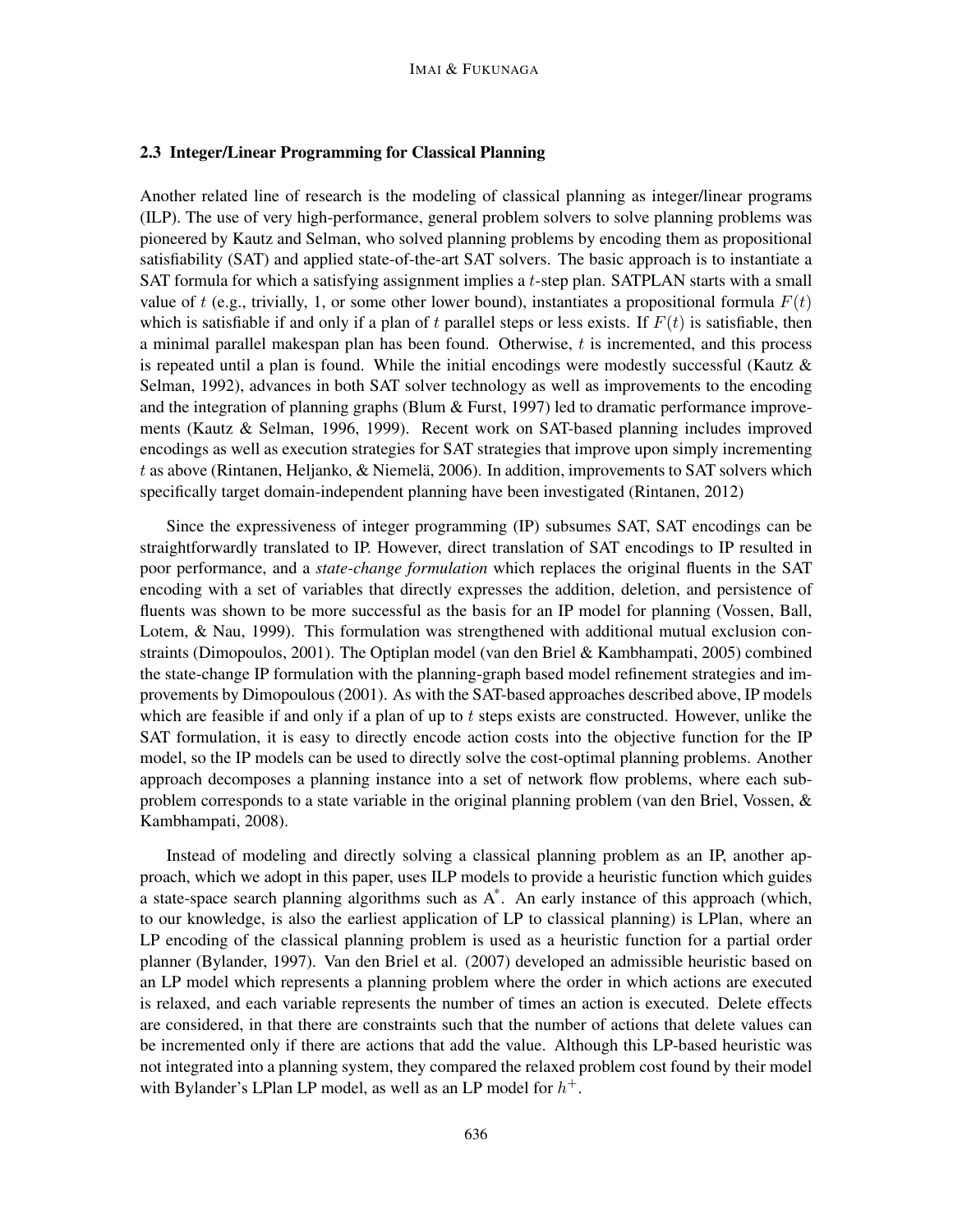## 2.3 Integer/Linear Programming for Classical Planning

Another related line of research is the modeling of classical planning as integer/linear programs (ILP). The use of very high-performance, general problem solvers to solve planning problems was pioneered by Kautz and Selman, who solved planning problems by encoding them as propositional satisfiability (SAT) and applied state-of-the-art SAT solvers. The basic approach is to instantiate a SAT formula for which a satisfying assignment implies a  $t$ -step plan. SATPLAN starts with a small value of t (e.g., trivially, 1, or some other lower bound), instantiates a propositional formula  $F(t)$ which is satisfiable if and only if a plan of t parallel steps or less exists. If  $F(t)$  is satisfiable, then a minimal parallel makespan plan has been found. Otherwise,  $t$  is incremented, and this process is repeated until a plan is found. While the initial encodings were modestly successful (Kautz  $\&$ Selman, 1992), advances in both SAT solver technology as well as improvements to the encoding and the integration of planning graphs (Blum  $&$  Furst, 1997) led to dramatic performance improvements (Kautz & Selman, 1996, 1999). Recent work on SAT-based planning includes improved encodings as well as execution strategies for SAT strategies that improve upon simply incrementing t as above (Rintanen, Heljanko, & Niemelä, 2006). In addition, improvements to SAT solvers which specifically target domain-independent planning have been investigated (Rintanen, 2012)

Since the expressiveness of integer programming (IP) subsumes SAT, SAT encodings can be straightforwardly translated to IP. However, direct translation of SAT encodings to IP resulted in poor performance, and a *state-change formulation* which replaces the original fluents in the SAT encoding with a set of variables that directly expresses the addition, deletion, and persistence of fluents was shown to be more successful as the basis for an IP model for planning (Vossen, Ball, Lotem, & Nau, 1999). This formulation was strengthened with additional mutual exclusion constraints (Dimopoulos, 2001). The Optiplan model (van den Briel & Kambhampati, 2005) combined the state-change IP formulation with the planning-graph based model refinement strategies and improvements by Dimopoulous (2001). As with the SAT-based approaches described above, IP models which are feasible if and only if a plan of up to  $t$  steps exists are constructed. However, unlike the SAT formulation, it is easy to directly encode action costs into the objective function for the IP model, so the IP models can be used to directly solve the cost-optimal planning problems. Another approach decomposes a planning instance into a set of network flow problems, where each subproblem corresponds to a state variable in the original planning problem (van den Briel, Vossen, & Kambhampati, 2008).

Instead of modeling and directly solving a classical planning problem as an IP, another approach, which we adopt in this paper, uses ILP models to provide a heuristic function which guides a state-space search planning algorithms such as  $A^*$ . An early instance of this approach (which, to our knowledge, is also the earliest application of LP to classical planning) is LPlan, where an LP encoding of the classical planning problem is used as a heuristic function for a partial order planner (Bylander, 1997). Van den Briel et al. (2007) developed an admissible heuristic based on an LP model which represents a planning problem where the order in which actions are executed is relaxed, and each variable represents the number of times an action is executed. Delete effects are considered, in that there are constraints such that the number of actions that delete values can be incremented only if there are actions that add the value. Although this LP-based heuristic was not integrated into a planning system, they compared the relaxed problem cost found by their model with Bylander's LPlan LP model, as well as an LP model for  $h^+$ .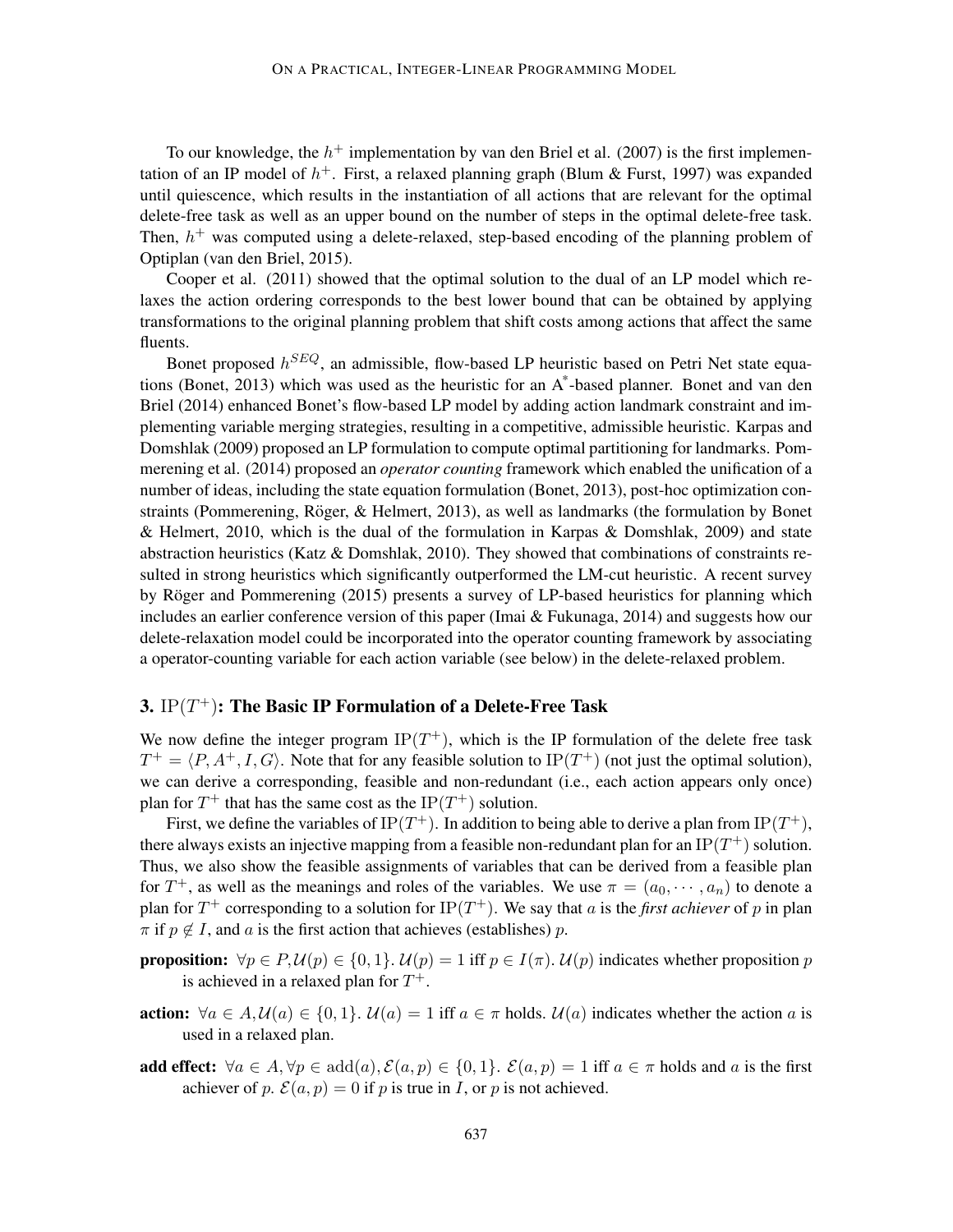To our knowledge, the  $h^+$  implementation by van den Briel et al. (2007) is the first implementation of an IP model of  $h^+$ . First, a relaxed planning graph (Blum & Furst, 1997) was expanded until quiescence, which results in the instantiation of all actions that are relevant for the optimal delete-free task as well as an upper bound on the number of steps in the optimal delete-free task. Then,  $h^{+}$  was computed using a delete-relaxed, step-based encoding of the planning problem of Optiplan (van den Briel, 2015).

Cooper et al. (2011) showed that the optimal solution to the dual of an LP model which relaxes the action ordering corresponds to the best lower bound that can be obtained by applying transformations to the original planning problem that shift costs among actions that affect the same fluents.

Bonet proposed  $h^{SEQ}$ , an admissible, flow-based LP heuristic based on Petri Net state equations (Bonet, 2013) which was used as the heuristic for an A\* -based planner. Bonet and van den Briel (2014) enhanced Bonet's flow-based LP model by adding action landmark constraint and implementing variable merging strategies, resulting in a competitive, admissible heuristic. Karpas and Domshlak (2009) proposed an LP formulation to compute optimal partitioning for landmarks. Pommerening et al. (2014) proposed an *operator counting* framework which enabled the unification of a number of ideas, including the state equation formulation (Bonet, 2013), post-hoc optimization constraints (Pommerening, Röger, & Helmert, 2013), as well as landmarks (the formulation by Bonet & Helmert, 2010, which is the dual of the formulation in Karpas & Domshlak, 2009) and state abstraction heuristics (Katz & Domshlak, 2010). They showed that combinations of constraints resulted in strong heuristics which significantly outperformed the LM-cut heuristic. A recent survey by Röger and Pommerening (2015) presents a survey of LP-based heuristics for planning which includes an earlier conference version of this paper (Imai  $&$  Fukunaga, 2014) and suggests how our delete-relaxation model could be incorporated into the operator counting framework by associating a operator-counting variable for each action variable (see below) in the delete-relaxed problem.

# 3.  $IP(T^+)$ : The Basic IP Formulation of a Delete-Free Task

We now define the integer program  $IP(T^{+})$ , which is the IP formulation of the delete free task  $T^+ = \langle P, A^+, I, G \rangle$ . Note that for any feasible solution to IP(T<sup>+</sup>) (not just the optimal solution), we can derive a corresponding, feasible and non-redundant (i.e., each action appears only once) plan for  $T^+$  that has the same cost as the IP( $T^+$ ) solution.

First, we define the variables of IP $(T^+)$ . In addition to being able to derive a plan from IP $(T^+)$ , there always exists an injective mapping from a feasible non-redundant plan for an IP $(T^+)$  solution. Thus, we also show the feasible assignments of variables that can be derived from a feasible plan for  $T^+$ , as well as the meanings and roles of the variables. We use  $\pi = (a_0, \dots, a_n)$  to denote a plan for  $T^+$  corresponding to a solution for  $IP(T^+)$ . We say that a is the *first achiever* of p in plan  $\pi$  if  $p \notin I$ , and a is the first action that achieves (establishes) p.

**proposition:**  $\forall p \in P, \mathcal{U}(p) \in \{0, 1\}$ .  $\mathcal{U}(p) = 1$  iff  $p \in I(\pi)$ .  $\mathcal{U}(p)$  indicates whether proposition p is achieved in a relaxed plan for  $T^+$ .

- action:  $\forall a \in A, \mathcal{U}(a) \in \{0, 1\}$ .  $\mathcal{U}(a) = 1$  iff  $a \in \pi$  holds.  $\mathcal{U}(a)$  indicates whether the action a is used in a relaxed plan.
- add effect:  $\forall a \in A, \forall p \in \text{add}(a), \mathcal{E}(a, p) \in \{0, 1\}$ .  $\mathcal{E}(a, p) = 1$  iff  $a \in \pi$  holds and a is the first achiever of p.  $\mathcal{E}(a, p) = 0$  if p is true in I, or p is not achieved.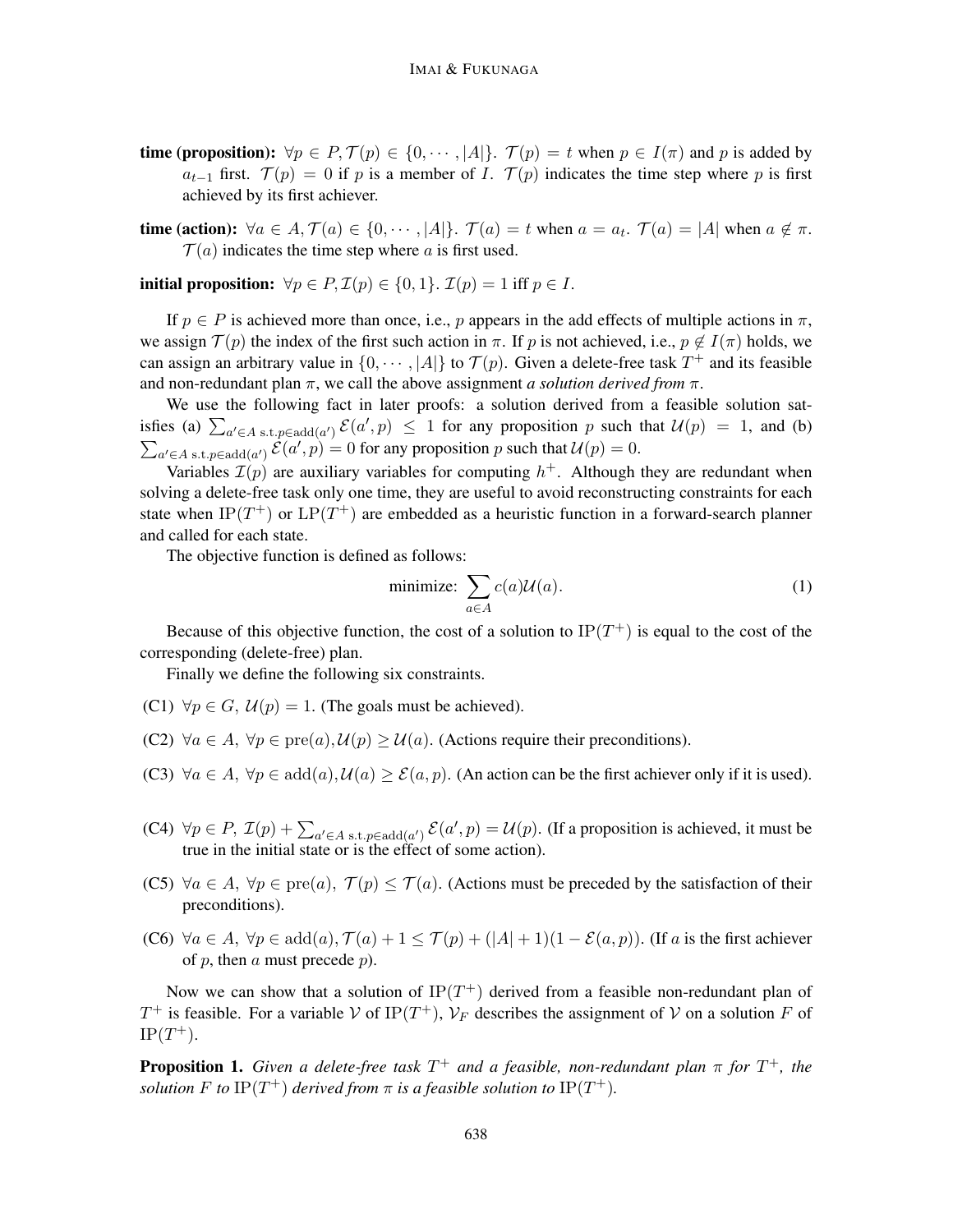- time (proposition):  $\forall p \in P, \mathcal{T}(p) \in \{0, \dots, |A|\}.$   $\mathcal{T}(p) = t$  when  $p \in I(\pi)$  and p is added by  $a_{t-1}$  first.  $\mathcal{T}(p) = 0$  if p is a member of I.  $\mathcal{T}(p)$  indicates the time step where p is first achieved by its first achiever.
- time (action):  $\forall a \in A, \mathcal{T}(a) \in \{0, \dots, |A|\}$ .  $\mathcal{T}(a) = t$  when  $a = a_t$ .  $\mathcal{T}(a) = |A|$  when  $a \notin \pi$ .  $\mathcal{T}(a)$  indicates the time step where a is first used.

initial proposition:  $\forall p \in P$ ,  $\mathcal{I}(p) \in \{0, 1\}$ .  $\mathcal{I}(p) = 1$  iff  $p \in I$ .

If  $p \in P$  is achieved more than once, i.e., p appears in the add effects of multiple actions in  $\pi$ , we assign  $\mathcal{T}(p)$  the index of the first such action in  $\pi$ . If p is not achieved, i.e.,  $p \notin I(\pi)$  holds, we can assign an arbitrary value in  $\{0, \dots, |A|\}$  to  $\mathcal{T}(p)$ . Given a delete-free task  $T^+$  and its feasible and non-redundant plan  $\pi$ , we call the above assignment *a solution derived from*  $\pi$ .

We use the following fact in later proofs: a solution derived from a feasible solution satisfies (a)  $\sum_{a' \in A \text{ s.t. } p \in \text{add}(a')} \mathcal{E}(a', p) \le 1$  for any proposition p such that  $\mathcal{U}(p) = 1$ , and (b)  $\sum_{a' \in A \text{ s.t. } p \in \text{add}(a')} \tilde{\mathcal{E}}(a', p) = 0$  for any proposition p such that  $\mathcal{U}(p) = 0$ .

Variables  $\mathcal{I}(p)$  are auxiliary variables for computing  $h^+$ . Although they are redundant when solving a delete-free task only one time, they are useful to avoid reconstructing constraints for each state when IP( $T^+$ ) or  $LP(T^+)$  are embedded as a heuristic function in a forward-search planner and called for each state.

The objective function is defined as follows:

$$
\text{minimize: } \sum_{a \in A} c(a) \mathcal{U}(a). \tag{1}
$$

Because of this objective function, the cost of a solution to  $IP(T^+)$  is equal to the cost of the corresponding (delete-free) plan.

Finally we define the following six constraints.

- (C1)  $\forall p \in G$ ,  $\mathcal{U}(p) = 1$ . (The goals must be achieved).
- (C2)  $\forall a \in A$ ,  $\forall p \in \text{pre}(a)$ ,  $\mathcal{U}(p) > \mathcal{U}(a)$ . (Actions require their preconditions).
- (C3)  $\forall a \in A, \forall p \in add(a), \mathcal{U}(a) \geq \mathcal{E}(a, p)$ . (An action can be the first achiever only if it is used).
- (C4)  $\forall p \in P$ ,  $\mathcal{I}(p) + \sum_{a' \in A} s.t. p \in \text{add}(a')} \mathcal{E}(a', p) = \mathcal{U}(p)$ . (If a proposition is achieved, it must be true in the initial state or is the effect of some action).
- (C5)  $\forall a \in A, \forall p \in pre(a), \mathcal{T}(p) \leq \mathcal{T}(a)$ . (Actions must be preceded by the satisfaction of their preconditions).
- (C6)  $\forall a \in A$ ,  $\forall p \in add(a)$ ,  $\mathcal{T}(a) + 1 \leq \mathcal{T}(p) + (|A| + 1)(1 \mathcal{E}(a, p))$ . (If a is the first achiever of  $p$ , then  $a$  must precede  $p$ ).

Now we can show that a solution of  $IP(T^+)$  derived from a feasible non-redundant plan of  $T^+$  is feasible. For a variable V of IP( $T^+$ ),  $V_F$  describes the assignment of V on a solution F of  $IP(T^+).$ 

Proposition 1. *Given a delete-free task* T <sup>+</sup> *and a feasible, non-redundant plan* π *for* T <sup>+</sup>*, the solution*  $F$  *to*  $IP(T^+)$  *derived from*  $\pi$  *is a feasible solution to*  $IP(T^+)$ *.*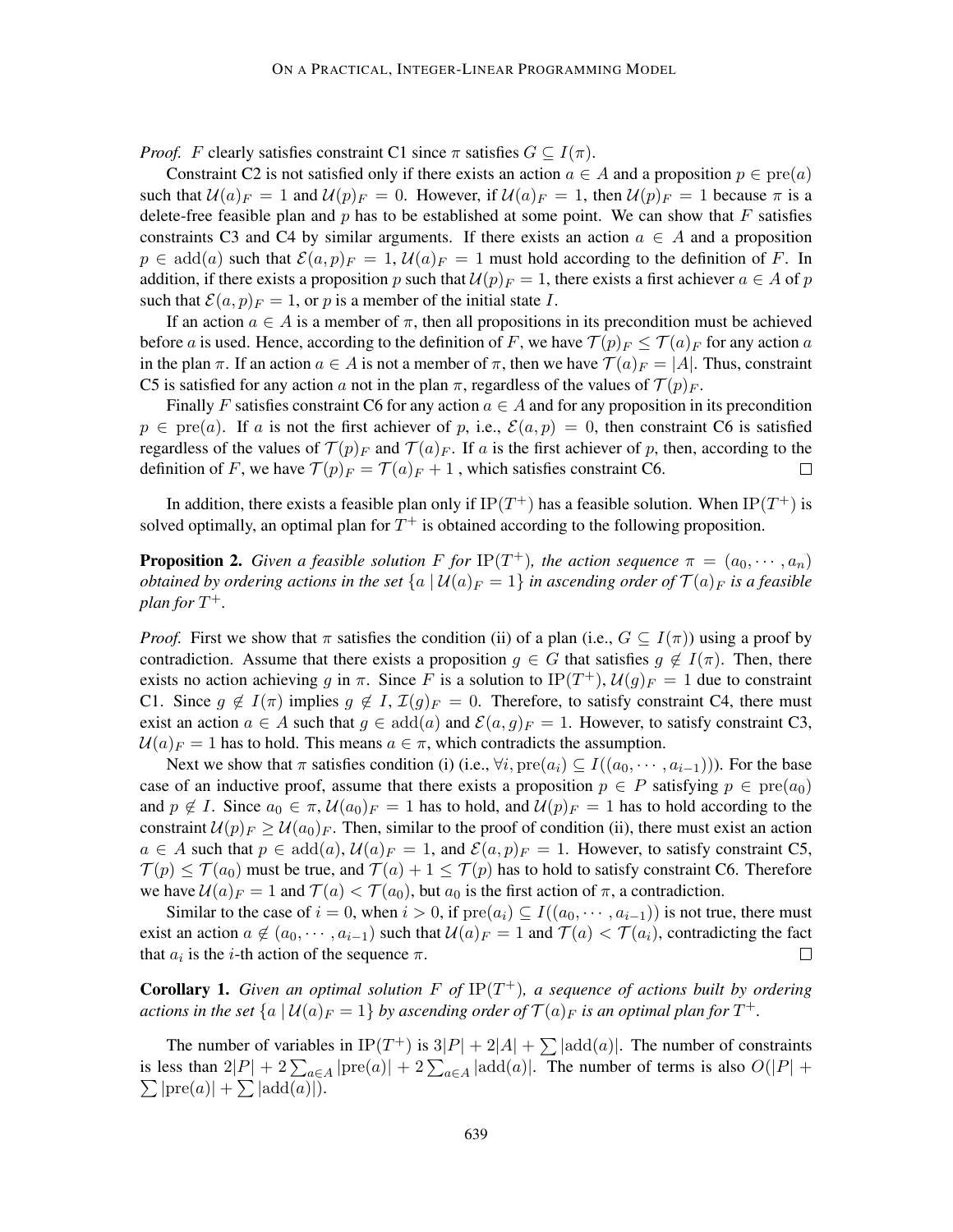*Proof.* F clearly satisfies constraint C1 since  $\pi$  satisfies  $G \subseteq I(\pi)$ .

Constraint C2 is not satisfied only if there exists an action  $a \in A$  and a proposition  $p \in pre(a)$ such that  $\mathcal{U}(a)_{F} = 1$  and  $\mathcal{U}(p)_{F} = 0$ . However, if  $\mathcal{U}(a)_{F} = 1$ , then  $\mathcal{U}(p)_{F} = 1$  because  $\pi$  is a delete-free feasible plan and  $p$  has to be established at some point. We can show that  $F$  satisfies constraints C3 and C4 by similar arguments. If there exists an action  $a \in A$  and a proposition  $p \in \text{add}(a)$  such that  $\mathcal{E}(a, p)_{F} = 1$ ,  $\mathcal{U}(a)_{F} = 1$  must hold according to the definition of F. In addition, if there exists a proposition p such that  $U(p)_{F} = 1$ , there exists a first achiever  $a \in A$  of p such that  $\mathcal{E}(a, p)_F = 1$ , or p is a member of the initial state I.

If an action  $a \in A$  is a member of  $\pi$ , then all propositions in its precondition must be achieved before a is used. Hence, according to the definition of F, we have  $\mathcal{T}(p)_{F} \leq \mathcal{T}(a)_{F}$  for any action a in the plan  $\pi$ . If an action  $a \in A$  is not a member of  $\pi$ , then we have  $\mathcal{T}(a)_{F} = |A|$ . Thus, constraint C5 is satisfied for any action a not in the plan  $\pi$ , regardless of the values of  $\mathcal{T}(p)_{F}$ .

Finally F satisfies constraint C6 for any action  $a \in A$  and for any proposition in its precondition  $p \in pre(a)$ . If a is not the first achiever of p, i.e.,  $\mathcal{E}(a, p) = 0$ , then constraint C6 is satisfied regardless of the values of  $\mathcal{T}(p)$ <sub>F</sub> and  $\mathcal{T}(a)$ <sub>F</sub>. If a is the first achiever of p, then, according to the definition of F, we have  $\mathcal{T}(p) = \mathcal{T}(a) + 1$ , which satisfies constraint C6.  $\Box$ 

In addition, there exists a feasible plan only if IP(T<sup>+</sup>) has a feasible solution. When IP(T<sup>+</sup>) is solved optimally, an optimal plan for  $T^+$  is obtained according to the following proposition.

**Proposition 2.** *Given a feasible solution* F *for* IP(T<sup>+</sup>), the action sequence  $\pi = (a_0, \dots, a_n)$ *obtained by ordering actions in the set*  $\{a \mid U(a)_F = 1\}$  *in ascending order of*  $\mathcal{T}(a)_F$  *is a feasible*  $plan for T<sup>+</sup>.$ 

*Proof.* First we show that  $\pi$  satisfies the condition (ii) of a plan (i.e.,  $G \subseteq I(\pi)$ ) using a proof by contradiction. Assume that there exists a proposition  $g \in G$  that satisfies  $g \notin I(\pi)$ . Then, there exists no action achieving g in  $\pi$ . Since F is a solution to  $IP(T^+), U(g)_F = 1$  due to constraint C1. Since  $g \notin I(\pi)$  implies  $g \notin I$ ,  $\mathcal{I}(g)_{F} = 0$ . Therefore, to satisfy constraint C4, there must exist an action  $a \in A$  such that  $g \in \text{add}(a)$  and  $\mathcal{E}(a, g)_F = 1$ . However, to satisfy constraint C3,  $U(a)$ <sub>F</sub> = 1 has to hold. This means  $a \in \pi$ , which contradicts the assumption.

Next we show that  $\pi$  satisfies condition (i) (i.e.,  $\forall i$ ,  $\text{pre}(a_i) \subseteq I((a_0, \dots, a_{i-1}))$ ). For the base case of an inductive proof, assume that there exists a proposition  $p \in P$  satisfying  $p \in \text{pre}(a_0)$ and  $p \notin I$ . Since  $a_0 \in \pi$ ,  $\mathcal{U}(a_0)_F = 1$  has to hold, and  $\mathcal{U}(p)_F = 1$  has to hold according to the constraint  $\mathcal{U}(p)_{F} \geq \mathcal{U}(a_0)_{F}$ . Then, similar to the proof of condition (ii), there must exist an action  $a \in A$  such that  $p \in \text{add}(a), \mathcal{U}(a)_{F} = 1$ , and  $\mathcal{E}(a, p)_{F} = 1$ . However, to satisfy constraint C5,  $\mathcal{T}(p) \leq \mathcal{T}(a_0)$  must be true, and  $\mathcal{T}(a) + 1 \leq \mathcal{T}(p)$  has to hold to satisfy constraint C6. Therefore we have  $U(a)$ <sub>F</sub> = 1 and  $\mathcal{T}(a) < \mathcal{T}(a_0)$ , but  $a_0$  is the first action of  $\pi$ , a contradiction.

Similar to the case of  $i = 0$ , when  $i > 0$ , if  $pre(a_i) \subseteq I((a_0, \dots, a_{i-1}))$  is not true, there must exist an action  $a \notin (a_0, \dots, a_{i-1})$  such that  $\mathcal{U}(a)_F = 1$  and  $\mathcal{T}(a) < \mathcal{T}(a_i)$ , contradicting the fact that  $a_i$  is the *i*-th action of the sequence  $\pi$ .  $\Box$ 

**Corollary 1.** Given an optimal solution  $F$  of  $IP(T^+)$ , a sequence of actions built by ordering actions in the set  $\{a \mid \mathcal{U}(a)_F = 1\}$  by ascending order of  $\mathcal{T}(a)_F$  is an optimal plan for  $T^+$ .

The number of variables in  $IP(T^+)$  is  $3|P| + 2|A| + \sum |\text{add}(a)|$ . The number of constraints is less than  $2|P| + 2\sum_{a \in A} |\text{pre}(a)| + 2\sum_{a \in A} |\text{add}(a)|$ . The number of terms is also  $O(|P| +$  $\sum |\text{pre}(a)| + \sum |\text{add}(a)|$ .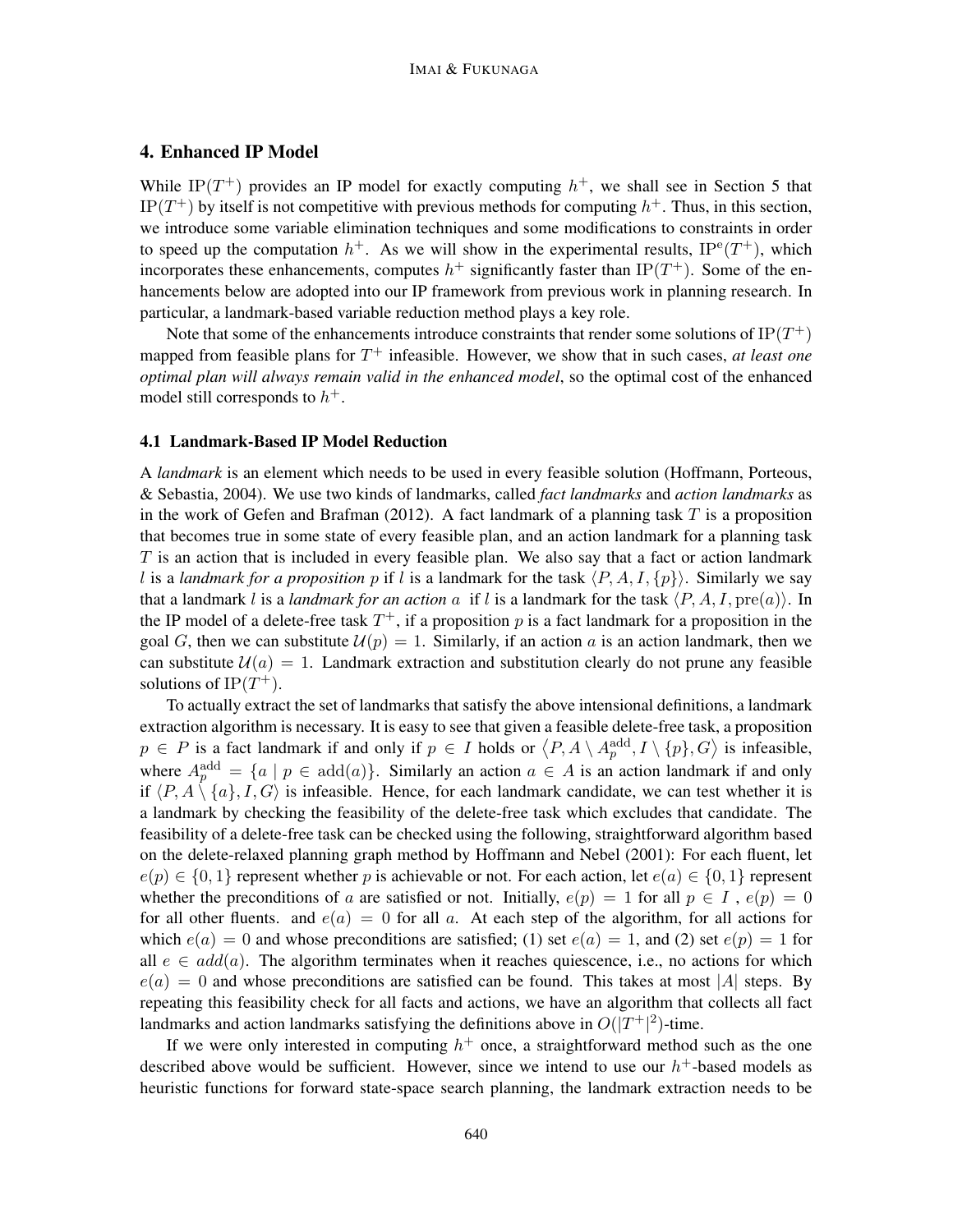## 4. Enhanced IP Model

While IP( $T^+$ ) provides an IP model for exactly computing  $h^+$ , we shall see in Section 5 that IP( $T^+$ ) by itself is not competitive with previous methods for computing  $h^+$ . Thus, in this section, we introduce some variable elimination techniques and some modifications to constraints in order to speed up the computation  $h^+$ . As we will show in the experimental results,  $IP^e(T^+)$ , which incorporates these enhancements, computes  $h^+$  significantly faster than IP(T<sup>+</sup>). Some of the enhancements below are adopted into our IP framework from previous work in planning research. In particular, a landmark-based variable reduction method plays a key role.

Note that some of the enhancements introduce constraints that render some solutions of  $\mathrm{IP}(T^+)$ mapped from feasible plans for  $T^+$  infeasible. However, we show that in such cases, *at least one optimal plan will always remain valid in the enhanced model*, so the optimal cost of the enhanced model still corresponds to  $h^+$ .

#### 4.1 Landmark-Based IP Model Reduction

A *landmark* is an element which needs to be used in every feasible solution (Hoffmann, Porteous, & Sebastia, 2004). We use two kinds of landmarks, called *fact landmarks* and *action landmarks* as in the work of Gefen and Brafman (2012). A fact landmark of a planning task  $T$  is a proposition that becomes true in some state of every feasible plan, and an action landmark for a planning task  $T$  is an action that is included in every feasible plan. We also say that a fact or action landmark l is a *landmark for a proposition* p if l is a landmark for the task  $\langle P, A, I, {p} \rangle$ . Similarly we say that a landmark l is a *landmark for an action* a if l is a landmark for the task  $\langle P, A, I, \text{pre}(a) \rangle$ . In the IP model of a delete-free task  $T^+$ , if a proposition p is a fact landmark for a proposition in the goal G, then we can substitute  $\mathcal{U}(p) = 1$ . Similarly, if an action a is an action landmark, then we can substitute  $U(a) = 1$ . Landmark extraction and substitution clearly do not prune any feasible solutions of  $IP(T^+)$ .

To actually extract the set of landmarks that satisfy the above intensional definitions, a landmark extraction algorithm is necessary. It is easy to see that given a feasible delete-free task, a proposition  $p \in P$  is a fact landmark if and only if  $p \in I$  holds or  $\langle P, A \setminus A_p^{\text{add}}, I \setminus \{p\}, G \rangle$  is infeasible, where  $A_p^{\text{add}} = \{a \mid p \in \text{add}(a)\}\$ . Similarly an action  $a \in A$  is an action landmark if and only if  $\langle P, A \setminus \{a\}, I, G \rangle$  is infeasible. Hence, for each landmark candidate, we can test whether it is a landmark by checking the feasibility of the delete-free task which excludes that candidate. The feasibility of a delete-free task can be checked using the following, straightforward algorithm based on the delete-relaxed planning graph method by Hoffmann and Nebel (2001): For each fluent, let  $e(p) \in \{0, 1\}$  represent whether p is achievable or not. For each action, let  $e(a) \in \{0, 1\}$  represent whether the preconditions of a are satisfied or not. Initially,  $e(p) = 1$  for all  $p \in I$ ,  $e(p) = 0$ for all other fluents. and  $e(a) = 0$  for all a. At each step of the algorithm, for all actions for which  $e(a) = 0$  and whose preconditions are satisfied; (1) set  $e(a) = 1$ , and (2) set  $e(p) = 1$  for all  $e \in add(a)$ . The algorithm terminates when it reaches quiescence, i.e., no actions for which  $e(a) = 0$  and whose preconditions are satisfied can be found. This takes at most |A| steps. By repeating this feasibility check for all facts and actions, we have an algorithm that collects all fact landmarks and action landmarks satisfying the definitions above in  $O(|T^+|^2)$ -time.

If we were only interested in computing  $h^+$  once, a straightforward method such as the one described above would be sufficient. However, since we intend to use our  $h^+$ -based models as heuristic functions for forward state-space search planning, the landmark extraction needs to be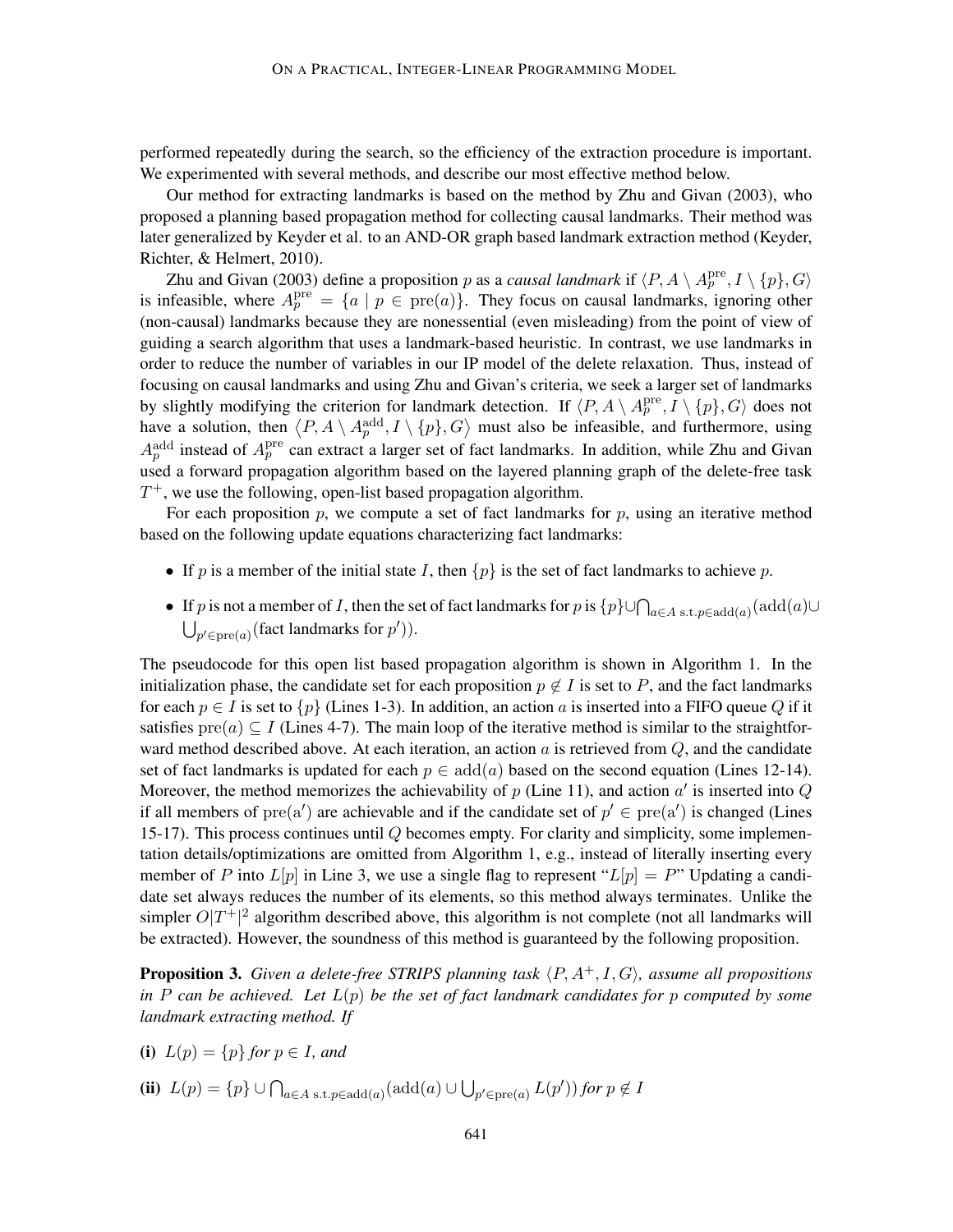performed repeatedly during the search, so the efficiency of the extraction procedure is important. We experimented with several methods, and describe our most effective method below.

Our method for extracting landmarks is based on the method by Zhu and Givan (2003), who proposed a planning based propagation method for collecting causal landmarks. Their method was later generalized by Keyder et al. to an AND-OR graph based landmark extraction method (Keyder, Richter, & Helmert, 2010).

Zhu and Givan (2003) define a proposition p as a *causal landmark* if  $\langle P, A \setminus A_p^{\text{pre}}, I \setminus \{p\}, G \rangle$ is infeasible, where  $A_p^{\text{pre}} = \{a \mid p \in \text{pre}(a)\}\.$  They focus on causal landmarks, ignoring other (non-causal) landmarks because they are nonessential (even misleading) from the point of view of guiding a search algorithm that uses a landmark-based heuristic. In contrast, we use landmarks in order to reduce the number of variables in our IP model of the delete relaxation. Thus, instead of focusing on causal landmarks and using Zhu and Givan's criteria, we seek a larger set of landmarks by slightly modifying the criterion for landmark detection. If  $\langle P, A \setminus A_p^{\text{pre}}, I \setminus \{p\}, G \rangle$  does not have a solution, then  $\langle P, A \setminus A_p^{\text{add}}, I \setminus \{p\}, G \rangle$  must also be infeasible, and furthermore, using  $A_p^{\text{add}}$  instead of  $A_p^{\text{pre}}$  can extract a larger set of fact landmarks. In addition, while Zhu and Givan used a forward propagation algorithm based on the layered planning graph of the delete-free task  $T^+$ , we use the following, open-list based propagation algorithm.

For each proposition  $p$ , we compute a set of fact landmarks for  $p$ , using an iterative method based on the following update equations characterizing fact landmarks:

- If p is a member of the initial state I, then  $\{p\}$  is the set of fact landmarks to achieve p.
- If p is not a member of I, then the set of fact landmarks for p is  $\{p\}\cup\bigcap_{a\in A \text{ s.t. } p\in \mathrm{add}(a)}(\mathrm{add}(a)\cup$  $\bigcup_{p' \in \text{pre}(a)} (\text{fact landmarks for } p')).$

The pseudocode for this open list based propagation algorithm is shown in Algorithm 1. In the initialization phase, the candidate set for each proposition  $p \notin I$  is set to P, and the fact landmarks for each  $p \in I$  is set to  $\{p\}$  (Lines 1-3). In addition, an action a is inserted into a FIFO queue Q if it satisfies  $pre(a) \subseteq I$  (Lines 4-7). The main loop of the iterative method is similar to the straightforward method described above. At each iteration, an action  $\alpha$  is retrieved from  $Q$ , and the candidate set of fact landmarks is updated for each  $p \in \text{add}(a)$  based on the second equation (Lines 12-14). Moreover, the method memorizes the achievability of  $p$  (Line 11), and action  $a'$  is inserted into  $Q$ if all members of  $pre(a')$  are achievable and if the candidate set of  $p' \in pre(a')$  is changed (Lines 15-17). This process continues until Q becomes empty. For clarity and simplicity, some implementation details/optimizations are omitted from Algorithm 1, e.g., instead of literally inserting every member of P into  $L[p]$  in Line 3, we use a single flag to represent " $L[p] = P$ " Updating a candidate set always reduces the number of its elements, so this method always terminates. Unlike the simpler  $O|T^+|^2$  algorithm described above, this algorithm is not complete (not all landmarks will be extracted). However, the soundness of this method is guaranteed by the following proposition.

**Proposition 3.** *Given a delete-free STRIPS planning task*  $\langle P, A^+, I, G \rangle$ *, assume all propositions in* P *can be achieved. Let* L(p) *be the set of fact landmark candidates for* p *computed by some landmark extracting method. If*

- (i)  $L(p) = \{p\}$  *for*  $p \in I$ *, and*
- (ii)  $L(p) = \{p\} \cup \bigcap_{a \in A \text{ s.t. } p \in \text{add}(a)} (\text{add}(a) \cup \bigcup_{p' \in \text{pre}(a)} L(p')) \text{ for } p \notin I$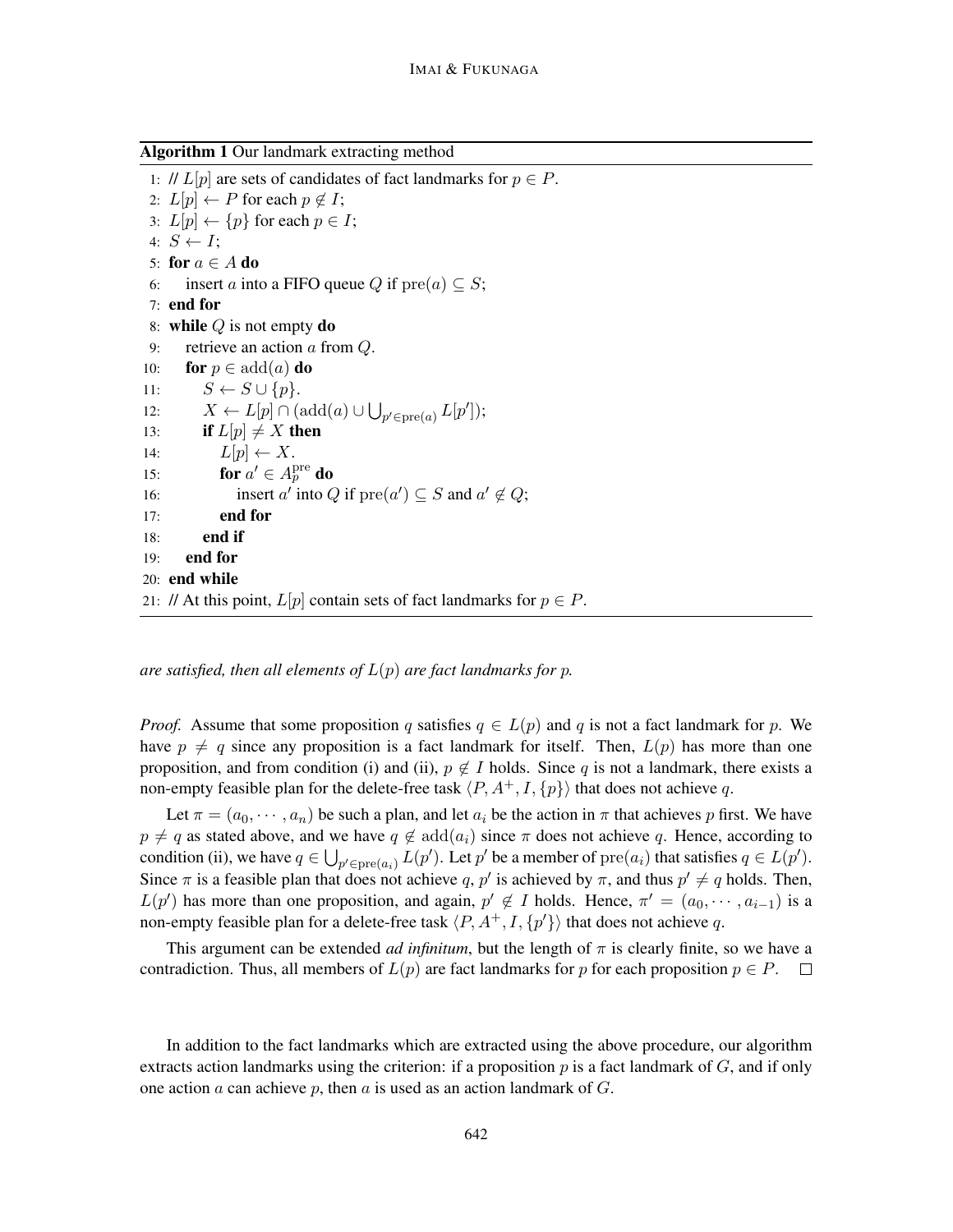Algorithm 1 Our landmark extracting method

1: //  $L[p]$  are sets of candidates of fact landmarks for  $p \in P$ . 2:  $L[p] \leftarrow P$  for each  $p \notin I$ ; 3:  $L[p] \leftarrow \{p\}$  for each  $p \in I$ ; 4:  $S \leftarrow I$ ; 5: for  $a \in A$  do 6: insert a into a FIFO queue Q if  $pre(a) \subseteq S$ ; 7: end for 8: while  $Q$  is not empty do 9: retrieve an action a from Q. 10: **for**  $p \in \text{add}(a)$  **do** 11:  $S \leftarrow S \cup \{p\}.$ 12:  $X \leftarrow L[p] \cap (\text{add}(a) \cup \bigcup_{p' \in \text{pre}(a)} L[p'])$ ; 13: if  $L[p] \neq X$  then 14:  $L[p] \leftarrow X$ . 15: for  $a' \in A_p^{\text{pre}}$  do 16: insert a' into Q if  $pre(a') \subseteq S$  and  $a' \notin Q$ ; 17: end for 18: end if 19: end for 20: end while 21: // At this point,  $L[p]$  contain sets of fact landmarks for  $p \in P$ .

*are satisfied, then all elements of* L(p) *are fact landmarks for* p*.*

*Proof.* Assume that some proposition q satisfies  $q \in L(p)$  and q is not a fact landmark for p. We have  $p \neq q$  since any proposition is a fact landmark for itself. Then,  $L(p)$  has more than one proposition, and from condition (i) and (ii),  $p \notin I$  holds. Since q is not a landmark, there exists a non-empty feasible plan for the delete-free task  $\langle P, A^+, I, {p} \rangle$  that does not achieve q.

Let  $\pi = (a_0, \dots, a_n)$  be such a plan, and let  $a_i$  be the action in  $\pi$  that achieves p first. We have  $p \neq q$  as stated above, and we have  $q \notin \text{add}(a_i)$  since  $\pi$  does not achieve q. Hence, according to condition (ii), we have  $q \in \bigcup_{p' \in \text{pre}(a_i)} L(p')$ . Let  $p'$  be a member of  $\text{pre}(a_i)$  that satisfies  $q \in L(p')$ . Since  $\pi$  is a feasible plan that does not achieve q, p' is achieved by  $\pi$ , and thus  $p' \neq q$  holds. Then,  $L(p')$  has more than one proposition, and again,  $p' \notin I$  holds. Hence,  $\pi' = (a_0, \dots, a_{i-1})$  is a non-empty feasible plan for a delete-free task  $\langle P, A^+, I, \{p'\}\rangle$  that does not achieve q.

This argument can be extended *ad infinitum*, but the length of  $\pi$  is clearly finite, so we have a contradiction. Thus, all members of  $L(p)$  are fact landmarks for p for each proposition  $p \in P$ .

In addition to the fact landmarks which are extracted using the above procedure, our algorithm extracts action landmarks using the criterion: if a proposition p is a fact landmark of  $G$ , and if only one action a can achieve p, then a is used as an action landmark of  $G$ .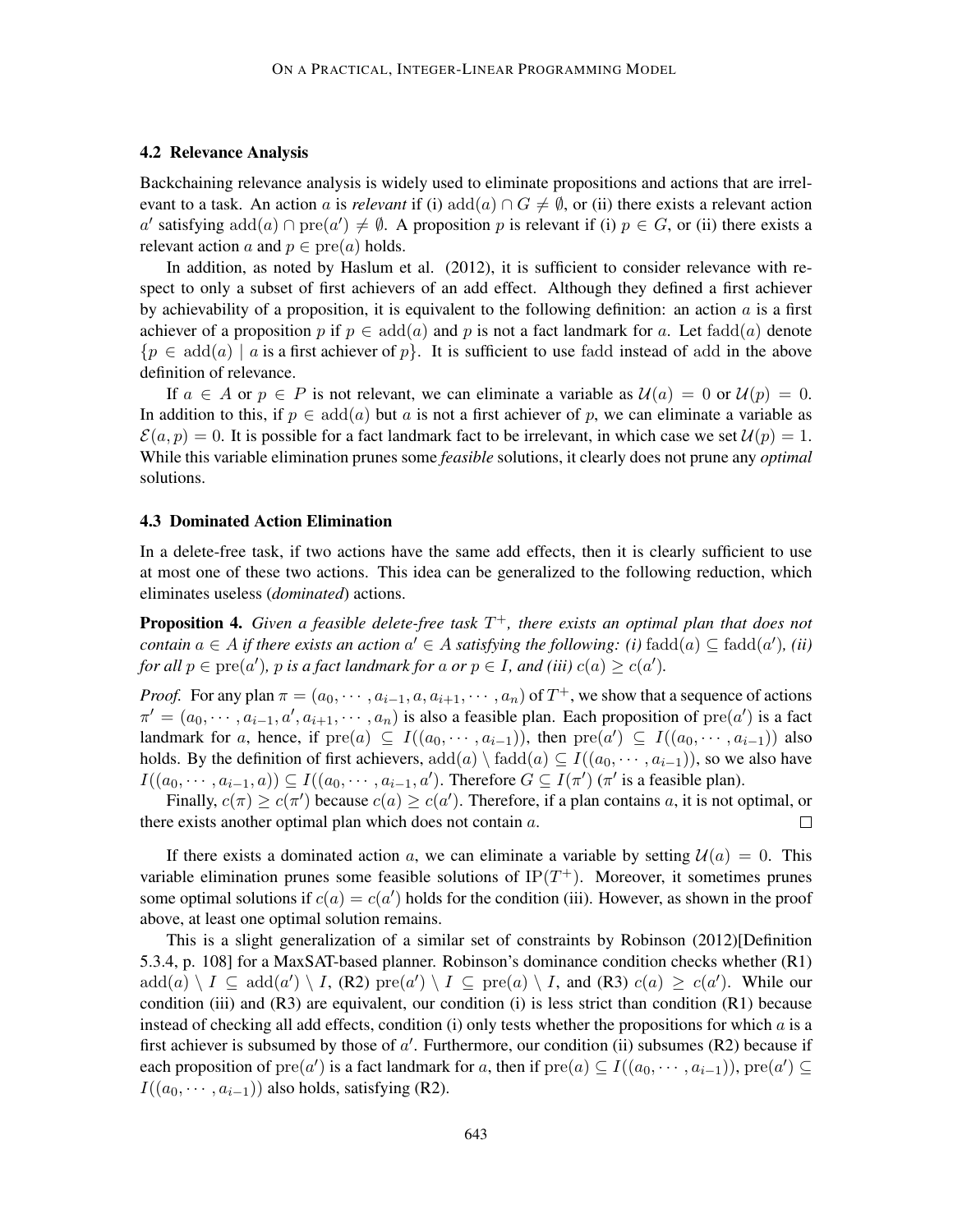### 4.2 Relevance Analysis

Backchaining relevance analysis is widely used to eliminate propositions and actions that are irrelevant to a task. An action a is *relevant* if (i) add(a)  $\cap G \neq \emptyset$ , or (ii) there exists a relevant action a' satisfying  $add(a) \cap pre(a') \neq \emptyset$ . A proposition p is relevant if (i)  $p \in G$ , or (ii) there exists a relevant action a and  $p \in \text{pre}(a)$  holds.

In addition, as noted by Haslum et al. (2012), it is sufficient to consider relevance with respect to only a subset of first achievers of an add effect. Although they defined a first achiever by achievability of a proposition, it is equivalent to the following definition: an action  $\alpha$  is a first achiever of a proposition p if  $p \in \text{add}(a)$  and p is not a fact landmark for a. Let fadd $(a)$  denote  ${p \in \text{add}(a) \mid a \text{ is a first achievement of } p}$ . It is sufficient to use fadd instead of add in the above definition of relevance.

If  $a \in A$  or  $p \in P$  is not relevant, we can eliminate a variable as  $\mathcal{U}(a) = 0$  or  $\mathcal{U}(p) = 0$ . In addition to this, if  $p \in \text{add}(a)$  but a is not a first achiever of p, we can eliminate a variable as  $\mathcal{E}(a, p) = 0$ . It is possible for a fact landmark fact to be irrelevant, in which case we set  $\mathcal{U}(p) = 1$ . While this variable elimination prunes some *feasible* solutions, it clearly does not prune any *optimal* solutions.

### 4.3 Dominated Action Elimination

In a delete-free task, if two actions have the same add effects, then it is clearly sufficient to use at most one of these two actions. This idea can be generalized to the following reduction, which eliminates useless (*dominated*) actions.

Proposition 4. *Given a feasible delete-free task* T <sup>+</sup>*, there exists an optimal plan that does not contain*  $a \in A$  *if there exists an action*  $a' \in A$  *satisfying the following: (i)*  $fadd(a) \subseteq fadd(a')$ *, (ii) for all*  $p \in \text{pre}(a')$ *,*  $p$  *is a fact landmark for a or*  $p \in I$ *, and (iii)*  $c(a) \geq c(a')$ *.* 

*Proof.* For any plan  $\pi = (a_0, \dots, a_{i-1}, a, a_{i+1}, \dots, a_n)$  of  $T^+$ , we show that a sequence of actions  $\pi' = (a_0, \dots, a_{i-1}, a', a_{i+1}, \dots, a_n)$  is also a feasible plan. Each proposition of  $pre(a')$  is a fact landmark for a, hence, if  $pre(a) \subseteq I((a_0, \cdots, a_{i-1}))$ , then  $pre(a') \subseteq I((a_0, \cdots, a_{i-1}))$  also holds. By the definition of first achievers,  $add(a) \setminus fadd(a) \subseteq I((a_0, \dots, a_{i-1}))$ , so we also have  $I((a_0, \dots, a_{i-1}, a)) \subseteq I((a_0, \dots, a_{i-1}, a')$ . Therefore  $G \subseteq I(\pi')$  ( $\pi'$  is a feasible plan).

Finally,  $c(\pi) \ge c(\pi')$  because  $c(a) \ge c(a')$ . Therefore, if a plan contains a, it is not optimal, or there exists another optimal plan which does not contain a.  $\Box$ 

If there exists a dominated action a, we can eliminate a variable by setting  $\mathcal{U}(a) = 0$ . This variable elimination prunes some feasible solutions of  $IP(T^{+})$ . Moreover, it sometimes prunes some optimal solutions if  $c(a) = c(a')$  holds for the condition (iii). However, as shown in the proof above, at least one optimal solution remains.

This is a slight generalization of a similar set of constraints by Robinson (2012)[Definition 5.3.4, p. 108] for a MaxSAT-based planner. Robinson's dominance condition checks whether (R1)  $add(a) \setminus I \subseteq add(a') \setminus I$ , (R2)  $pre(a') \setminus I \subseteq pre(a) \setminus I$ , and (R3)  $c(a) \geq c(a')$ . While our condition (iii) and  $(R3)$  are equivalent, our condition (i) is less strict than condition  $(R1)$  because instead of checking all add effects, condition (i) only tests whether the propositions for which  $a$  is a first achiever is subsumed by those of  $a'$ . Furthermore, our condition (ii) subsumes (R2) because if each proposition of  $\text{pre}(a')$  is a fact landmark for a, then if  $\text{pre}(a) \subseteq I((a_0, \cdots, a_{i-1}))$ ,  $\text{pre}(a') \subseteq$  $I((a_0, \cdots, a_{i-1}))$  also holds, satisfying (R2).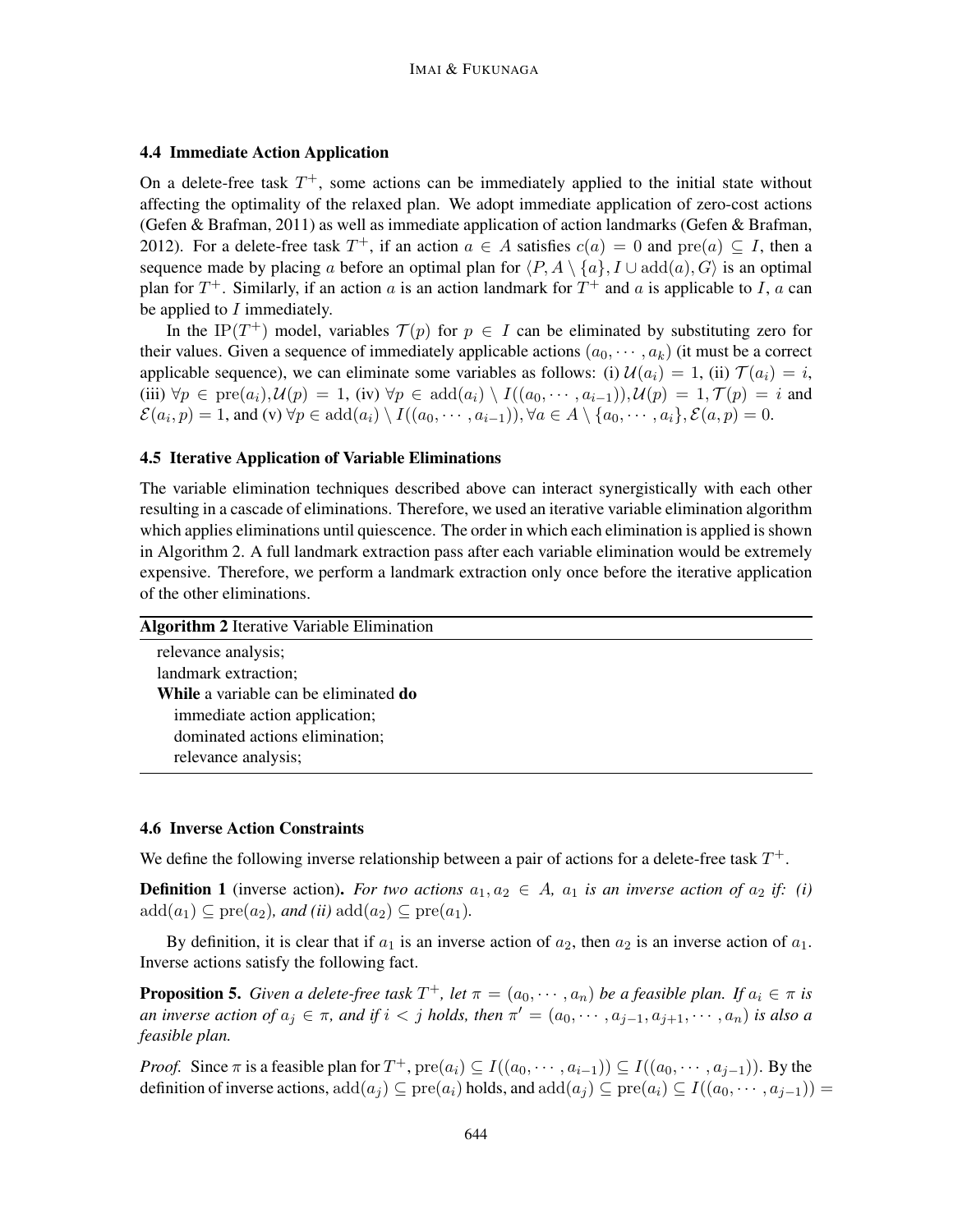## 4.4 Immediate Action Application

On a delete-free task  $T^+$ , some actions can be immediately applied to the initial state without affecting the optimality of the relaxed plan. We adopt immediate application of zero-cost actions (Gefen & Brafman, 2011) as well as immediate application of action landmarks (Gefen & Brafman, 2012). For a delete-free task  $T^+$ , if an action  $a \in A$  satisfies  $c(a) = 0$  and  $pre(a) \subseteq I$ , then a sequence made by placing a before an optimal plan for  $\langle P, A \setminus \{a\}, I \cup \text{add}(a), G \rangle$  is an optimal plan for  $T^+$ . Similarly, if an action a is an action landmark for  $T^+$  and a is applicable to I, a can be applied to  $I$  immediately.

In the IP(T<sup>+</sup>) model, variables  $\mathcal{T}(p)$  for  $p \in I$  can be eliminated by substituting zero for their values. Given a sequence of immediately applicable actions  $(a_0, \dots, a_k)$  (it must be a correct applicable sequence), we can eliminate some variables as follows: (i)  $\mathcal{U}(a_i) = 1$ , (ii)  $\mathcal{T}(a_i) = i$ , (iii)  $\forall p \in \text{pre}(a_i), \mathcal{U}(p) = 1$ , (iv)  $\forall p \in \text{add}(a_i) \setminus I((a_0, \dots, a_{i-1})), \mathcal{U}(p) = 1, \mathcal{T}(p) = i$  and  $\mathcal{E}(a_i, p) = 1$ , and (v)  $\forall p \in \text{add}(a_i) \setminus I((a_0, \dots, a_{i-1})), \forall a \in A \setminus \{a_0, \dots, a_i\}, \mathcal{E}(a, p) = 0.$ 

## 4.5 Iterative Application of Variable Eliminations

The variable elimination techniques described above can interact synergistically with each other resulting in a cascade of eliminations. Therefore, we used an iterative variable elimination algorithm which applies eliminations until quiescence. The order in which each elimination is applied is shown in Algorithm 2. A full landmark extraction pass after each variable elimination would be extremely expensive. Therefore, we perform a landmark extraction only once before the iterative application of the other eliminations.

| <b>Algorithm 2</b> Iterative Variable Elimination |  |
|---------------------------------------------------|--|
| relevance analysis;                               |  |
| landmark extraction;                              |  |
| While a variable can be eliminated do             |  |
| immediate action application;                     |  |
| dominated actions elimination;                    |  |
| relevance analysis;                               |  |
|                                                   |  |

## 4.6 Inverse Action Constraints

We define the following inverse relationship between a pair of actions for a delete-free task  $T^+$ .

**Definition 1** (inverse action). For two actions  $a_1, a_2 \in A$ ,  $a_1$  is an inverse action of  $a_2$  if: (i)  $\mathrm{add}(a_1) \subseteq \mathrm{pre}(a_2)$ *, and (ii)*  $\mathrm{add}(a_2) \subseteq \mathrm{pre}(a_1)$ *.* 

By definition, it is clear that if  $a_1$  is an inverse action of  $a_2$ , then  $a_2$  is an inverse action of  $a_1$ . Inverse actions satisfy the following fact.

**Proposition 5.** *Given a delete-free task*  $T^+$ , *let*  $\pi = (a_0, \dots, a_n)$  *be a feasible plan. If*  $a_i \in \pi$  *is an inverse action of*  $a_j \in \pi$ , and if  $i < j$  holds, then  $\pi' = (a_0, \dots, a_{j-1}, a_{j+1}, \dots, a_n)$  is also a *feasible plan.*

*Proof.* Since  $\pi$  is a feasible plan for  $T^+$ ,  $\text{pre}(a_i) \subseteq I((a_0, \dots, a_{i-1})) \subseteq I((a_0, \dots, a_{j-1}))$ . By the definition of inverse actions,  $add(a_i) \subseteq pre(a_i)$  holds, and  $add(a_i) \subseteq pre(a_i) \subseteq I((a_0, \dots, a_{i-1}))$  =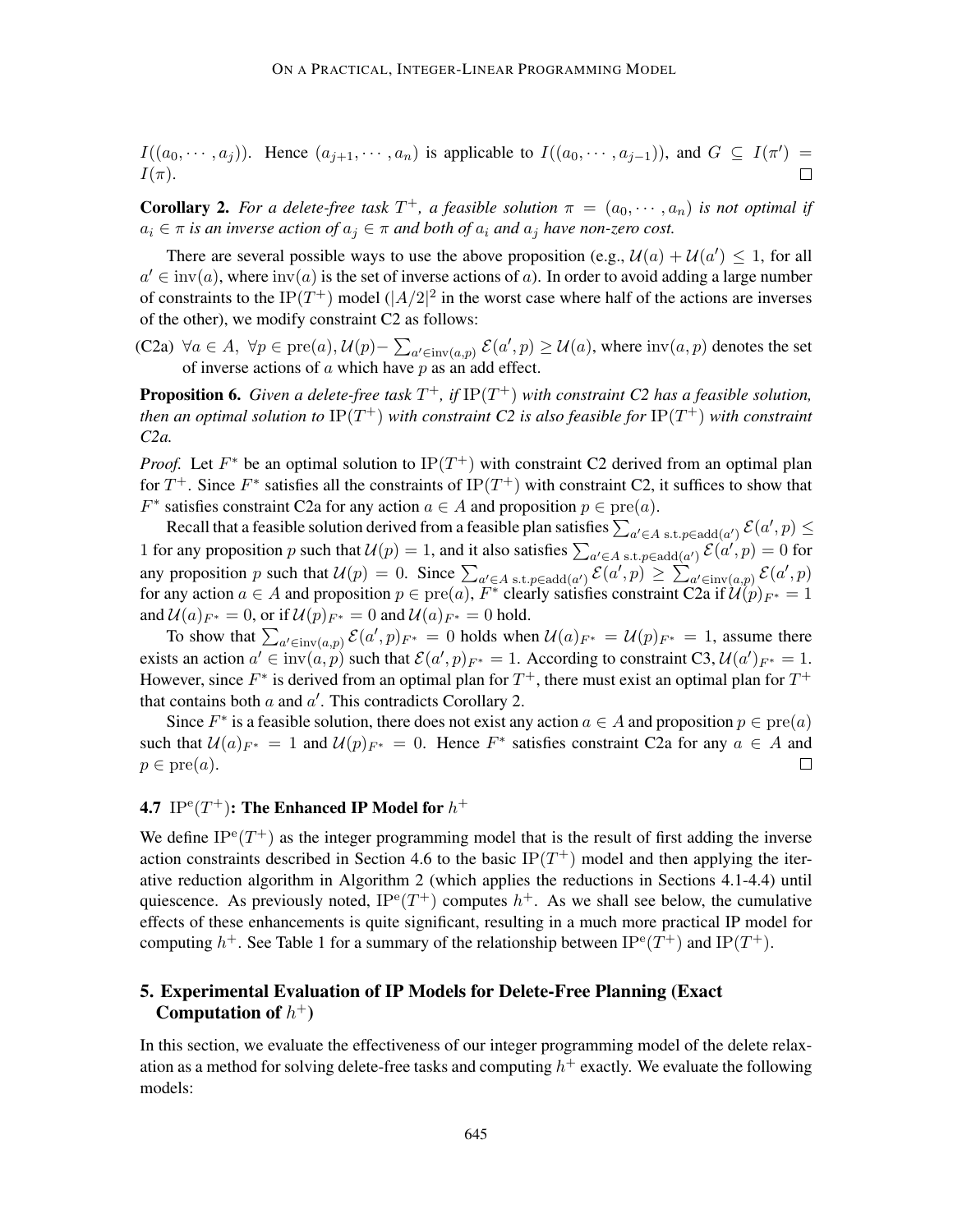$I((a_0,\dots,a_j))$ . Hence  $(a_{j+1},\dots,a_n)$  is applicable to  $I((a_0,\dots,a_{j-1}))$ , and  $G \subseteq I(\pi') =$  $I(\pi)$ .  $\Box$ 

**Corollary 2.** For a delete-free task  $T^+$ , a feasible solution  $\pi = (a_0, \dots, a_n)$  is not optimal if  $a_i \in \pi$  *is an inverse action of*  $a_j \in \pi$  *and both of*  $a_i$  *and*  $a_j$  *have non-zero cost.* 

There are several possible ways to use the above proposition (e.g.,  $\mathcal{U}(a) + \mathcal{U}(a') \leq 1$ , for all  $a' \in \text{inv}(a)$ , where  $\text{inv}(a)$  is the set of inverse actions of a). In order to avoid adding a large number of constraints to the IP(T<sup>+</sup>) model ( $|A/2|^2$  in the worst case where half of the actions are inverses of the other), we modify constraint C2 as follows:

(C2a)  $\forall a \in A$ ,  $\forall p \in pre(a)$ ,  $\mathcal{U}(p) - \sum_{a' \in inv(a,p)} \mathcal{E}(a',p) \geq \mathcal{U}(a)$ , where  $inv(a,p)$  denotes the set of inverse actions of  $a$  which have  $p$  as an add effect.

**Proposition 6.** Given a delete-free task  $T^+$ , if  $IP(T^+)$  with constraint C2 has a feasible solution, *then an optimal solution to* IP(T <sup>+</sup>) *with constraint C2 is also feasible for* IP(T <sup>+</sup>) *with constraint C2a.*

*Proof.* Let  $F^*$  be an optimal solution to  $IP(T^+)$  with constraint C2 derived from an optimal plan for  $T^+$ . Since  $F^*$  satisfies all the constraints of IP( $T^+$ ) with constraint C2, it suffices to show that  $F^*$  satisfies constraint C2a for any action  $a \in A$  and proposition  $p \in \text{pre}(a)$ .

Recall that a feasible solution derived from a feasible plan satisfies  $\sum_{a'\in A}$  s.t.  $p\in{\rm add}(a')$   $\mathcal{E}(a',p)\leq$ 1 for any proposition p such that  $\mathcal{U}(p) = 1$ , and it also satisfies  $\sum_{a' \in A} s.t. p \in \text{add}(a')} \mathcal{E}(a', p) = 0$  for any proposition p such that  $\mathcal{U}(p) = 0$ . Since  $\sum_{a' \in A \text{ s.t. } p \in \text{add}(a')} \mathcal{E}(a', p) \ge \sum_{a' \in \text{inv}(a, p)} \mathcal{E}(a', p)$ for any action  $a \in A$  and proposition  $p \in \text{pre}(a)$ ,  $F^*$  clearly satisfies constraint C2a if  $\mathcal{U}(p)_{F^*} = 1$ and  $\mathcal{U}(a)_{F^*} = 0$ , or if  $\mathcal{U}(p)_{F^*} = 0$  and  $\mathcal{U}(a)_{F^*} = 0$  hold.

To show that  $\sum_{a' \in \text{inv}(a,p)} \mathcal{E}(a',p)_{F^*} = 0$  holds when  $\mathcal{U}(a)_{F^*} = \mathcal{U}(p)_{F^*} = 1$ , assume there exists an action  $a' \in inv(a, p)$  such that  $\mathcal{E}(a', p)_{F^*} = 1$ . According to constraint C3,  $\mathcal{U}(a')_{F^*} = 1$ . However, since  $F^*$  is derived from an optimal plan for  $T^+$ , there must exist an optimal plan for  $T^+$ that contains both  $a$  and  $a'$ . This contradicts Corollary 2.

Since  $F^*$  is a feasible solution, there does not exist any action  $a \in A$  and proposition  $p \in \text{pre}(a)$ such that  $\mathcal{U}(a)_{F^*} = 1$  and  $\mathcal{U}(p)_{F^*} = 0$ . Hence  $F^*$  satisfies constraint C2a for any  $a \in A$  and  $p \in \text{pre}(a)$ .  $\Box$ 

## 4.7  $\,$  IP $^{\rm e}(T^+)$ : The Enhanced IP Model for  $h^+$

We define  $IP^e(T^+)$  as the integer programming model that is the result of first adding the inverse action constraints described in Section 4.6 to the basic  $IP(T^+)$  model and then applying the iterative reduction algorithm in Algorithm 2 (which applies the reductions in Sections 4.1-4.4) until quiescence. As previously noted,  $IP^{e}(T^{+})$  computes  $h^{+}$ . As we shall see below, the cumulative effects of these enhancements is quite significant, resulting in a much more practical IP model for computing  $h^+$ . See Table 1 for a summary of the relationship between  $IP^e(T^+)$  and  $IP(T^+)$ .

## 5. Experimental Evaluation of IP Models for Delete-Free Planning (Exact Computation of  $h^+$ )

In this section, we evaluate the effectiveness of our integer programming model of the delete relaxation as a method for solving delete-free tasks and computing  $h^+$  exactly. We evaluate the following models: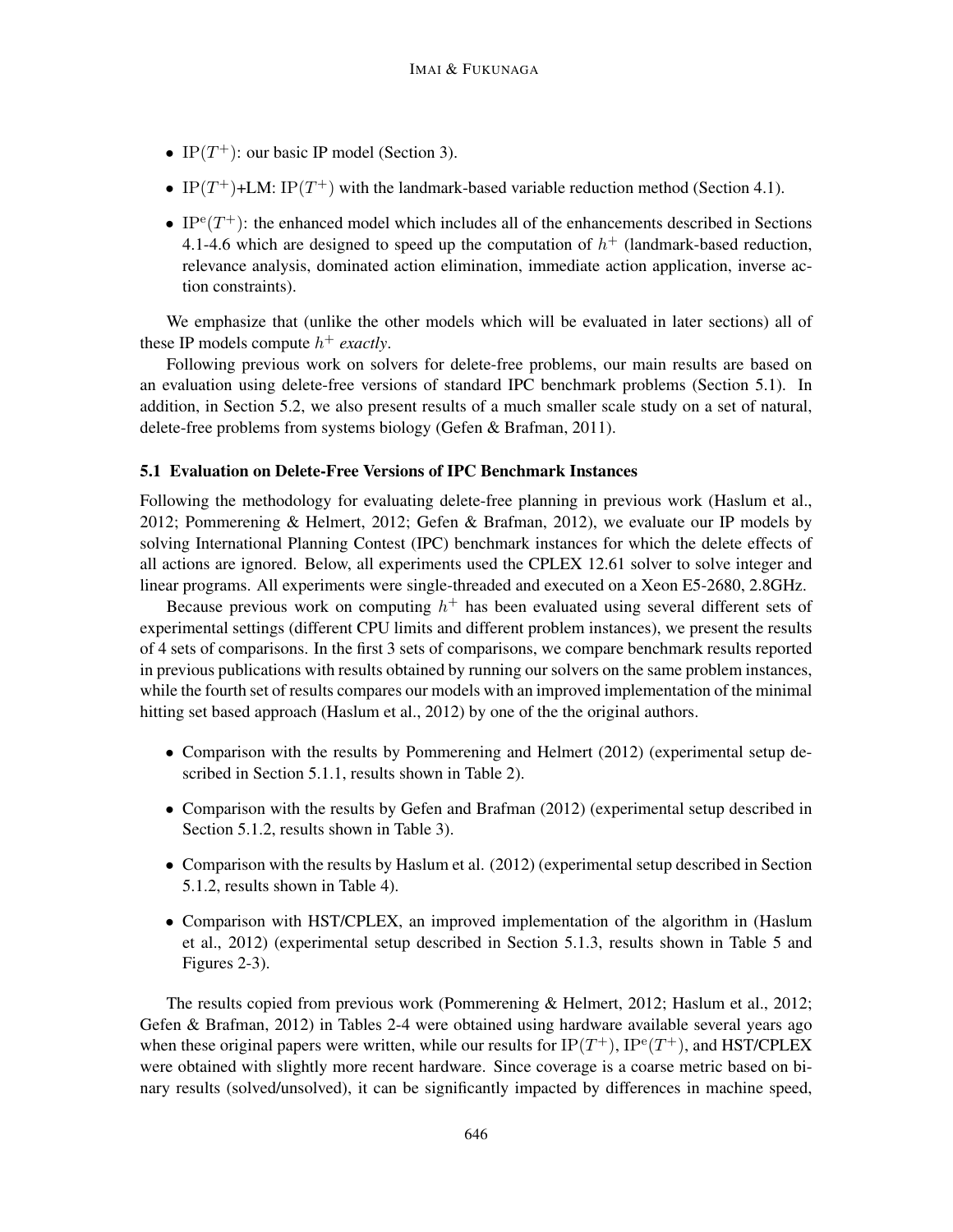- IP $(T^+)$ : our basic IP model (Section 3).
- IP(T<sup>+</sup>)+LM: IP(T<sup>+</sup>) with the landmark-based variable reduction method (Section 4.1).
- IP<sup>e</sup> $(T^+)$ : the enhanced model which includes all of the enhancements described in Sections 4.1-4.6 which are designed to speed up the computation of  $h<sup>+</sup>$  (landmark-based reduction, relevance analysis, dominated action elimination, immediate action application, inverse action constraints).

We emphasize that (unlike the other models which will be evaluated in later sections) all of these IP models compute  $h^+$  *exactly*.

Following previous work on solvers for delete-free problems, our main results are based on an evaluation using delete-free versions of standard IPC benchmark problems (Section 5.1). In addition, in Section 5.2, we also present results of a much smaller scale study on a set of natural, delete-free problems from systems biology (Gefen & Brafman, 2011).

## 5.1 Evaluation on Delete-Free Versions of IPC Benchmark Instances

Following the methodology for evaluating delete-free planning in previous work (Haslum et al., 2012; Pommerening & Helmert, 2012; Gefen & Brafman, 2012), we evaluate our IP models by solving International Planning Contest (IPC) benchmark instances for which the delete effects of all actions are ignored. Below, all experiments used the CPLEX 12.61 solver to solve integer and linear programs. All experiments were single-threaded and executed on a Xeon E5-2680, 2.8GHz.

Because previous work on computing  $h^+$  has been evaluated using several different sets of experimental settings (different CPU limits and different problem instances), we present the results of 4 sets of comparisons. In the first 3 sets of comparisons, we compare benchmark results reported in previous publications with results obtained by running our solvers on the same problem instances, while the fourth set of results compares our models with an improved implementation of the minimal hitting set based approach (Haslum et al., 2012) by one of the the original authors.

- Comparison with the results by Pommerening and Helmert (2012) (experimental setup described in Section 5.1.1, results shown in Table 2).
- Comparison with the results by Gefen and Brafman (2012) (experimental setup described in Section 5.1.2, results shown in Table 3).
- Comparison with the results by Haslum et al. (2012) (experimental setup described in Section 5.1.2, results shown in Table 4).
- Comparison with HST/CPLEX, an improved implementation of the algorithm in (Haslum et al., 2012) (experimental setup described in Section 5.1.3, results shown in Table 5 and Figures 2-3).

The results copied from previous work (Pommerening & Helmert, 2012; Haslum et al., 2012; Gefen & Brafman, 2012) in Tables 2-4 were obtained using hardware available several years ago when these original papers were written, while our results for  $IP(T^+)$ ,  $IP^e(T^+)$ , and HST/CPLEX were obtained with slightly more recent hardware. Since coverage is a coarse metric based on binary results (solved/unsolved), it can be significantly impacted by differences in machine speed,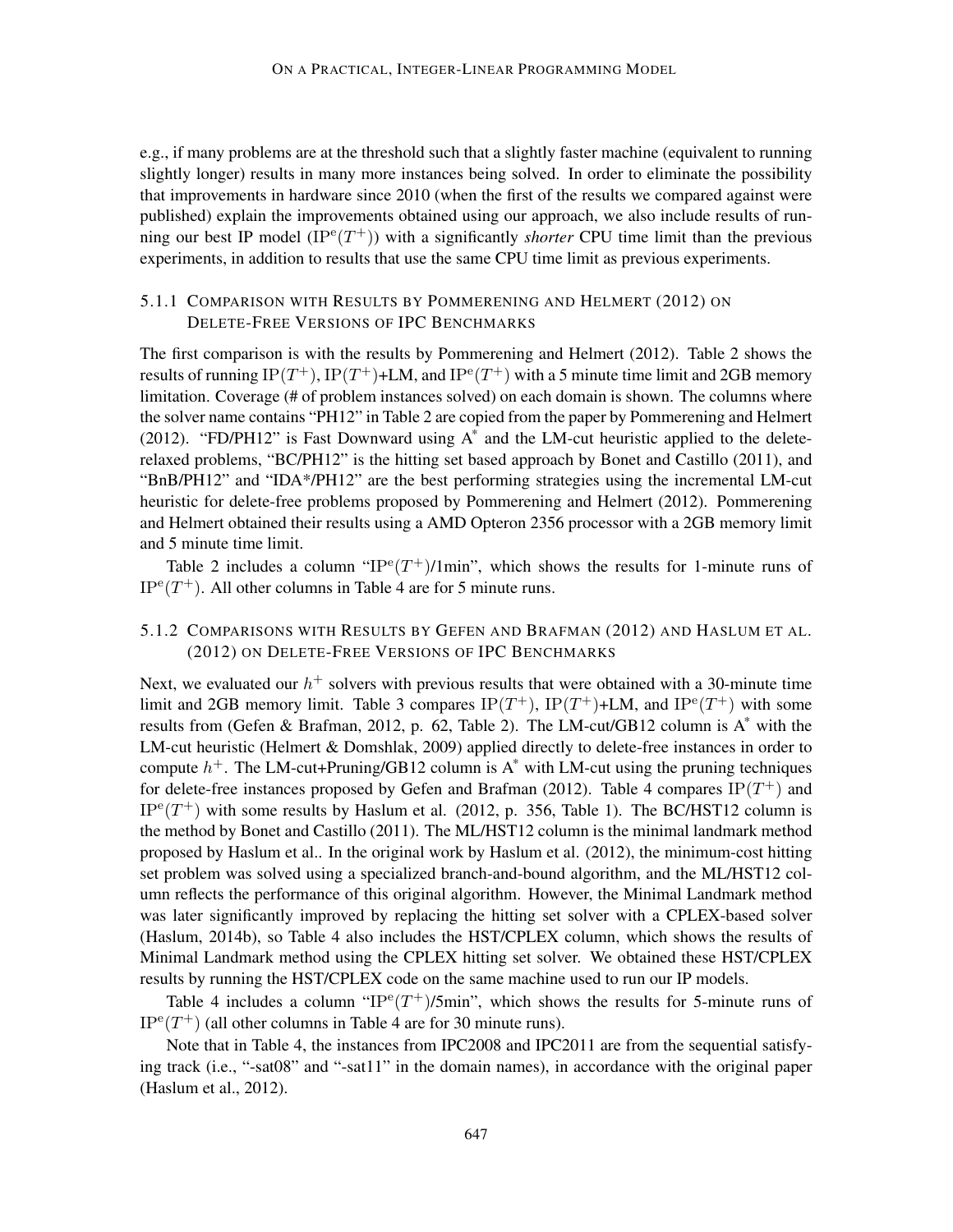e.g., if many problems are at the threshold such that a slightly faster machine (equivalent to running slightly longer) results in many more instances being solved. In order to eliminate the possibility that improvements in hardware since 2010 (when the first of the results we compared against were published) explain the improvements obtained using our approach, we also include results of running our best IP model  $(IP^e(T^+))$  with a significantly *shorter* CPU time limit than the previous experiments, in addition to results that use the same CPU time limit as previous experiments.

## 5.1.1 COMPARISON WITH RESULTS BY POMMERENING AND HELMERT (2012) ON DELETE-FREE VERSIONS OF IPC BENCHMARKS

The first comparison is with the results by Pommerening and Helmert (2012). Table 2 shows the results of running  $IP(T^+)$ ,  $IP(T^+)$ +LM, and  $IP^e(T^+)$  with a 5 minute time limit and 2GB memory limitation. Coverage (# of problem instances solved) on each domain is shown. The columns where the solver name contains "PH12" in Table 2 are copied from the paper by Pommerening and Helmert (2012). "FD/PH12" is Fast Downward using  $A^*$  and the LM-cut heuristic applied to the deleterelaxed problems, "BC/PH12" is the hitting set based approach by Bonet and Castillo (2011), and "BnB/PH12" and "IDA\*/PH12" are the best performing strategies using the incremental LM-cut heuristic for delete-free problems proposed by Pommerening and Helmert (2012). Pommerening and Helmert obtained their results using a AMD Opteron 2356 processor with a 2GB memory limit and 5 minute time limit.

Table 2 includes a column " $IP^e(T^+)/1$ min", which shows the results for 1-minute runs of  $IP<sup>e</sup>(T<sup>+</sup>)$ . All other columns in Table 4 are for 5 minute runs.

## 5.1.2 COMPARISONS WITH RESULTS BY GEFEN AND BRAFMAN (2012) AND HASLUM ET AL. (2012) ON DELETE-FREE VERSIONS OF IPC BENCHMARKS

Next, we evaluated our  $h^+$  solvers with previous results that were obtained with a 30-minute time limit and 2GB memory limit. Table 3 compares  $IP(T^+)$ ,  $IP(T^+)$ +LM, and  $IP^e(T^+)$  with some results from (Gefen & Brafman, 2012, p. 62, Table 2). The LM-cut/GB12 column is  $A^*$  with the LM-cut heuristic (Helmert & Domshlak, 2009) applied directly to delete-free instances in order to compute  $h^+$ . The LM-cut+Pruning/GB12 column is  $A^*$  with LM-cut using the pruning techniques for delete-free instances proposed by Gefen and Brafman (2012). Table 4 compares  $IP(T^+)$  and  $IP<sup>e</sup>(T<sup>+</sup>)$  with some results by Haslum et al. (2012, p. 356, Table 1). The BC/HST12 column is the method by Bonet and Castillo (2011). The ML/HST12 column is the minimal landmark method proposed by Haslum et al.. In the original work by Haslum et al. (2012), the minimum-cost hitting set problem was solved using a specialized branch-and-bound algorithm, and the ML/HST12 column reflects the performance of this original algorithm. However, the Minimal Landmark method was later significantly improved by replacing the hitting set solver with a CPLEX-based solver (Haslum, 2014b), so Table 4 also includes the HST/CPLEX column, which shows the results of Minimal Landmark method using the CPLEX hitting set solver. We obtained these HST/CPLEX results by running the HST/CPLEX code on the same machine used to run our IP models.

Table 4 includes a column " $IP^e(T^+)$ /5min", which shows the results for 5-minute runs of  $IP^e(T^+)$  (all other columns in Table 4 are for 30 minute runs).

Note that in Table 4, the instances from IPC2008 and IPC2011 are from the sequential satisfying track (i.e., "-sat08" and "-sat11" in the domain names), in accordance with the original paper (Haslum et al., 2012).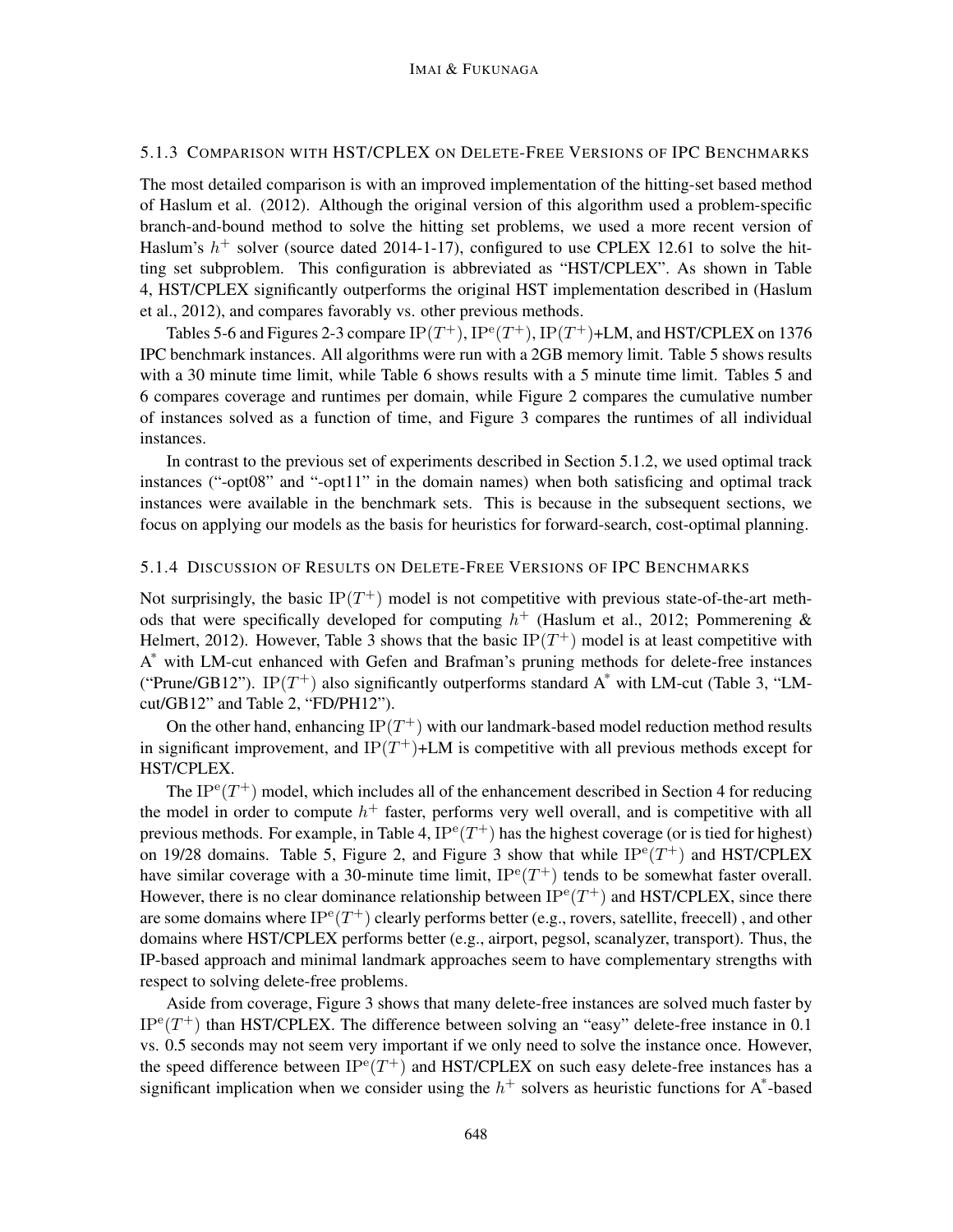## 5.1.3 COMPARISON WITH HST/CPLEX ON DELETE-FREE VERSIONS OF IPC BENCHMARKS

The most detailed comparison is with an improved implementation of the hitting-set based method of Haslum et al. (2012). Although the original version of this algorithm used a problem-specific branch-and-bound method to solve the hitting set problems, we used a more recent version of Haslum's  $h^+$  solver (source dated 2014-1-17), configured to use CPLEX 12.61 to solve the hitting set subproblem. This configuration is abbreviated as "HST/CPLEX". As shown in Table 4, HST/CPLEX significantly outperforms the original HST implementation described in (Haslum et al., 2012), and compares favorably vs. other previous methods.

Tables 5-6 and Figures 2-3 compare  $IP(T^+), IP^{\text{e}}(T^+), IP(T^+)$ +LM, and HST/CPLEX on 1376 IPC benchmark instances. All algorithms were run with a 2GB memory limit. Table 5 shows results with a 30 minute time limit, while Table 6 shows results with a 5 minute time limit. Tables 5 and 6 compares coverage and runtimes per domain, while Figure 2 compares the cumulative number of instances solved as a function of time, and Figure 3 compares the runtimes of all individual instances.

In contrast to the previous set of experiments described in Section 5.1.2, we used optimal track instances ("-opt08" and "-opt11" in the domain names) when both satisficing and optimal track instances were available in the benchmark sets. This is because in the subsequent sections, we focus on applying our models as the basis for heuristics for forward-search, cost-optimal planning.

#### 5.1.4 DISCUSSION OF RESULTS ON DELETE-FREE VERSIONS OF IPC BENCHMARKS

Not surprisingly, the basic  $IP(T^+)$  model is not competitive with previous state-of-the-art methods that were specifically developed for computing  $h^+$  (Haslum et al., 2012; Pommerening & Helmert, 2012). However, Table 3 shows that the basic  $IP(T^+)$  model is at least competitive with A \* with LM-cut enhanced with Gefen and Brafman's pruning methods for delete-free instances ("Prune/GB12"). IP( $T^+$ ) also significantly outperforms standard  $A^*$  with LM-cut (Table 3, "LMcut/GB12" and Table 2, "FD/PH12").

On the other hand, enhancing  $IP(T^+)$  with our landmark-based model reduction method results in significant improvement, and IP $(T^+)$ +LM is competitive with all previous methods except for HST/CPLEX.

The IP<sup>e</sup> $(T^+)$  model, which includes all of the enhancement described in Section 4 for reducing the model in order to compute  $h^+$  faster, performs very well overall, and is competitive with all previous methods. For example, in Table 4,  $IP^{\text{e}}(T^+)$  has the highest coverage (or is tied for highest) on 19/28 domains. Table 5, Figure 2, and Figure 3 show that while  $IP^e(T^+)$  and HST/CPLEX have similar coverage with a 30-minute time limit,  $IP^{e}(T^{+})$  tends to be somewhat faster overall. However, there is no clear dominance relationship between  $IP^e(T^+)$  and HST/CPLEX, since there are some domains where  $IP^{\rm e}(T^+)$  clearly performs better (e.g., rovers, satellite, freecell), and other domains where HST/CPLEX performs better (e.g., airport, pegsol, scanalyzer, transport). Thus, the IP-based approach and minimal landmark approaches seem to have complementary strengths with respect to solving delete-free problems.

Aside from coverage, Figure 3 shows that many delete-free instances are solved much faster by  $IP^e(T^+)$  than HST/CPLEX. The difference between solving an "easy" delete-free instance in 0.1 vs. 0.5 seconds may not seem very important if we only need to solve the instance once. However, the speed difference between  $IP^{e}(T^{+})$  and HST/CPLEX on such easy delete-free instances has a significant implication when we consider using the  $h^+$  solvers as heuristic functions for A\*-based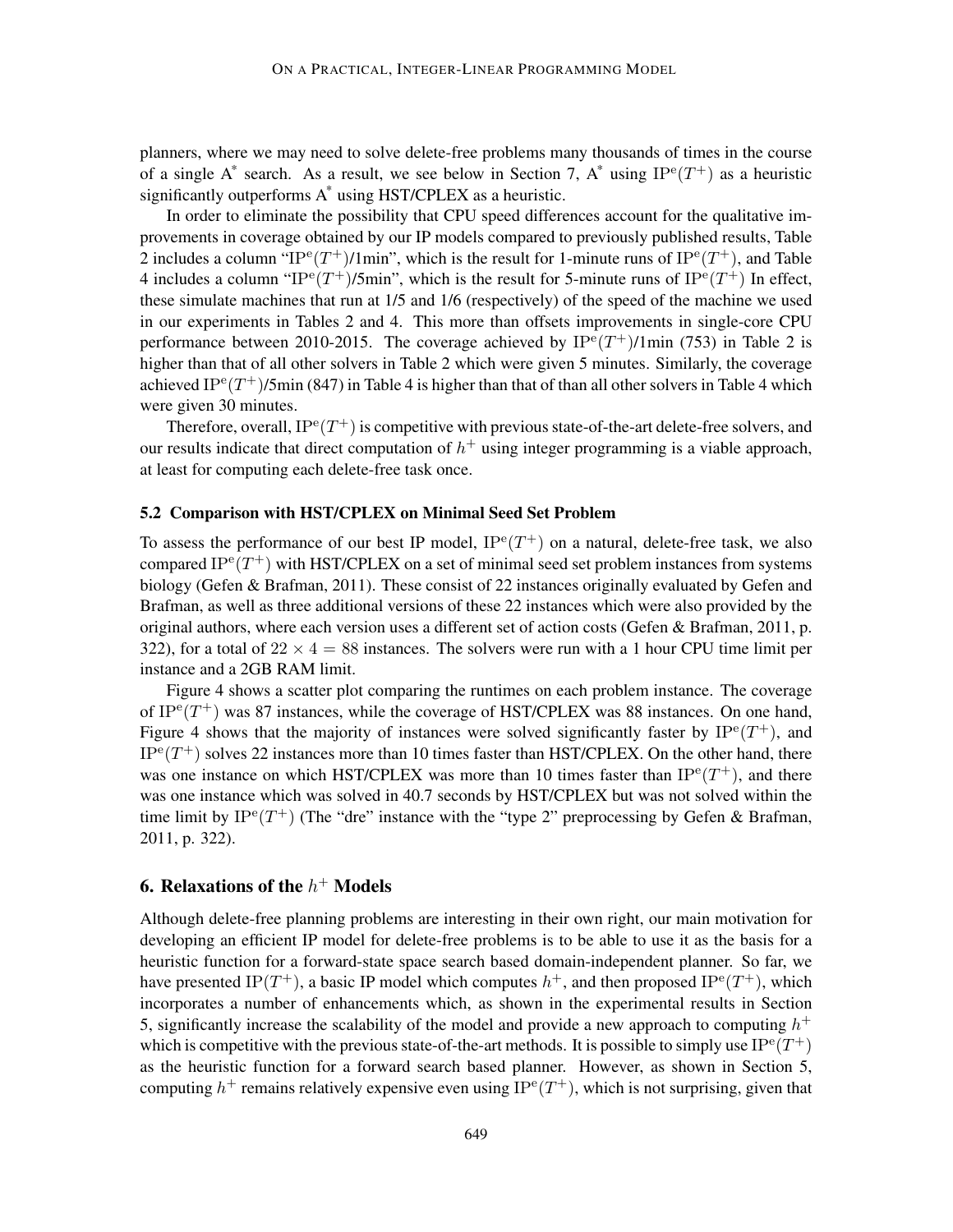planners, where we may need to solve delete-free problems many thousands of times in the course of a single A<sup>\*</sup> search. As a result, we see below in Section 7, A<sup>\*</sup> using  $IP^e(T^+)$  as a heuristic significantly outperforms A\* using HST/CPLEX as a heuristic.

In order to eliminate the possibility that CPU speed differences account for the qualitative improvements in coverage obtained by our IP models compared to previously published results, Table 2 includes a column "IP<sup>e</sup> $(T^{\dagger})$ /1min", which is the result for 1-minute runs of IP<sup>e</sup> $(T^{\dagger})$ , and Table 4 includes a column "IP<sup>e</sup> $(T^{+})$ /5min", which is the result for 5-minute runs of IP<sup>e</sup> $(T^{+})$  In effect, these simulate machines that run at 1/5 and 1/6 (respectively) of the speed of the machine we used in our experiments in Tables 2 and 4. This more than offsets improvements in single-core CPU performance between 2010-2015. The coverage achieved by  $IP^e(T^+)/1$ min (753) in Table 2 is higher than that of all other solvers in Table 2 which were given 5 minutes. Similarly, the coverage achieved IP<sup>e</sup>(T<sup>+</sup>)/5min (847) in Table 4 is higher than that of than all other solvers in Table 4 which were given 30 minutes.

Therefore, overall,  $IP^e(T^+)$  is competitive with previous state-of-the-art delete-free solvers, and our results indicate that direct computation of  $h^+$  using integer programming is a viable approach, at least for computing each delete-free task once.

## 5.2 Comparison with HST/CPLEX on Minimal Seed Set Problem

To assess the performance of our best IP model,  $IP^e(T^+)$  on a natural, delete-free task, we also compared IP $e(T^+)$  with HST/CPLEX on a set of minimal seed set problem instances from systems biology (Gefen & Brafman, 2011). These consist of 22 instances originally evaluated by Gefen and Brafman, as well as three additional versions of these 22 instances which were also provided by the original authors, where each version uses a different set of action costs (Gefen & Brafman, 2011, p. 322), for a total of  $22 \times 4 = 88$  instances. The solvers were run with a 1 hour CPU time limit per instance and a 2GB RAM limit.

Figure 4 shows a scatter plot comparing the runtimes on each problem instance. The coverage of IP $e(T^+)$  was 87 instances, while the coverage of HST/CPLEX was 88 instances. On one hand, Figure 4 shows that the majority of instances were solved significantly faster by  $IP^e(T^+)$ , and  $IP^e(T^+)$  solves 22 instances more than 10 times faster than HST/CPLEX. On the other hand, there was one instance on which HST/CPLEX was more than 10 times faster than  $IP^e(T^+)$ , and there was one instance which was solved in 40.7 seconds by HST/CPLEX but was not solved within the time limit by  $IP^e(T^+)$  (The "dre" instance with the "type 2" preprocessing by Gefen & Brafman, 2011, p. 322).

# 6. Relaxations of the  $h^+$  Models

Although delete-free planning problems are interesting in their own right, our main motivation for developing an efficient IP model for delete-free problems is to be able to use it as the basis for a heuristic function for a forward-state space search based domain-independent planner. So far, we have presented IP(T<sup>+</sup>), a basic IP model which computes  $h^+$ , and then proposed IP<sup>e</sup>(T<sup>+</sup>), which incorporates a number of enhancements which, as shown in the experimental results in Section 5, significantly increase the scalability of the model and provide a new approach to computing  $h^+$ which is competitive with the previous state-of-the-art methods. It is possible to simply use  $IP^e(T^+)$ as the heuristic function for a forward search based planner. However, as shown in Section 5, computing  $h^+$  remains relatively expensive even using IP<sup>e</sup>(T<sup>+</sup>), which is not surprising, given that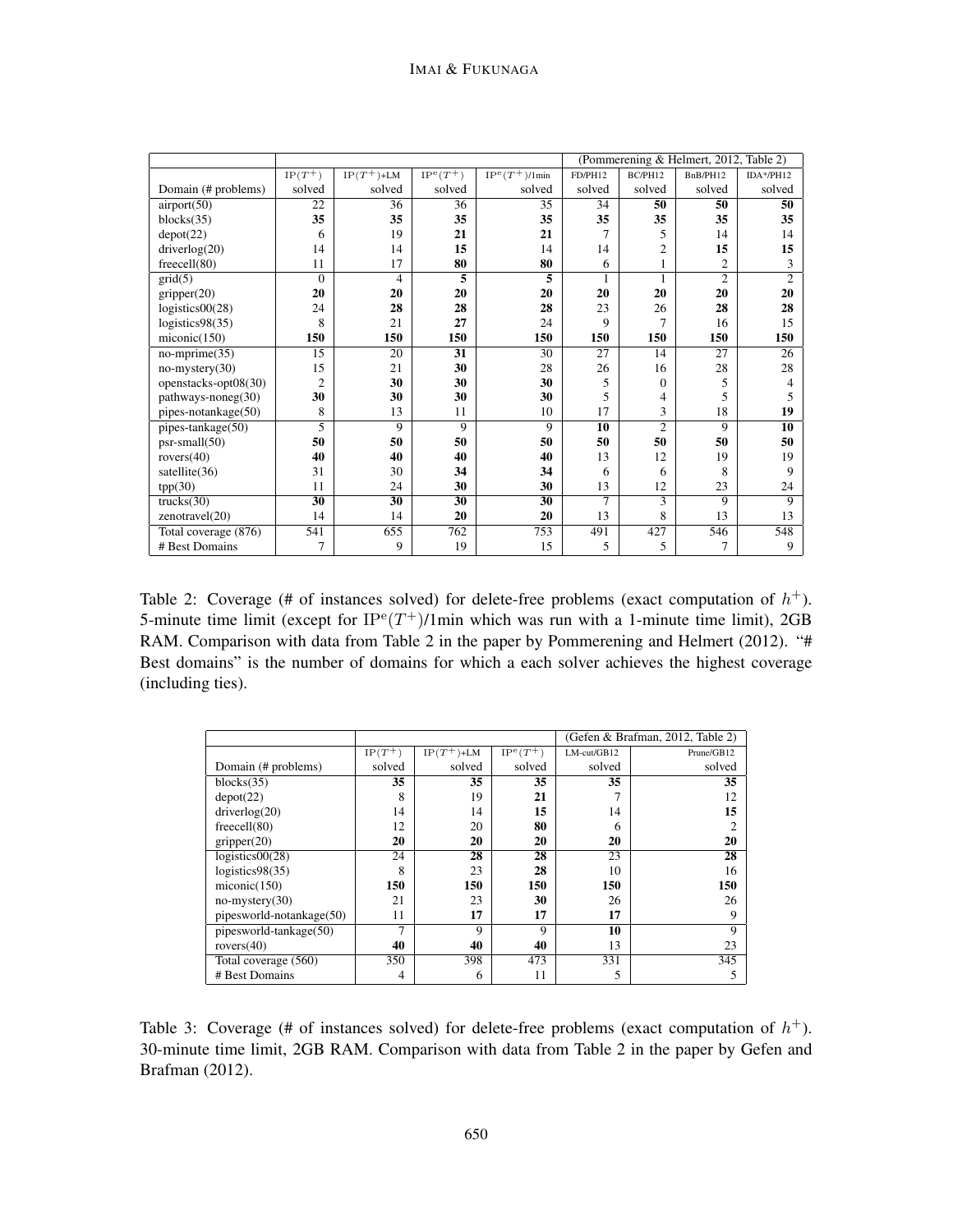|                      |                |                |                 |                   |         | (Pommerening & Helmert, 2012, Table 2) |                          |                |
|----------------------|----------------|----------------|-----------------|-------------------|---------|----------------------------------------|--------------------------|----------------|
|                      | $IP(T^+)$      | $IP(T^+)$ +LM  | $IP^e(T^+)$     | $IP^e(T^+)/1$ min | FD/PH12 | BC/PH12                                | BnB/PH12                 | IDA*/PH12      |
| Domain (# problems)  | solved         | solved         | solved          | solved            | solved  | solved                                 | solved                   | solved         |
| airport(50)          | 22             | 36             | 36              | 35                | 34      | 50                                     | 50                       | 50             |
| blocks(35)           | 35             | 35             | 35              | 35                | 35      | 35                                     | 35                       | 35             |
| depot(22)            | 6              | 19             | 21              | 21                | 7       | 5                                      | 14                       | 14             |
| driverlog(20)        | 14             | 14             | 15              | 14                | 14      | $\overline{2}$                         | 15                       | 15             |
| freecell(80)         | 11             | 17             | 80              | 80                | 6       | $\mathbf{1}$                           | $\overline{c}$           | 3              |
| grid(5)              | $\Omega$       | 4              | 5               | 5                 | 1       | 1                                      | $\overline{c}$           | $\overline{2}$ |
| gripper(20)          | 20             | 20             | 20              | 20                | 20      | 20                                     | 20                       | 20             |
| logistics00(28)      | 24             | 28             | 28              | 28                | 23      | 26                                     | 28                       | 28             |
| logistics98(35)      | 8              | 21             | 27              | 24                | 9       | 7                                      | 16                       | 15             |
| miconic(150)         | 150            | 150            | 150             | 150               | 150     | 150                                    | 150                      | 150            |
| $no-mprime(35)$      | 15             | 20             | 31              | 30                | 27      | 14                                     | 27                       | 26             |
| $no$ -mystery $(30)$ | 15             | 21             | 30              | 28                | 26      | 16                                     | 28                       | 28             |
| openstacks-opt08(30) | $\overline{2}$ | 30             | 30              | 30                | 5       | $\mathbf{0}$                           | 5                        | 4              |
| $pathways-noneg(30)$ | 30             | 30             | 30              | 30                | 5       | 4                                      | $\overline{\phantom{0}}$ | 5              |
| pipes-notankage(50)  | 8              | 13             | 11              | 10                | 17      | 3                                      | 18                       | 19             |
| pipes-tankage(50)    | 5              | $\overline{Q}$ | $\overline{Q}$  | $\overline{Q}$    | 10      | $\overline{2}$                         | 9                        | 10             |
| psr-small(50)        | 50             | 50             | 50              | 50                | 50      | 50                                     | 50                       | 50             |
| rovers $(40)$        | 40             | 40             | 40              | 40                | 13      | 12                                     | 19                       | 19             |
| satellite(36)        | 31             | 30             | 34              | 34                | 6       | 6                                      | 8                        | 9              |
| tpp(30)              | 11             | 24             | 30              | 30                | 13      | 12                                     | 23                       | 24             |
| trucks(30)           | 30             | 30             | $\overline{30}$ | 30                | 7       | 3                                      | 9                        | 9              |
| zenotravel(20)       | 14             | 14             | 20              | 20                | 13      | 8                                      | 13                       | 13             |
| Total coverage (876) | 541            | 655            | 762             | 753               | 491     | 427                                    | 546                      | 548            |
| # Best Domains       | 7              | 9              | 19              | 15                | 5       | 5                                      | 7                        | 9              |

Table 2: Coverage (# of instances solved) for delete-free problems (exact computation of  $h^+$ ). 5-minute time limit (except for  $IP^e(T^+)/1$ min which was run with a 1-minute time limit), 2GB RAM. Comparison with data from Table 2 in the paper by Pommerening and Helmert (2012). "# Best domains" is the number of domains for which a each solver achieves the highest coverage (including ties).

|                          |           |               |             | (Gefen & Brafman, 2012, Table 2) |                |  |  |
|--------------------------|-----------|---------------|-------------|----------------------------------|----------------|--|--|
|                          | $IP(T^+)$ | $IP(T^+)$ +LM | $IP^e(T^+)$ | $LM$ -cut/GB12                   | Prune/GB12     |  |  |
| Domain (# problems)      | solved    | solved        | solved      | solved                           | solved         |  |  |
| blocks(35)               | 35        | 35            | 35          | 35                               | 35             |  |  |
| depot(22)                | 8         | 19            | 21          |                                  | 12             |  |  |
| driverlog(20)            | 14        | 14            | 15          | 14                               | 15             |  |  |
| freecell(80)             | 12        | 20            | 80          | 6                                | $\overline{c}$ |  |  |
| gripper(20)              | 20        | 20            | 20          | 20                               | 20             |  |  |
| logistics00(28)          | 24        | 28            | 28          | 23                               | 28             |  |  |
| logistics98(35)          | 8         | 23            | 28          | 10                               | 16             |  |  |
| miconic(150)             | 150       | 150           | 150         | 150                              | 150            |  |  |
| $no-mysterv(30)$         | 21        | 23            | 30          | 26                               | 26             |  |  |
| pipesworld-notankage(50) | 11        | 17            | 17          | 17                               | 9              |  |  |
| pipesworld-tankage(50)   | 7         | $\mathbf Q$   | $\mathbf Q$ | 10                               | 9              |  |  |
| rovers $(40)$            | 40        | 40            | 40          | 13                               | 23             |  |  |
| Total coverage (560)     | 350       | 398           | 473         | 331                              | 345            |  |  |
| # Best Domains           | 4         | 6             | 11          | 5                                | 5              |  |  |

Table 3: Coverage (# of instances solved) for delete-free problems (exact computation of  $h^+$ ). 30-minute time limit, 2GB RAM. Comparison with data from Table 2 in the paper by Gefen and Brafman (2012).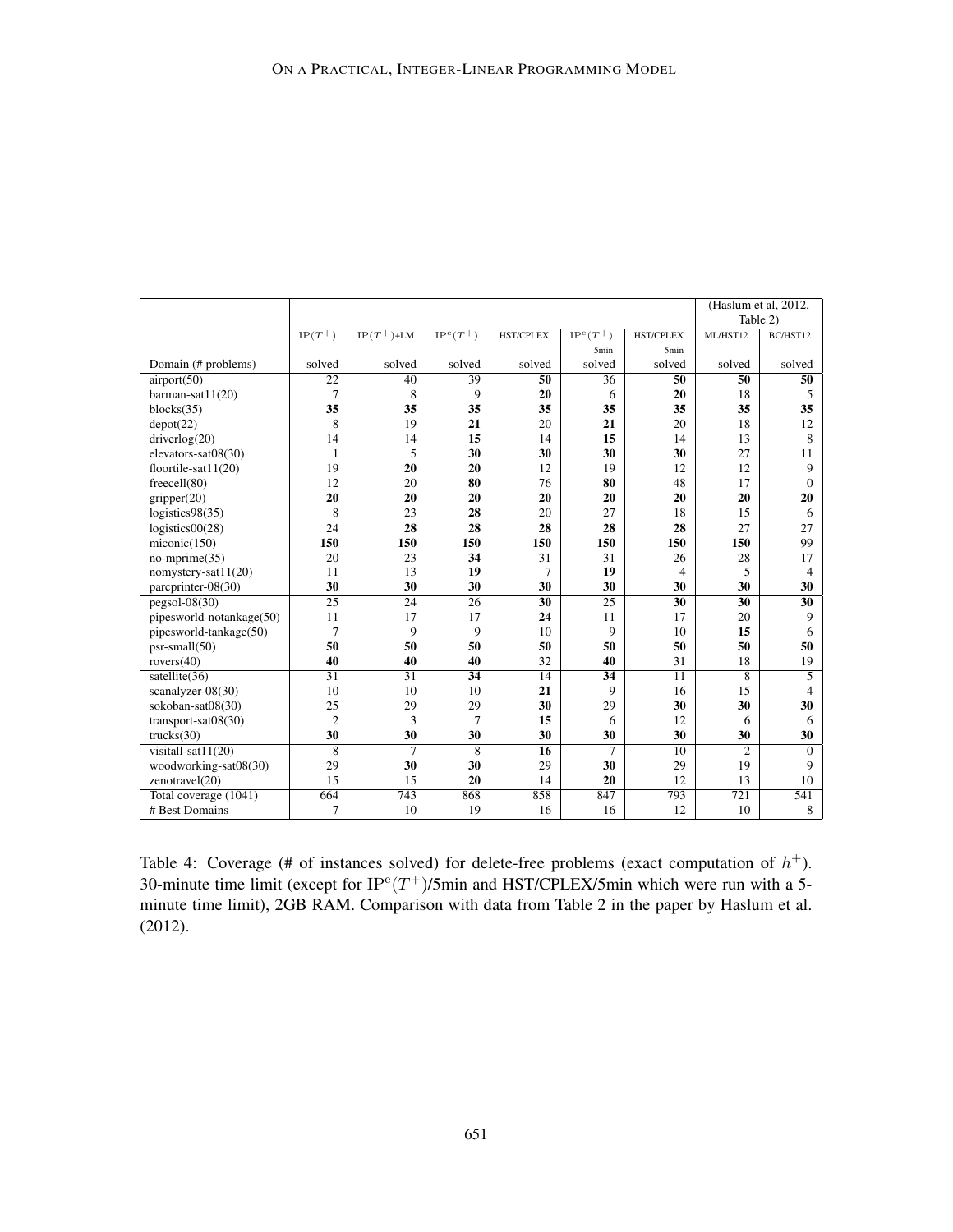|                          |                 |                 |                 | (Haslum et al, 2012, |                  |                  |                 |                 |
|--------------------------|-----------------|-----------------|-----------------|----------------------|------------------|------------------|-----------------|-----------------|
|                          |                 |                 |                 |                      |                  |                  | Table 2)        |                 |
|                          | $IP(T^+)$       | $IP(T^+)$ +LM   | $IP^e(T^+)$     | <b>HST/CPLEX</b>     | $IP^e(T^+)$      | <b>HST/CPLEX</b> | ML/HST12        | BC/HST12        |
|                          |                 |                 |                 |                      | 5 <sub>min</sub> | 5 <sub>min</sub> |                 |                 |
| Domain (# problems)      | solved          | solved          | solved          | solved               | solved           | solved           | solved          | solved          |
| airport(50)              | $\overline{22}$ | 40              | 39              | $\overline{50}$      | 36               | $\overline{50}$  | 50              | 50              |
| barman-sat11(20)         | $\overline{7}$  | 8               | 9               | 20                   | 6                | 20               | 18              | 5               |
| blocks(35)               | 35              | 35              | 35              | 35                   | 35               | 35               | 35              | 35              |
| depot(22)                | 8               | 19              | 21              | 20                   | 21               | 20               | 18              | 12              |
| driverlog(20)            | 14              | 14              | 15              | 14                   | 15               | 14               | 13              | 8               |
| elevators-sat08(30)      | 1               | 5               | $\overline{30}$ | $\overline{30}$      | $\overline{30}$  | $\overline{30}$  | $\overline{27}$ | $\overline{11}$ |
| floortile-sat $11(20)$   | 19              | 20              | 20              | 12                   | 19               | 12               | 12              | 9               |
| freecell(80)             | 12              | 20              | 80              | 76                   | 80               | 48               | 17              | $\mathbf{0}$    |
| gripper(20)              | 20              | 20              | 20              | 20                   | 20               | 20               | 20              | 20              |
| logistics $98(35)$       | 8               | 23              | 28              | 20                   | 27               | 18               | 15              | 6               |
| logistics00(28)          | 24              | $\overline{28}$ | 28              | 28                   | 28               | 28               | 27              | 27              |
| miconic(150)             | 150             | 150             | 150             | 150                  | 150              | 150              | 150             | 99              |
| $no\text{-}mprime(35)$   | 20              | 23              | 34              | 31                   | 31               | 26               | 28              | 17              |
| nomystery-sat11(20)      | 11              | 13              | 19              | 7                    | 19               | 4                | 5               | $\overline{4}$  |
| parcprinter-08(30)       | 30              | 30              | 30              | 30                   | 30               | 30               | 30              | 30              |
| $pegsol-08(30)$          | 25              | $\overline{24}$ | $\overline{26}$ | 30                   | 25               | $\overline{30}$  | 30              | 30              |
| pipesworld-notankage(50) | 11              | 17              | 17              | 24                   | 11               | 17               | 20              | 9               |
| pipesworld-tankage(50)   | 7               | 9               | 9               | 10                   | 9                | 10               | 15              | 6               |
| $psr-small(50)$          | 50              | 50              | 50              | 50                   | 50               | 50               | 50              | 50              |
| rovers $(40)$            | 40              | 40              | 40              | 32                   | 40               | 31               | 18              | 19              |
| satellite $(36)$         | $\overline{31}$ | $\overline{31}$ | 34              | $\overline{14}$      | 34               | $\overline{11}$  | 8               | 5               |
| scanalyzer-08(30)        | 10              | 10              | 10              | 21                   | 9                | 16               | 15              | 4               |
| sokoban-sat08(30)        | 25              | 29              | 29              | 30                   | 29               | 30               | 30              | 30              |
| transport-sat $08(30)$   | $\overline{2}$  | 3               | 7               | 15                   | 6                | 12               | 6               | 6               |
| trucks(30)               | 30              | 30              | 30              | 30                   | 30               | 30               | 30              | 30              |
| visitall-sat $11(20)$    | 8               | 7               | 8               | $\overline{16}$      | 7                | $\overline{10}$  | $\overline{c}$  | $\Omega$        |
| woodworking-sat08(30)    | 29              | 30              | 30              | 29                   | 30               | 29               | 19              | 9               |
| zenotravel(20)           | 15              | 15              | 20              | 14                   | 20               | 12               | 13              | 10              |
| Total coverage (1041)    | 664             | 743             | 868             | 858                  | 847              | 793              | 721             | 541             |
| # Best Domains           | 7               | 10              | 19              | 16                   | 16               | 12               | 10              | 8               |

Table 4: Coverage (# of instances solved) for delete-free problems (exact computation of  $h^+$ ). 30-minute time limit (except for  $IP^e(T^+)$ /5min and HST/CPLEX/5min which were run with a 5minute time limit), 2GB RAM. Comparison with data from Table 2 in the paper by Haslum et al. (2012).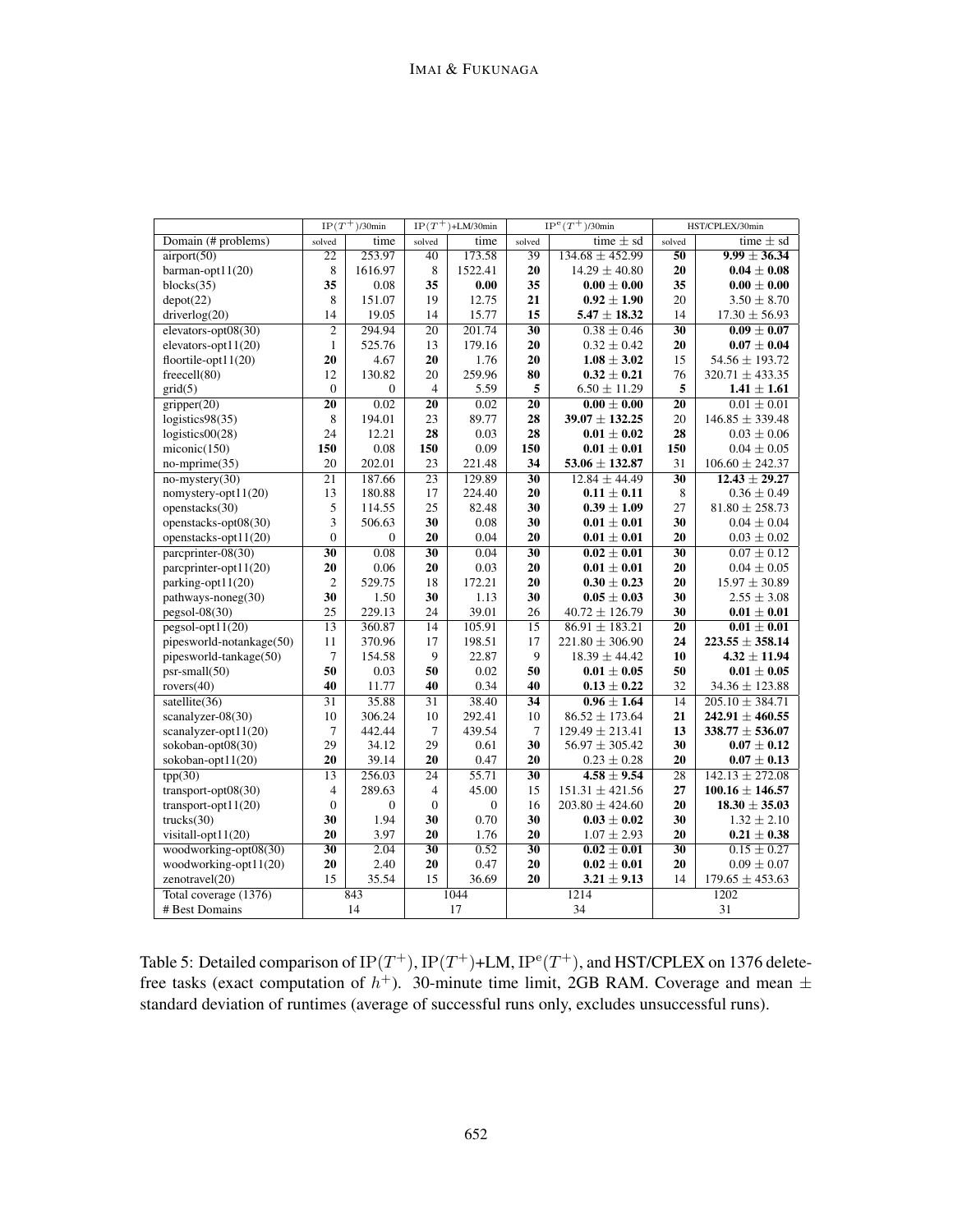|                          |                         | $IP(T^+)$ /30min |                  | $IP(T^+)$ +LM/30min |                 | $IP^e(T^+)$ /30min  |                 | HST/CPLEX/30min             |  |
|--------------------------|-------------------------|------------------|------------------|---------------------|-----------------|---------------------|-----------------|-----------------------------|--|
| Domain (# problems)      | solved                  | time             | solved           | time                | solved          | time $\pm$ sd       | solved          | time $\pm$ sd               |  |
| airport(50)              | $\overline{22}$         | 253.97           | 40               | 173.58              | 39              | $134.68 \pm 452.99$ | $\overline{50}$ | $\overline{9.99 \pm 36.34}$ |  |
| barman-opt11(20)         | 8                       | 1616.97          | $\,$ 8 $\,$      | 1522.41             | 20              | $14.29 \pm 40.80$   | 20              | $0.04 \pm 0.08$             |  |
| blocks(35)               | 35                      | 0.08             | 35               | 0.00                | 35              | $0.00 \pm 0.00$     | 35              | $0.00 \pm 0.00$             |  |
| depot(22)                | 8                       | 151.07           | 19               | 12.75               | 21              | $0.92 \pm 1.90$     | 20              | $3.50 \pm 8.70$             |  |
| driverlog(20)            | 14                      | 19.05            | 14               | 15.77               | 15              | $5.47 \pm 18.32$    | 14              | $17.30 \pm 56.93$           |  |
| elevators-opt $08(30)$   | $\overline{2}$          | 294.94           | $\overline{20}$  | 201.74              | $\overline{30}$ | $0.38 \pm 0.46$     | $\overline{30}$ | $0.09 \pm 0.07$             |  |
| elevators-opt $11(20)$   | $\mathbf{1}$            | 525.76           | 13               | 179.16              | 20              | $0.32 \pm 0.42$     | 20              | $0.07 \pm 0.04$             |  |
| floortile-opt $11(20)$   | 20                      | 4.67             | 20               | 1.76                | 20              | $1.08 \pm 3.02$     | 15              | $54.56 \pm 193.72$          |  |
| freecell(80)             | 12                      | 130.82           | 20               | 259.96              | 80              | $0.32 \pm 0.21$     | 76              | $320.71 \pm 433.35$         |  |
| grid(5)                  | $\mathbf{0}$            | $\mathbf{0}$     | $\overline{4}$   | 5.59                | 5               | $6.50 \pm 11.29$    | 5               | $1.41 \pm 1.61$             |  |
| gripper(20)              | 20                      | 0.02             | 20               | 0.02                | 20              | $0.00 \pm 0.00$     | 20              | $0.01 \pm 0.01$             |  |
| logistics98(35)          | 8                       | 194.01           | 23               | 89.77               | 28              | $39.07 \pm 132.25$  | 20              | $146.85 \pm 339.48$         |  |
| logistics $00(28)$       | 24                      | 12.21            | 28               | 0.03                | 28              | $0.01 \pm 0.02$     | 28              | $0.03 \pm 0.06$             |  |
| miconic(150)             | 150                     | 0.08             | 150              | 0.09                | 150             | $0.01 \pm 0.01$     | 150             | $0.04 \pm 0.05$             |  |
| $no\text{-}mprime(35)$   | 20                      | 202.01           | 23               | 221.48              | 34              | $53.06 \pm 132.87$  | 31              | $106.60 \pm 242.37$         |  |
| $no$ -mystery(30)        | 21                      | 187.66           | $\overline{23}$  | 129.89              | $\overline{30}$ | $12.84 \pm 44.49$   | $\overline{30}$ | $12.43 \pm 29.27$           |  |
| nomystery-opt $11(20)$   | 13                      | 180.88           | 17               | 224.40              | 20              | $0.11 \pm 0.11$     | 8               | $0.36 \pm 0.49$             |  |
| openstacks(30)           | 5                       | 114.55           | $25\,$           | 82.48               | 30              | $0.39\pm1.09$       | 27              | $81.80 \pm 258.73$          |  |
| openstacks-opt08(30)     | 3                       | 506.63           | 30               | 0.08                | 30              | $0.01 \pm 0.01$     | 30              | $0.04 \pm 0.04$             |  |
| openstacks-opt11(20)     | $\boldsymbol{0}$        | $\mathbf{0}$     | $20\,$           | 0.04                | 20              | $0.01 \pm 0.01$     | 20              | $0.03 \pm 0.02$             |  |
| parcprinter- $08(30)$    | $\overline{30}$         | 0.08             | 30               | 0.04                | $\overline{30}$ | $0.02 \pm 0.01$     | $\overline{30}$ | $0.07 \pm 0.12$             |  |
| parcprinter-opt11(20)    | 20                      | 0.06             | 20               | 0.03                | 20              | $0.01 \pm 0.01$     | 20              | $0.04 \pm 0.05$             |  |
| parking-opt11(20)        | $\overline{c}$          | 529.75           | 18               | 172.21              | 20              | $0.30 \pm 0.23$     | 20              | $15.97 \pm 30.89$           |  |
| pathways-noneg(30)       | 30                      | 1.50             | 30               | 1.13                | 30              | $0.05 \pm 0.03$     | 30              | $2.55 \pm 3.08$             |  |
| $pegsol-08(30)$          | 25                      | 229.13           | 24               | 39.01               | 26              | $40.72 \pm 126.79$  | 30              | $0.01 \pm 0.01$             |  |
| $pesol-opt11(20)$        | $\overline{13}$         | 360.87           | $\overline{14}$  | 105.91              | $\overline{15}$ | $86.91 \pm 183.21$  | $\overline{20}$ | $0.01 \pm 0.01$             |  |
| pipesworld-notankage(50) | 11                      | 370.96           | 17               | 198.51              | 17              | $221.80 \pm 306.90$ | 24              | $223.55 \pm 358.14$         |  |
| pipesworld-tankage(50)   | $\tau$                  | 154.58           | 9                | 22.87               | 9               | $18.39 \pm 44.42$   | 10              | $4.32 \pm 11.94$            |  |
| $psr$ -small $(50)$      | 50                      | 0.03             | 50               | 0.02                | 50              | $0.01 \pm 0.05$     | 50              | $0.01 \pm 0.05$             |  |
| rovers(40)               | 40                      | 11.77            | 40               | 0.34                | 40              | $0.13 \pm 0.22$     | 32              | $34.36 \pm 123.88$          |  |
| satellite(36)            | $\overline{31}$         | 35.88            | 31               | 38.40               | 34              | $0.96 \pm 1.64$     | 14              | $205.10 \pm 384.71$         |  |
| scanalyzer-08(30)        | 10                      | 306.24           | 10               | 292.41              | 10              | $86.52 \pm 173.64$  | 21              | $242.91 \pm 460.55$         |  |
| scanalyzer-opt11(20)     | 7                       | 442.44           | 7                | 439.54              | $\tau$          | $129.49 \pm 213.41$ | 13              | $338.77 \pm 536.07$         |  |
| sokoban-opt08(30)        | 29                      | 34.12            | 29               | 0.61                | 30              | $56.97 \pm 305.42$  | 30              | $0.07 \pm 0.12$             |  |
| sokoban-opt11(20)        | 20                      | 39.14            | $20\,$           | 0.47                | 20              | $0.23 \pm 0.28$     | 20              | $0.07 \pm 0.13$             |  |
| tpp(30)                  | $\overline{13}$         | 256.03           | $\overline{24}$  | 55.71               | $\overline{30}$ | $4.58 \pm 9.54$     | $\overline{28}$ | $142.13 \pm 272.08$         |  |
| transport-opt $08(30)$   | $\overline{\mathbf{4}}$ | 289.63           | $\overline{4}$   | 45.00               | 15              | $151.31 \pm 421.56$ | 27              | $100.16 \pm 146.57$         |  |
| transport-opt $11(20)$   | $\boldsymbol{0}$        | $\boldsymbol{0}$ | $\boldsymbol{0}$ | $\mathbf{0}$        | 16              | $203.80 \pm 424.60$ | 20              | $18.30 \pm 35.03$           |  |
| trucks(30)               | 30                      | 1.94             | 30               | 0.70                | 30              | $0.03 \pm 0.02$     | 30              | $1.32 \pm 2.10$             |  |
| visitall-opt11(20)       | 20                      | 3.97             | 20               | 1.76                | 20              | $1.07 \pm 2.93$     | 20              | $0.21 \pm 0.38$             |  |
| woodworking-opt08(30)    | $\overline{30}$         | 2.04             | $\overline{30}$  | 0.52                | $\overline{30}$ | $0.02 \pm 0.01$     | $\overline{30}$ | $0.15 \pm 0.27$             |  |
| woodworking-opt11(20)    | 20                      | 2.40             | 20               | 0.47                | 20              | $0.02 \pm 0.01$     | 20              | $0.09 \pm 0.07$             |  |
| zenotravel(20)           | 15                      | 35.54            | 15               | 36.69               | 20              | $3.21 \pm 9.13$     | 14              | $179.65 \pm 453.63$         |  |
| Total coverage (1376)    |                         | 843              |                  | 1044                |                 | 1214                |                 | 1202                        |  |
| # Best Domains           |                         | 14               |                  | 17                  | 34              |                     | 31              |                             |  |

Table 5: Detailed comparison of  $IP(T^+)$ ,  $IP(T^+)$ +LM,  $IP^e(T^+)$ , and HST/CPLEX on 1376 deletefree tasks (exact computation of  $h^+$ ). 30-minute time limit, 2GB RAM. Coverage and mean  $\pm$ standard deviation of runtimes (average of successful runs only, excludes unsuccessful runs).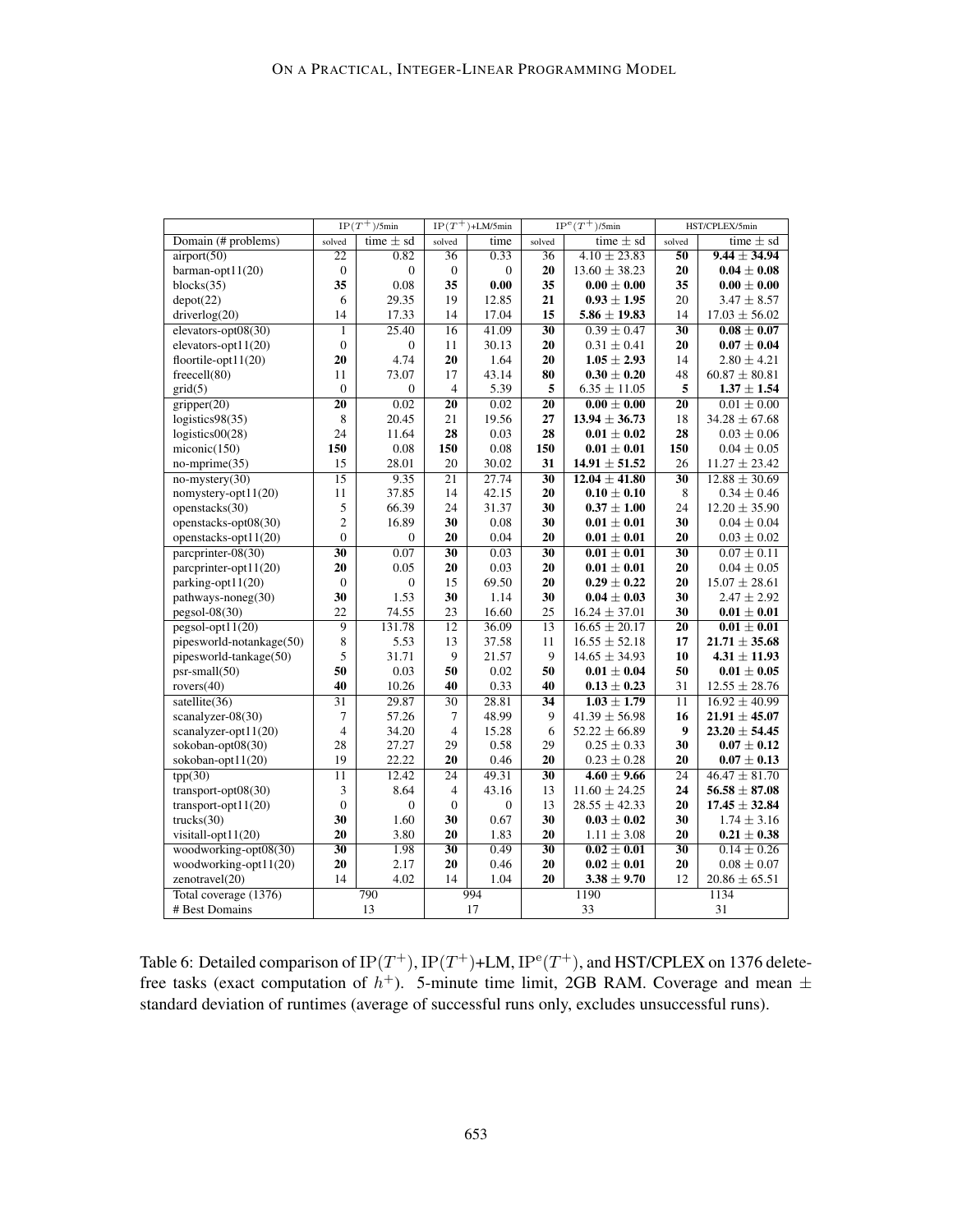|                          | $IP(T^+)$ /5min  |                  | $IP(T^+)$ +LM/5min |                     |                 | $IP^e(T^+)$ /5min | HST/CPLEX/5min  |                   |  |
|--------------------------|------------------|------------------|--------------------|---------------------|-----------------|-------------------|-----------------|-------------------|--|
| Domain (# problems)      | solved           | time $\pm$ sd    | solved             | time                | solved          | time $\pm$ sd     | solved          | time $\pm$ sd     |  |
| airport(50)              | $\overline{22}$  | 0.82             | $\overline{36}$    | 0.33                | $\overline{36}$ | $4.10 \pm 23.83$  | $\overline{50}$ | $9.44 \pm 34.94$  |  |
| barman-opt $11(20)$      | $\boldsymbol{0}$ | $\boldsymbol{0}$ | $\boldsymbol{0}$   | $\boldsymbol{0}$    | 20              | $13.60 \pm 38.23$ | 20              | $0.04 \pm 0.08$   |  |
| blocks(35)               | 35               | 0.08             | 35                 | $\boldsymbol{0.00}$ | 35              | $0.00 \pm 0.00$   | 35              | $0.00 \pm 0.00$   |  |
| depot(22)                | 6                | 29.35            | 19                 | 12.85               | 21              | $0.93 \pm 1.95$   | 20              | $3.47 \pm 8.57$   |  |
| driverlog(20)            | 14               | 17.33            | 14                 | 17.04               | 15              | $5.86 \pm 19.83$  | 14              | $17.03 \pm 56.02$ |  |
| elevators-opt $08(30)$   | $\overline{1}$   | 25.40            | 16                 | 41.09               | $\overline{30}$ | $0.39 \pm 0.47$   | $\overline{30}$ | $0.08 \pm 0.07$   |  |
| elevators-opt $11(20)$   | $\mathbf{0}$     | $\boldsymbol{0}$ | 11                 | 30.13               | 20              | $0.31 \pm 0.41$   | 20              | $0.07 \pm 0.04$   |  |
| floortile-opt $11(20)$   | 20               | 4.74             | 20                 | 1.64                | 20              | $1.05 \pm 2.93$   | 14              | $2.80 \pm 4.21$   |  |
| freecell(80)             | 11               | 73.07            | 17                 | 43.14               | 80              | $0.30 \pm 0.20$   | 48              | $60.87 \pm 80.81$ |  |
| grid(5)                  | $\mathbf{0}$     | $\mathbf{0}$     | $\overline{4}$     | 5.39                | 5               | $6.35 \pm 11.05$  | 5               | $1.37 \pm 1.54$   |  |
| gripper(20)              | 20               | 0.02             | 20                 | 0.02                | $\overline{20}$ | $0.00 \pm 0.00$   | 20              | $0.01 \pm 0.00$   |  |
| logistics98(35)          | 8                | 20.45            | 21                 | 19.56               | 27              | $13.94 \pm 36.73$ | 18              | $34.28 \pm 67.68$ |  |
| logistics $00(28)$       | 24               | 11.64            | 28                 | 0.03                | 28              | $0.01 \pm 0.02$   | 28              | $0.03 \pm 0.06$   |  |
| miconic(150)             | 150              | 0.08             | 150                | 0.08                | 150             | $0.01 \pm 0.01$   | 150             | $0.04 \pm 0.05$   |  |
| $no\text{-}mprime(35)$   | 15               | 28.01            | 20                 | 30.02               | 31              | $14.91 \pm 51.52$ | 26              | $11.27 \pm 23.42$ |  |
| $no$ -mystery(30)        | $\overline{15}$  | 9.35             | 21                 | 27.74               | $\overline{30}$ | $12.04 \pm 41.80$ | $\overline{30}$ | $12.88 \pm 30.69$ |  |
| nomystery-opt $11(20)$   | 11               | 37.85            | 14                 | 42.15               | 20              | $0.10 \pm 0.10$   | 8               | $0.34 \pm 0.46$   |  |
| openstacks(30)           | 5                | 66.39            | 24                 | 31.37               | 30              | $0.37\pm1.00$     | 24              | $12.20 \pm 35.90$ |  |
| openstacks-opt08(30)     | $\overline{2}$   | 16.89            | 30                 | 0.08                | 30              | $0.01 \pm 0.01$   | 30              | $0.04 \pm 0.04$   |  |
| openstacks-opt11(20)     | $\overline{0}$   | $\boldsymbol{0}$ | 20                 | 0.04                | 20              | $0.01 \pm 0.01$   | 20              | $0.03 \pm 0.02$   |  |
| parcprinter- $08(30)$    | $\overline{30}$  | 0.07             | $\overline{30}$    | 0.03                | $\overline{30}$ | $0.01 \pm 0.01$   | 30              | $0.07 \pm 0.11$   |  |
| parcprinter-opt11(20)    | 20               | 0.05             | 20                 | 0.03                | 20              | $0.01 \pm 0.01$   | 20              | $0.04 \pm 0.05$   |  |
| parking-opt11(20)        | $\boldsymbol{0}$ | $\boldsymbol{0}$ | 15                 | 69.50               | 20              | $0.29 \pm 0.22$   | 20              | $15.07 \pm 28.61$ |  |
| pathways-noneg(30)       | 30               | 1.53             | 30                 | 1.14                | 30              | $0.04 \pm 0.03$   | 30              | $2.47 \pm 2.92$   |  |
| $pegsol-08(30)$          | 22               | 74.55            | 23                 | 16.60               | 25              | $16.24 \pm 37.01$ | 30              | $0.01 \pm 0.01$   |  |
| $pegsol-opt11(20)$       | $\overline{9}$   | 131.78           | $\overline{12}$    | 36.09               | $\overline{13}$ | $16.65 \pm 20.17$ | $\overline{20}$ | $0.01 \pm 0.01$   |  |
| pipesworld-notankage(50) | 8                | 5.53             | 13                 | 37.58               | 11              | $16.55 \pm 52.18$ | 17              | $21.71 \pm 35.68$ |  |
| pipesworld-tankage(50)   | 5                | 31.71            | 9                  | 21.57               | 9               | $14.65 \pm 34.93$ | 10              | $4.31 \pm 11.93$  |  |
| $psr$ -small $(50)$      | 50               | 0.03             | 50                 | 0.02                | 50              | $0.01 \pm 0.04$   | 50              | $0.01 \pm 0.05$   |  |
| rovers(40)               | 40               | 10.26            | 40                 | 0.33                | 40              | $0.13 \pm 0.23$   | 31              | $12.55 \pm 28.76$ |  |
| satellite $(36)$         | $\overline{31}$  | 29.87            | $\overline{30}$    | 28.81               | 34              | $1.03 \pm 1.79$   | 11              | $16.92 \pm 40.99$ |  |
| scanalyzer-08(30)        | 7                | 57.26            | 7                  | 48.99               | 9               | $41.39 \pm 56.98$ | 16              | $21.91 \pm 45.07$ |  |
| scanalyzer-opt11(20)     | $\overline{4}$   | 34.20            | $\overline{4}$     | 15.28               | 6               | $52.22 \pm 66.89$ | 9               | $23.20 \pm 54.45$ |  |
| sokoban-opt08(30)        | 28               | 27.27            | 29                 | 0.58                | 29              | $0.25 \pm 0.33$   | 30              | $0.07 \pm 0.12$   |  |
| sokoban-opt11(20)        | 19               | 22.22            | 20                 | 0.46                | 20              | $0.23 \pm 0.28$   | 20              | $0.07 \pm 0.13$   |  |
| tpp(30)                  | $\overline{11}$  | 12.42            | $\overline{24}$    | 49.31               | $\overline{30}$ | $4.60 \pm 9.66$   | $\overline{24}$ | $46.47 \pm 81.70$ |  |
| transport-opt $08(30)$   | 3                | 8.64             | 4                  | 43.16               | 13              | $11.60 \pm 24.25$ | 24              | $56.58 \pm 87.08$ |  |
| transport-opt $11(20)$   | $\mathbf{0}$     | $\mathbf{0}$     | $\boldsymbol{0}$   | $\boldsymbol{0}$    | 13              | $28.55 \pm 42.33$ | 20              | $17.45 \pm 32.84$ |  |
| trucks(30)               | 30               | 1.60             | 30                 | 0.67                | 30              | $0.03 \pm 0.02$   | 30              | $1.74 \pm 3.16$   |  |
| visitall-opt11(20)       | 20               | 3.80             | 20                 | 1.83                | 20              | $1.11 \pm 3.08$   | 20              | $0.21 \pm 0.38$   |  |
| woodworking-opt08(30)    | $\overline{30}$  | 1.98             | $\overline{30}$    | 0.49                | $\overline{30}$ | $0.02 \pm 0.01$   | $\overline{30}$ | $0.14 \pm 0.26$   |  |
| woodworking-opt11(20)    | 20               | 2.17             | 20                 | 0.46                | 20              | $0.02 \pm 0.01$   | 20              | $0.08 \pm 0.07$   |  |
| zenotravel(20)           | 14               | 4.02             | 14                 | 1.04                | 20              | $3.38 \pm 9.70$   | 12              | $20.86 \pm 65.51$ |  |
| Total coverage (1376)    |                  | 790              |                    | 994                 |                 | 1190              |                 | 1134              |  |
| # Best Domains           |                  | 13               |                    | 17                  |                 | 33                | 31              |                   |  |

Table 6: Detailed comparison of  $IP(T^+), IP(T^+)$ +LM,  $IP^e(T^+)$ , and HST/CPLEX on 1376 deletefree tasks (exact computation of  $h^+$ ). 5-minute time limit, 2GB RAM. Coverage and mean  $\pm$ standard deviation of runtimes (average of successful runs only, excludes unsuccessful runs).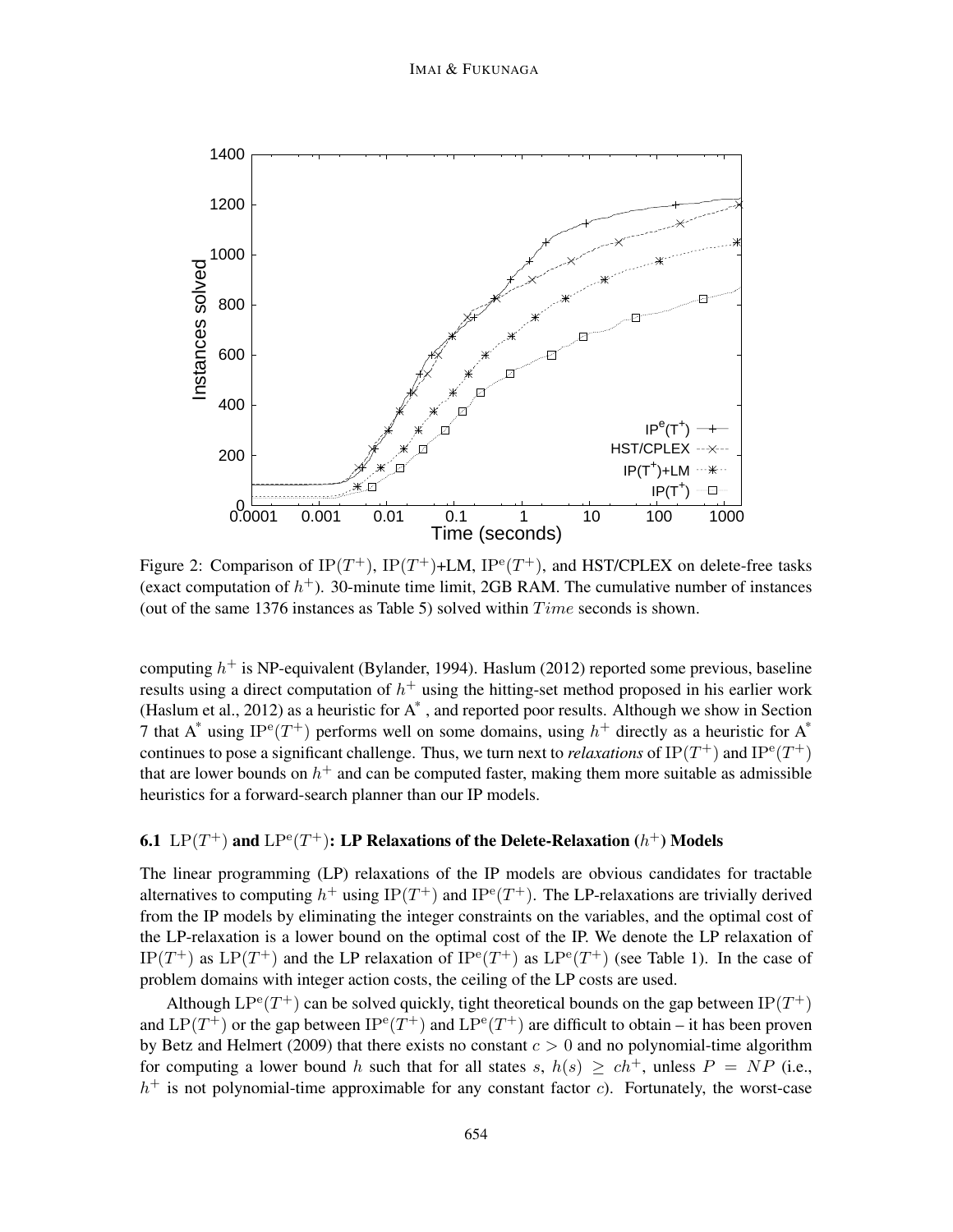

Figure 2: Comparison of IP(T<sup>+</sup>), IP(T<sup>+</sup>)+LM, IP<sup>e</sup>(T<sup>+</sup>), and HST/CPLEX on delete-free tasks (exact computation of  $h^+$ ). 30-minute time limit, 2GB RAM. The cumulative number of instances (out of the same 1376 instances as Table 5) solved within  $Time$  seconds is shown.

computing  $h^+$  is NP-equivalent (Bylander, 1994). Haslum (2012) reported some previous, baseline results using a direct computation of  $h^+$  using the hitting-set method proposed in his earlier work (Haslum et al., 2012) as a heuristic for A\* , and reported poor results. Although we show in Section 7 that A\* using IP<sup>e</sup>(T<sup>+</sup>) performs well on some domains, using  $h^+$  directly as a heuristic for A\* continues to pose a significant challenge. Thus, we turn next to *relaxations* of  $IP(T^+)$  and  $IP^e(T^+)$ that are lower bounds on  $h^+$  and can be computed faster, making them more suitable as admissible heuristics for a forward-search planner than our IP models.

## 6.1  $\text{LP}(T^+)$  and  $\text{LP}^{\text{e}}(T^+)$ : LP Relaxations of the Delete-Relaxation  $(h^+)$  Models

The linear programming (LP) relaxations of the IP models are obvious candidates for tractable alternatives to computing  $h^+$  using IP $(T^+)$  and IP<sup>e</sup> $(T^+)$ . The LP-relaxations are trivially derived from the IP models by eliminating the integer constraints on the variables, and the optimal cost of the LP-relaxation is a lower bound on the optimal cost of the IP. We denote the LP relaxation of IP(T<sup>+</sup>) as LP(T<sup>+</sup>) and the LP relaxation of IP<sup>e</sup>(T<sup>+</sup>) as LP<sup>e</sup>(T<sup>+</sup>) (see Table 1). In the case of problem domains with integer action costs, the ceiling of the LP costs are used.

Although  $LP^{e}(T^{+})$  can be solved quickly, tight theoretical bounds on the gap between  $IP(T^{+})$ and LP(T<sup>+</sup>) or the gap between IP<sup>e</sup>(T<sup>+</sup>) and LP<sup>e</sup>(T<sup>+</sup>) are difficult to obtain – it has been proven by Betz and Helmert (2009) that there exists no constant  $c > 0$  and no polynomial-time algorithm for computing a lower bound h such that for all states s,  $h(s) \geq ch^+$ , unless  $P = NP$  (i.e.,  $h<sup>+</sup>$  is not polynomial-time approximable for any constant factor c). Fortunately, the worst-case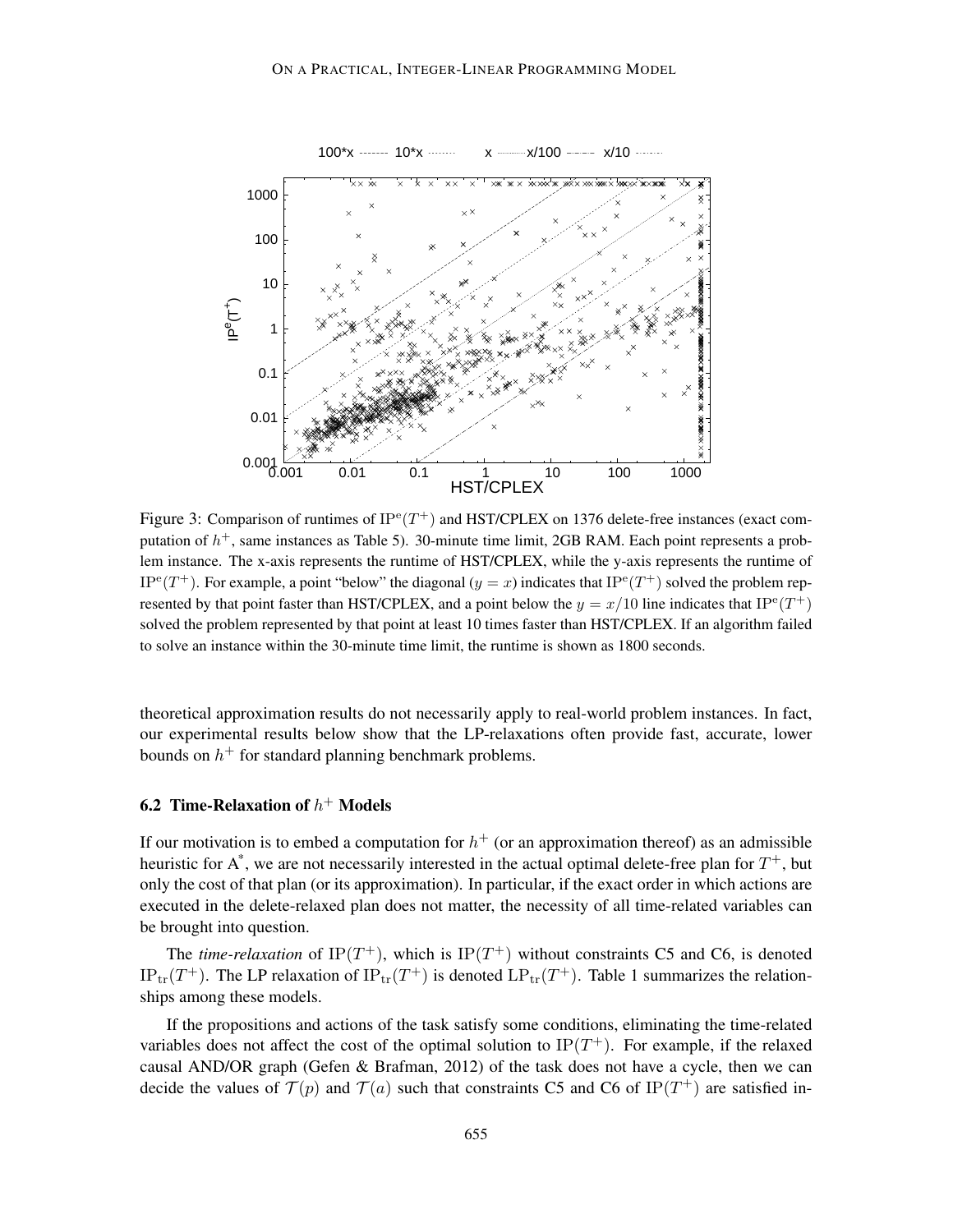

Figure 3: Comparison of runtimes of  $IP^e(T^+)$  and HST/CPLEX on 1376 delete-free instances (exact computation of  $h^+$ , same instances as Table 5). 30-minute time limit, 2GB RAM. Each point represents a problem instance. The x-axis represents the runtime of HST/CPLEX, while the y-axis represents the runtime of IP<sup>e</sup>(T<sup>+</sup>). For example, a point "below" the diagonal ( $y = x$ ) indicates that IP<sup>e</sup>(T<sup>+</sup>) solved the problem represented by that point faster than HST/CPLEX, and a point below the  $y = x/10$  line indicates that IP<sup>e</sup>(T<sup>+</sup>) solved the problem represented by that point at least 10 times faster than HST/CPLEX. If an algorithm failed to solve an instance within the 30-minute time limit, the runtime is shown as 1800 seconds.

theoretical approximation results do not necessarily apply to real-world problem instances. In fact, our experimental results below show that the LP-relaxations often provide fast, accurate, lower bounds on  $h^+$  for standard planning benchmark problems.

## 6.2 Time-Relaxation of  $h^+$  Models

If our motivation is to embed a computation for  $h<sup>+</sup>$  (or an approximation thereof) as an admissible heuristic for  $A^*$ , we are not necessarily interested in the actual optimal delete-free plan for  $T^+$ , but only the cost of that plan (or its approximation). In particular, if the exact order in which actions are executed in the delete-relaxed plan does not matter, the necessity of all time-related variables can be brought into question.

The *time-relaxation* of IP( $T^+$ ), which is IP( $T^+$ ) without constraints C5 and C6, is denoted  $IP_{tr}(T^+)$ . The LP relaxation of  $IP_{tr}(T^+)$  is denoted  $LP_{tr}(T^+)$ . Table 1 summarizes the relationships among these models.

If the propositions and actions of the task satisfy some conditions, eliminating the time-related variables does not affect the cost of the optimal solution to  $IP(T^{+})$ . For example, if the relaxed causal AND/OR graph (Gefen & Brafman, 2012) of the task does not have a cycle, then we can decide the values of  $\mathcal{T}(p)$  and  $\mathcal{T}(a)$  such that constraints C5 and C6 of IP(T<sup>+</sup>) are satisfied in-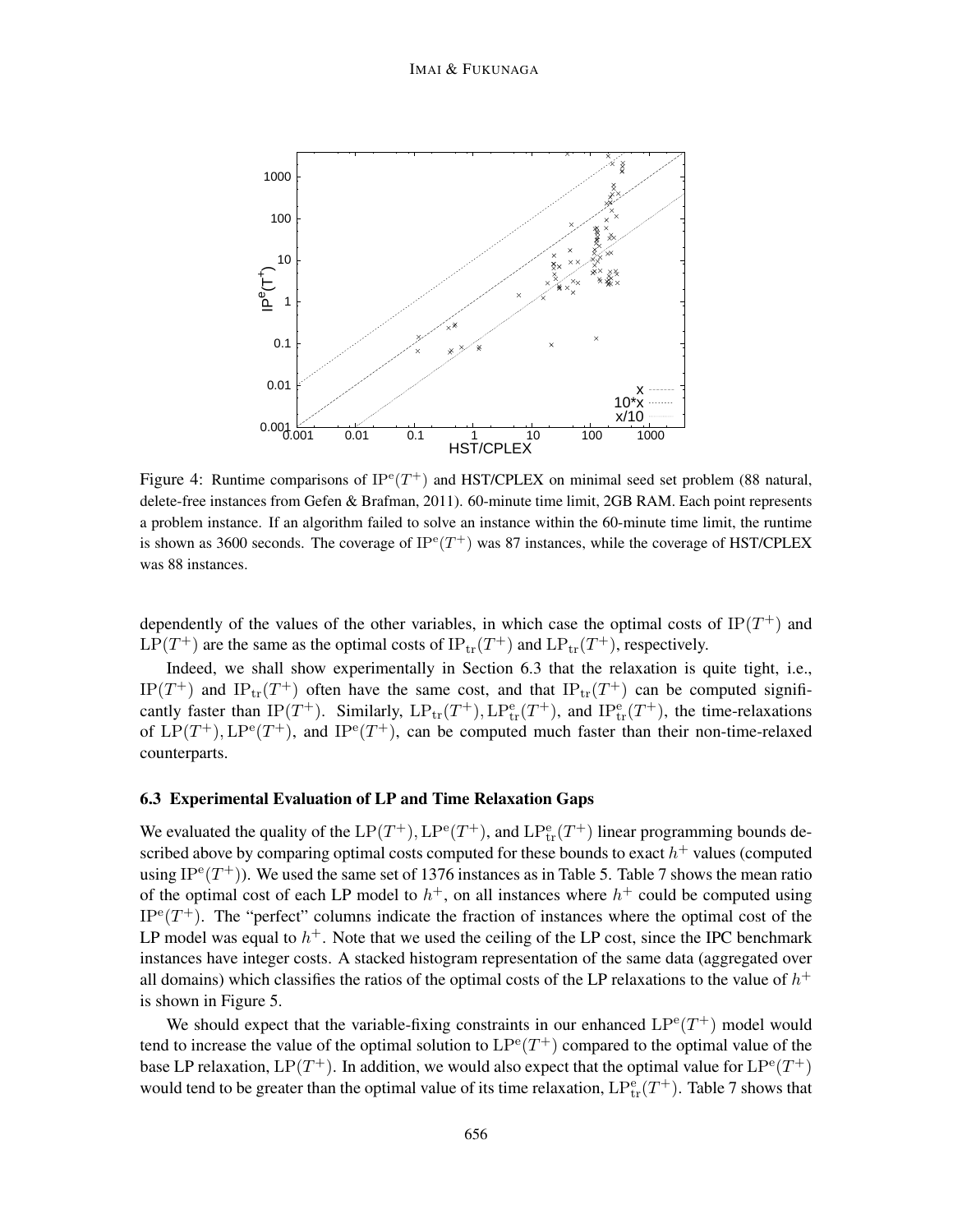#### IMAI & FUKUNAGA



Figure 4: Runtime comparisons of  $IP^e(T^+)$  and HST/CPLEX on minimal seed set problem (88 natural, delete-free instances from Gefen & Brafman, 2011). 60-minute time limit, 2GB RAM. Each point represents a problem instance. If an algorithm failed to solve an instance within the 60-minute time limit, the runtime is shown as 3600 seconds. The coverage of  $IP^e(T^+)$  was 87 instances, while the coverage of HST/CPLEX was 88 instances.

dependently of the values of the other variables, in which case the optimal costs of  $IP(T^+)$  and  $LP(T^+)$  are the same as the optimal costs of  $IP_{tr}(T^+)$  and  $LP_{tr}(T^+)$ , respectively.

Indeed, we shall show experimentally in Section 6.3 that the relaxation is quite tight, i.e., IP(T<sup>+</sup>) and IP<sub>tr</sub>(T<sup>+</sup>) often have the same cost, and that IP<sub>tr</sub>(T<sup>+</sup>) can be computed significantly faster than IP(T<sup>+</sup>). Similarly,  $LP_{tr}(T^+)$ ,  $LP_{tr}^e(T^+)$ , and IP $_{tr}^e(T^+)$ , the time-relaxations of  $LP(T^+), LP^e(T^+)$ , and  $IP^e(T^+)$ , can be computed much faster than their non-time-relaxed counterparts.

## 6.3 Experimental Evaluation of LP and Time Relaxation Gaps

We evaluated the quality of the  $LP(T^+)$ ,  $LP^{\text{e}}(T^+)$ , and  $LP^{\text{e}}_{\text{tr}}(T^+)$  linear programming bounds described above by comparing optimal costs computed for these bounds to exact  $h^+$  values (computed using IP<sup>e</sup> $(T^+)$ ). We used the same set of 1376 instances as in Table 5. Table 7 shows the mean ratio of the optimal cost of each LP model to  $h^+$ , on all instances where  $h^+$  could be computed using  $IP^e(T^+)$ . The "perfect" columns indicate the fraction of instances where the optimal cost of the LP model was equal to  $h^+$ . Note that we used the ceiling of the LP cost, since the IPC benchmark instances have integer costs. A stacked histogram representation of the same data (aggregated over all domains) which classifies the ratios of the optimal costs of the LP relaxations to the value of  $h^+$ is shown in Figure 5.

We should expect that the variable-fixing constraints in our enhanced  $LP^{e}(T^{+})$  model would tend to increase the value of the optimal solution to  $LP^{e}(T^{+})$  compared to the optimal value of the base LP relaxation,  $LP(T^+)$ . In addition, we would also expect that the optimal value for  $LP^{\text{e}}(T^+)$ would tend to be greater than the optimal value of its time relaxation,  $LP_{tr}^{e}(T^{+})$ . Table 7 shows that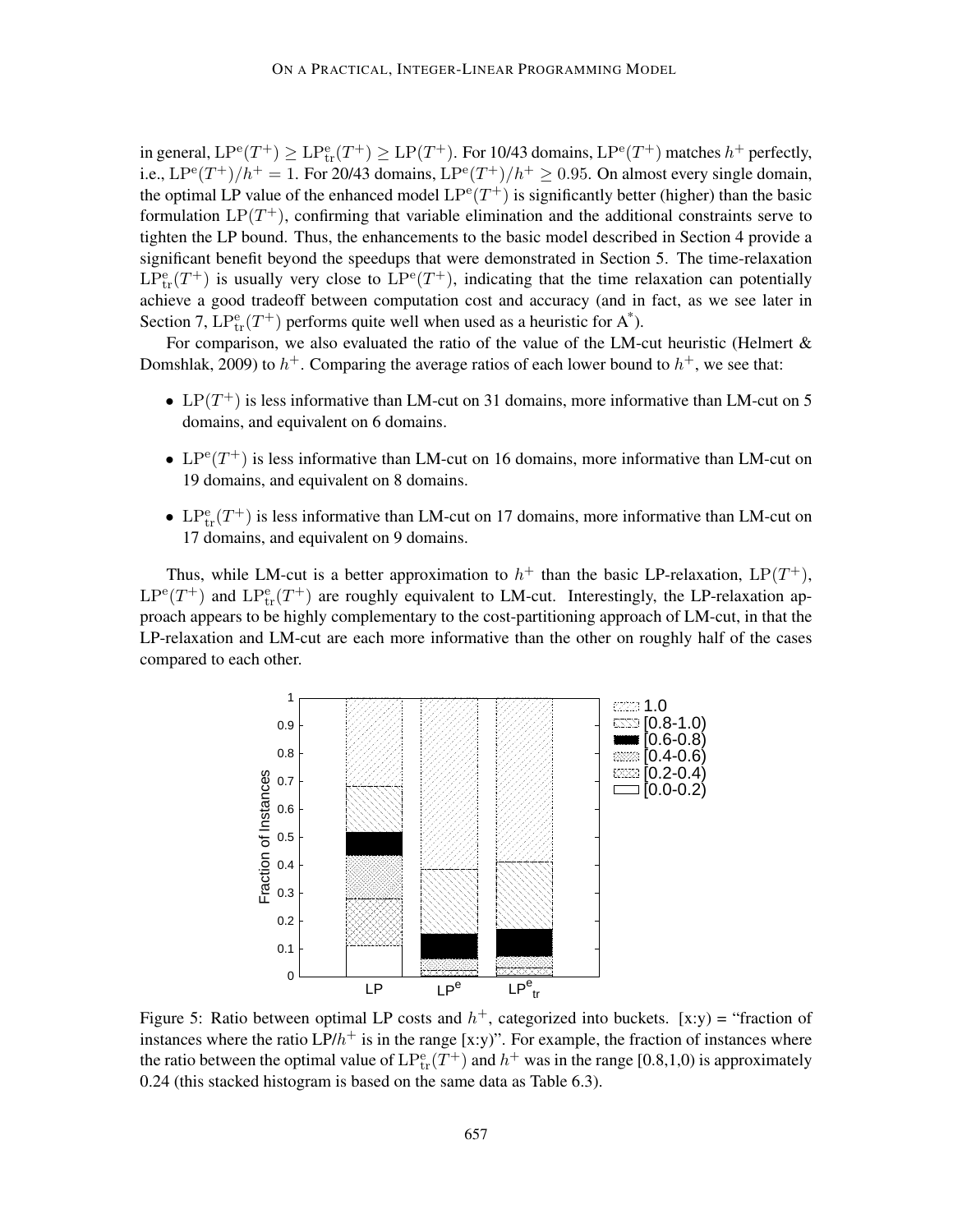in general,  $LP^{e}(T^+) \geq LP^{e}_{tr}(T^+) \geq LP(T^+)$ . For 10/43 domains,  $LP^{e}(T^+)$  matches  $h^+$  perfectly, i.e.,  $LP^{e}(T^{+})/h^{+} = 1$ . For 20/43 domains,  $LP^{e}(T^{+})/h^{+} \ge 0.95$ . On almost every single domain, the optimal LP value of the enhanced model  $LP^{e}(T^{+})$  is significantly better (higher) than the basic formulation  $LP(T^+)$ , confirming that variable elimination and the additional constraints serve to tighten the LP bound. Thus, the enhancements to the basic model described in Section 4 provide a significant benefit beyond the speedups that were demonstrated in Section 5. The time-relaxation  $LP_{tr}^{\text{e}}(T^+)$  is usually very close to  $LP^{\text{e}}(T^+)$ , indicating that the time relaxation can potentially achieve a good tradeoff between computation cost and accuracy (and in fact, as we see later in Section 7,  $LP_{tr}^{e}(T^{+})$  performs quite well when used as a heuristic for  $A^*$ ).

For comparison, we also evaluated the ratio of the value of the LM-cut heuristic (Helmert  $\&$ Domshlak, 2009) to  $h^+$ . Comparing the average ratios of each lower bound to  $h^+$ , we see that:

- LP $(T^+)$  is less informative than LM-cut on 31 domains, more informative than LM-cut on 5 domains, and equivalent on 6 domains.
- LP<sup>e</sup> $(T^+)$  is less informative than LM-cut on 16 domains, more informative than LM-cut on 19 domains, and equivalent on 8 domains.
- LP<sup>e</sup> $_{tr}(T^{+})$  is less informative than LM-cut on 17 domains, more informative than LM-cut on 17 domains, and equivalent on 9 domains.

Thus, while LM-cut is a better approximation to  $h^+$  than the basic LP-relaxation,  $LP(T^+)$ ,  $LP^{e}(T^{+})$  and  $LP^{e}_{tr}(T^{+})$  are roughly equivalent to LM-cut. Interestingly, the LP-relaxation approach appears to be highly complementary to the cost-partitioning approach of LM-cut, in that the LP-relaxation and LM-cut are each more informative than the other on roughly half of the cases compared to each other.



Figure 5: Ratio between optimal LP costs and  $h^+$ , categorized into buckets. [x:y) = "fraction of instances where the ratio  $LP/h^+$  is in the range [x:y)". For example, the fraction of instances where the ratio between the optimal value of  $LP_{tr}^{e}(T^{+})$  and  $h^{+}$  was in the range [0.8,1,0) is approximately 0.24 (this stacked histogram is based on the same data as Table 6.3).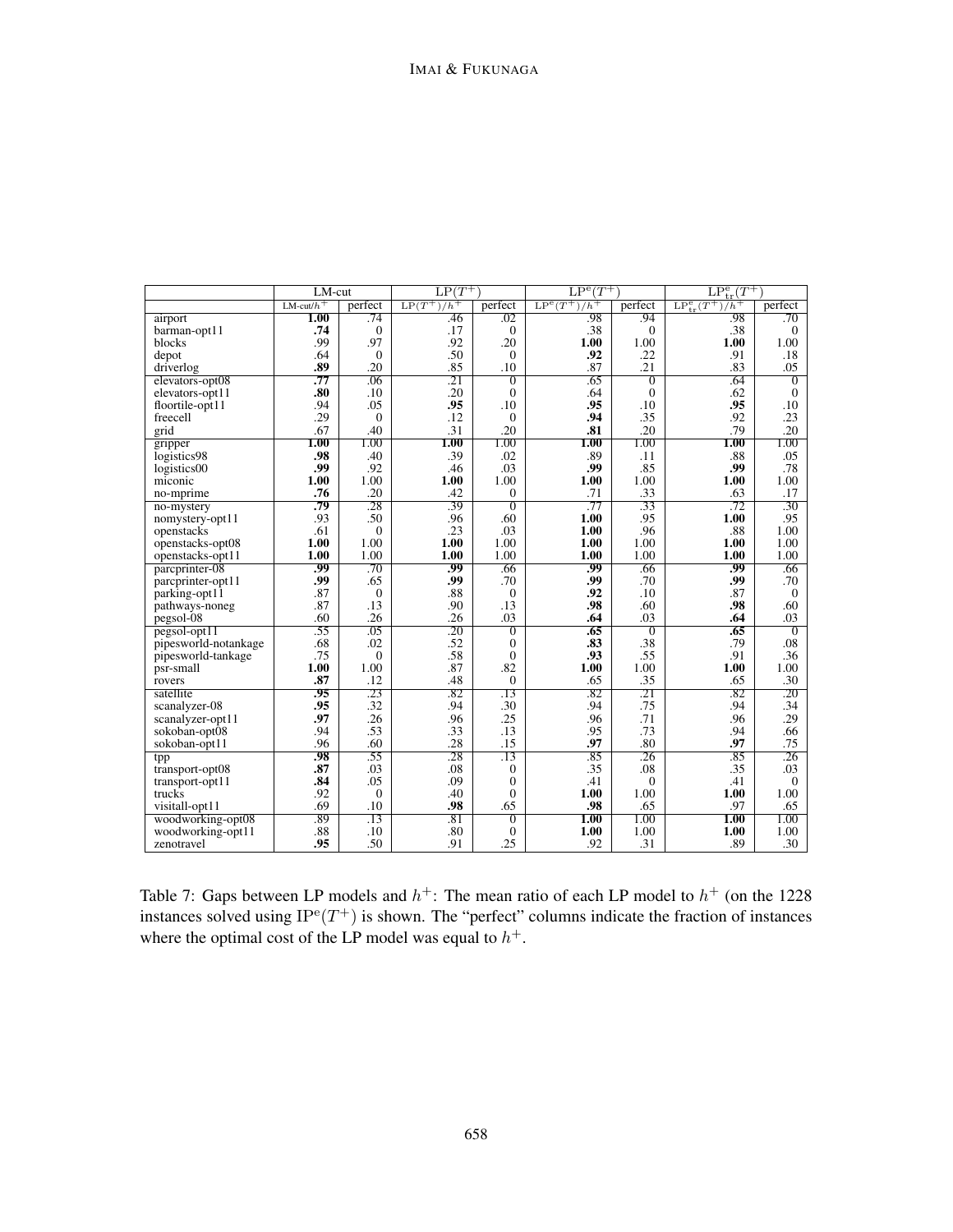|                                    | LM-cut                      |                  | $LP(T^+)$     |                  | $LP^{e}(T^{+})$ |                  | $LP_{tr}^e(T^+)$               |                  |
|------------------------------------|-----------------------------|------------------|---------------|------------------|-----------------|------------------|--------------------------------|------------------|
|                                    | $LM$ -cut/ $h$ <sup>+</sup> | perfect          | $LP(T^+)/h^+$ | perfect          | $LP^e(T^+)/h^+$ | perfect          | $LP_{tr}^{e}(T^{+})$<br>$/h^+$ | perfect          |
| airport                            | 1.00                        | .74              | .46           | .02              | .98             | .94              | .98                            | .70              |
| barman-opt11                       | .74                         | $\mathbf{0}$     | .17           | $\theta$         | .38             | $\Omega$         | .38                            | $\theta$         |
| blocks                             | .99                         | .97              | .92           | .20              | 1.00            | 1.00             | 1.00                           | 1.00             |
| depot                              | .64                         | $\overline{0}$   | .50           | $\mathbf{0}$     | .92             | .22              | .91                            | .18              |
| driverlog                          | .89                         | .20              | .85           | .10              | .87             | .21              | .83                            | .05              |
| elevators-opt08                    | .77                         | .06              | .21           | $\overline{0}$   | .65             | $\overline{0}$   | .64                            | $\overline{0}$   |
| elevators-opt11                    | .80                         | .10              | .20           | $\Omega$         | .64             | $\Omega$         | .62                            | $\theta$         |
| floortile-opt11                    | .94                         | .05              | .95           | .10              | .95             | .10              | .95                            | .10              |
| freecell                           | .29                         | $\theta$         | .12           | $\mathbf{0}$     | .94             | .35              | .92                            | .23              |
| grid                               | .67                         | .40              | .31           | .20              | .81             | .20              | .79                            | .20              |
| gripper                            | 1.00                        | 1.00             | $1.00\,$      | 1.00             | 1.00            | 1.00             | 1.00                           | 1.00             |
| logistics98                        | .98                         | .40              | .39           | .02              | .89             | .11              | .88                            | .05              |
| logistics00                        | .99                         | .92              | .46           | .03              | .99             | .85              | .99                            | .78              |
| miconic                            | 1.00                        | 1.00             | 1.00          | 1.00             | 1.00            | 1.00             | 1.00                           | 1.00             |
| no-mprime                          | .76                         | .20              | .42           | $\mathbf{0}$     | .71             | .33              | .63                            | .17              |
| no-mystery                         | .79                         | .28              | .39           | $\overline{0}$   | .77             | $\overline{.33}$ | .72                            | $\overline{.30}$ |
| nomystery-opt11                    | .93                         | .50              | .96           | .60              | 1.00            | .95              | 1.00                           | .95              |
| openstacks                         | .61                         | $\overline{0}$   | .23           | .03              | 1.00            | .96              | .88                            | 1.00             |
| openstacks-opt08                   | 1.00                        | 1.00             | 1.00          | 1.00             | 1.00            | 1.00             | 1.00                           | 1.00             |
| openstacks-opt11                   | 1.00                        | 1.00             | 1.00          | 1.00             | 1.00            | 1.00             | 1.00                           | 1.00             |
| parcprinter-08                     | .99                         | .70              | .99           | .66              | .99             | .66              | .99                            | .66              |
| parcprinter-opt11                  | .99                         | .65              | .99           | .70              | .99             | .70              | .99                            | .70              |
| parking-opt11                      | .87                         | $\boldsymbol{0}$ | .88           | $\boldsymbol{0}$ | .92             | .10              | .87                            | $\mathbf{0}$     |
| pathways-noneg                     | .87                         | .13              | .90           | .13              | .98             | .60              | .98                            | .60              |
| pegsol-08                          | .60                         | .26              | .26           | .03              | .64             | .03              | .64                            | .03              |
| $pegsol-opt11$                     | .55                         | .05              | .20           | $\overline{0}$   | .65             | $\overline{0}$   | .65                            | $\overline{0}$   |
| pipesworld-notankage               | .68                         | .02              | .52           | $\mathbf{0}$     | .83             | .38              | .79                            | .08              |
| pipesworld-tankage                 | .75                         | $\mathbf{0}$     | .58           | $\mathbf{0}$     | .93             | .55              | .91                            | .36              |
| psr-small                          | 1.00<br>.87                 | 1.00<br>.12      | .87<br>.48    | .82              | 1.00<br>.65     | 1.00             | 1.00                           | 1.00<br>.30      |
| rovers                             |                             |                  |               | $\mathbf{0}$     |                 | .35              | .65                            |                  |
| satellite                          | .95<br>.95                  | .23<br>.32       | .82           | $\overline{.13}$ | .82             | $\overline{.21}$ | .82                            | $\overline{.20}$ |
| scanalyzer-08                      | .97                         | .26              | .94<br>.96    | .30<br>.25       | .94<br>.96      | .75<br>.71       | .94<br>.96                     | .34<br>.29       |
| scanalyzer-opt11                   | .94                         | .53              | .33           | .13              | .95             | .73              | .94                            | .66              |
| sokoban-opt08                      |                             | .60              | .28           | .15              | .97             | .80              | .97                            | .75              |
| sokoban-opt11                      | .96<br>.98                  | .55              | .28           | .13              | .85             | .26              | .85                            | .26              |
| tpp                                | .87                         | .03              | .08           | $\boldsymbol{0}$ | .35             | .08              | .35                            | .03              |
| transport-opt08<br>transport-opt11 | .84                         | .05              | .09           | $\mathbf{0}$     | .41             | $\mathbf{0}$     | .41                            | $\theta$         |
| trucks                             | .92                         | $\mathbf{0}$     | .40           | $\mathbf{0}$     | 1.00            | 1.00             | 1.00                           | 1.00             |
| visitall-opt11                     | .69                         | .10              | .98           | .65              | .98             | .65              | .97                            | .65              |
| woodworking-opt08                  | .89                         | .13              | .81           | $\overline{0}$   | 1.00            | 1.00             | 1.00                           | 1.00             |
| woodworking-opt11                  | .88                         | .10              | .80           | $\mathbf{0}$     | 1.00            | 1.00             | 1.00                           | 1.00             |
| zenotravel                         | .95                         | .50              | .91           | .25              | .92             | .31              | .89                            | .30              |
|                                    |                             |                  |               |                  |                 |                  |                                |                  |

Table 7: Gaps between LP models and  $h^+$ : The mean ratio of each LP model to  $h^+$  (on the 1228 instances solved using  $IP^e(T^+)$  is shown. The "perfect" columns indicate the fraction of instances where the optimal cost of the LP model was equal to  $h^+$ .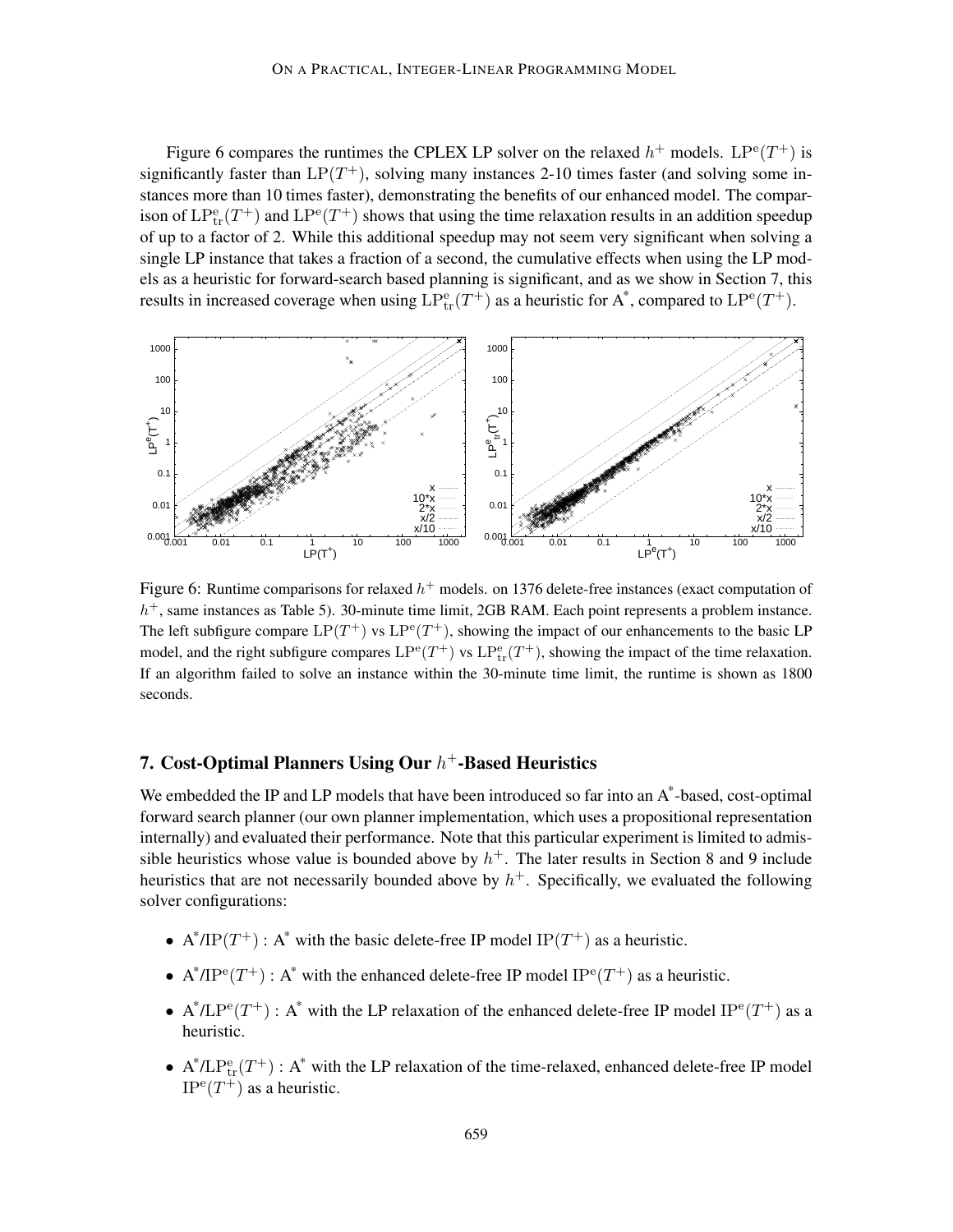Figure 6 compares the runtimes the CPLEX LP solver on the relaxed  $h^+$  models.  $LP^e(T^+)$  is significantly faster than  $LP(T^+)$ , solving many instances 2-10 times faster (and solving some instances more than 10 times faster), demonstrating the benefits of our enhanced model. The comparison of  $LP_{tr}^e(T^+)$  and  $LP^e(T^+)$  shows that using the time relaxation results in an addition speedup of up to a factor of 2. While this additional speedup may not seem very significant when solving a single LP instance that takes a fraction of a second, the cumulative effects when using the LP models as a heuristic for forward-search based planning is significant, and as we show in Section 7, this results in increased coverage when using  $LP_{tr}^{e}(T^{+})$  as a heuristic for A\*, compared to  $LP^{e}(T^{+})$ .



Figure 6: Runtime comparisons for relaxed  $h^+$  models. on 1376 delete-free instances (exact computation of  $h<sup>+</sup>$ , same instances as Table 5). 30-minute time limit, 2GB RAM. Each point represents a problem instance. The left subfigure compare  $LP(T^+)$  vs  $LP^e(T^+)$ , showing the impact of our enhancements to the basic LP model, and the right subfigure compares  $LP^{\text{e}}(T^+)$  vs  $LP^{\text{e}}_{\text{tr}}(T^+)$ , showing the impact of the time relaxation. If an algorithm failed to solve an instance within the 30-minute time limit, the runtime is shown as 1800 seconds.

# 7. Cost-Optimal Planners Using Our  $h^+$ -Based Heuristics

We embedded the IP and LP models that have been introduced so far into an A\*-based, cost-optimal forward search planner (our own planner implementation, which uses a propositional representation internally) and evaluated their performance. Note that this particular experiment is limited to admissible heuristics whose value is bounded above by  $h^+$ . The later results in Section 8 and 9 include heuristics that are not necessarily bounded above by  $h<sup>+</sup>$ . Specifically, we evaluated the following solver configurations:

- A<sup>\*</sup>/IP(T<sup>+</sup>): A<sup>\*</sup> with the basic delete-free IP model IP(T<sup>+</sup>) as a heuristic.
- A<sup>\*</sup>/IP<sup>e</sup>(T<sup>+</sup>): A<sup>\*</sup> with the enhanced delete-free IP model IP<sup>e</sup>(T<sup>+</sup>) as a heuristic.
- A\*/LP<sup>e</sup>(T<sup>+</sup>) : A\* with the LP relaxation of the enhanced delete-free IP model IP<sup>e</sup>(T<sup>+</sup>) as a heuristic.
- $A^*/LP_{tr}^e(T^+)$ :  $A^*$  with the LP relaxation of the time-relaxed, enhanced delete-free IP model  $IP^{\text{e}}(T^+)$  as a heuristic.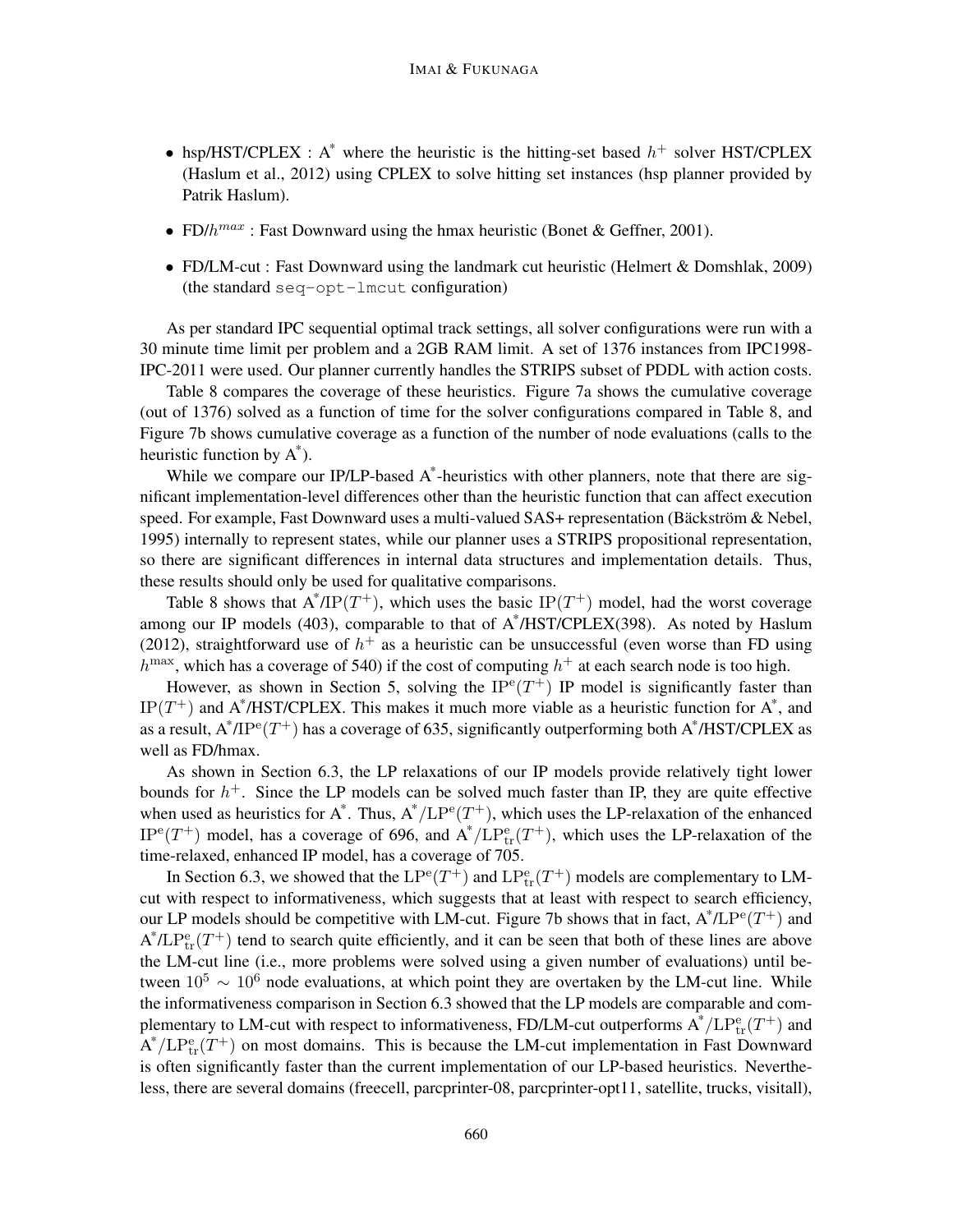- hsp/HST/CPLEX : A\* where the heuristic is the hitting-set based  $h^+$  solver HST/CPLEX (Haslum et al., 2012) using CPLEX to solve hitting set instances (hsp planner provided by Patrik Haslum).
- FD/ $h^{max}$ : Fast Downward using the hmax heuristic (Bonet & Geffner, 2001).
- FD/LM-cut : Fast Downward using the landmark cut heuristic (Helmert & Domshlak, 2009) (the standard seq-opt-lmcut configuration)

As per standard IPC sequential optimal track settings, all solver configurations were run with a 30 minute time limit per problem and a 2GB RAM limit. A set of 1376 instances from IPC1998- IPC-2011 were used. Our planner currently handles the STRIPS subset of PDDL with action costs.

Table 8 compares the coverage of these heuristics. Figure 7a shows the cumulative coverage (out of 1376) solved as a function of time for the solver configurations compared in Table 8, and Figure 7b shows cumulative coverage as a function of the number of node evaluations (calls to the heuristic function by A\* ).

While we compare our IP/LP-based A\*-heuristics with other planners, note that there are significant implementation-level differences other than the heuristic function that can affect execution speed. For example, Fast Downward uses a multi-valued SAS+ representation (Bäckström & Nebel, 1995) internally to represent states, while our planner uses a STRIPS propositional representation, so there are significant differences in internal data structures and implementation details. Thus, these results should only be used for qualitative comparisons.

Table 8 shows that  $A^* / IP(T^+)$ , which uses the basic  $IP(T^+)$  model, had the worst coverage among our IP models (403), comparable to that of A\*/HST/CPLEX(398). As noted by Haslum (2012), straightforward use of  $h<sup>+</sup>$  as a heuristic can be unsuccessful (even worse than FD using  $h^{\text{max}}$ , which has a coverage of 540) if the cost of computing  $h^+$  at each search node is too high.

However, as shown in Section 5, solving the  $IP^e(T^+)$  IP model is significantly faster than IP( $T^+$ ) and A\*/HST/CPLEX. This makes it much more viable as a heuristic function for A\*, and as a result,  $A^* / IP^e(T^+)$  has a coverage of 635, significantly outperforming both  $A^* / HST / CPLEX$  as well as FD/hmax.

As shown in Section 6.3, the LP relaxations of our IP models provide relatively tight lower bounds for  $h<sup>+</sup>$ . Since the LP models can be solved much faster than IP, they are quite effective when used as heuristics for  $A^*$ . Thus,  $A^*/LP^e(T^+)$ , which uses the LP-relaxation of the enhanced  $IP^e(T^+)$  model, has a coverage of 696, and  $A^*/LP^e_{tr}(T^+)$ , which uses the LP-relaxation of the time-relaxed, enhanced IP model, has a coverage of 705.

In Section 6.3, we showed that the  $LP^{e}(T^{+})$  and  $LP^{e}_{tr}(T^{+})$  models are complementary to LMcut with respect to informativeness, which suggests that at least with respect to search efficiency, our LP models should be competitive with LM-cut. Figure 7b shows that in fact,  $A^* / L P^e(T^+)$  and  $A^* / L P_{tr}^e(T^+)$  tend to search quite efficiently, and it can be seen that both of these lines are above the LM-cut line (i.e., more problems were solved using a given number of evaluations) until between  $10^5 \sim 10^6$  node evaluations, at which point they are overtaken by the LM-cut line. While the informativeness comparison in Section 6.3 showed that the LP models are comparable and complementary to LM-cut with respect to informativeness, FD/LM-cut outperforms  $A^*/LP_{tr}^e(T^+)$  and  $A^*/LP_{tr}^e(T^+)$  on most domains. This is because the LM-cut implementation in Fast Downward is often significantly faster than the current implementation of our LP-based heuristics. Nevertheless, there are several domains (freecell, parcprinter-08, parcprinter-opt11, satellite, trucks, visitall),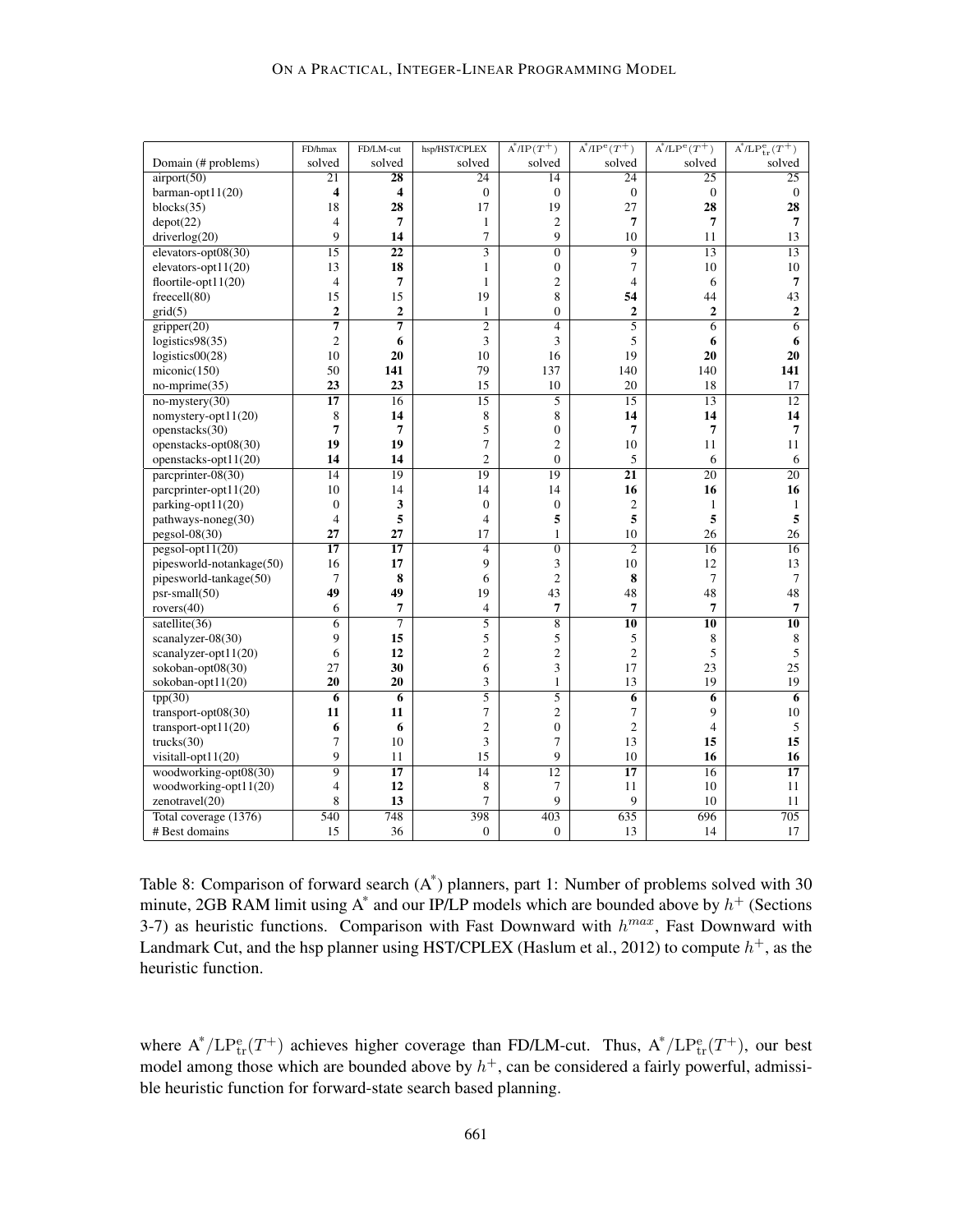|                          | FD/hmax                 | FD/LM-cut       | hsp/HST/CPLEX    | $A^*/IP(T^+)$    | $A^*/IP^e(T^+)$  | $A^*/LP^e(T^+)$  | $A^*/LP_{tr}^e(T^+)$ |
|--------------------------|-------------------------|-----------------|------------------|------------------|------------------|------------------|----------------------|
| Domain (# problems)      | solved                  | solved          | solved           | solved           | solved           | solved           | solved               |
| airport(50)              | 21                      | 28              | 24               | 14               | 24               | 25               | 25                   |
| barman-opt $11(20)$      | $\overline{\mathbf{4}}$ | 4               | $\mathbf{0}$     | $\mathbf{0}$     | $\boldsymbol{0}$ | $\boldsymbol{0}$ | $\mathbf{0}$         |
| blocks(35)               | 18                      | 28              | 17               | 19               | 27               | 28               | 28                   |
| depot(22)                | $\overline{4}$          | 7               | $\mathbf{1}$     | $\overline{c}$   | 7                | $\overline{7}$   | $\overline{7}$       |
| driverlog(20)            | 9                       | 14              | $\tau$           | 9                | 10               | 11               | 13                   |
| elevators-opt08(30)      | 15                      | 22              | $\overline{3}$   | $\overline{0}$   | $\overline{9}$   | 13               | 13                   |
| elevators-opt $11(20)$   | 13                      | 18              | $\mathbf{1}$     | $\mathbf{0}$     | 7                | 10               | 10                   |
| floortile-opt $11(20)$   | $\overline{4}$          | 7               | $\mathbf{1}$     | $\overline{c}$   | $\overline{4}$   | 6                | $\overline{7}$       |
| freecell(80)             | 15                      | 15              | 19               | 8                | 54               | 44               | 43                   |
| grid(5)                  | $\overline{2}$          | $\overline{2}$  | $\mathbf{1}$     | $\boldsymbol{0}$ | $\overline{2}$   | $\overline{2}$   | $\mathbf{2}$         |
| gripper(20)              | $\overline{7}$          | 7               | $\overline{2}$   | $\overline{4}$   | $\overline{5}$   | $\overline{6}$   | $\overline{6}$       |
| logistics98(35)          | $\overline{2}$          | 6               | 3                | 3                | 5                | 6                | 6                    |
| logistics00(28)          | 10                      | 20              | 10               | 16               | 19               | 20               | 20                   |
| miconic(150)             | 50                      | 141             | 79               | 137              | 140              | 140              | 141                  |
| $no\text{-}mprime(35)$   | 23                      | 23              | 15               | 10               | 20               | 18               | 17                   |
| $no$ -mystery(30)        | $\overline{17}$         | 16              | $\overline{15}$  | $\overline{5}$   | 15               | $\overline{13}$  | $\overline{12}$      |
| nomystery-opt $11(20)$   | 8                       | 14              | 8                | 8                | 14               | 14               | 14                   |
| openstacks(30)           | $\overline{7}$          | 7               | 5                | $\boldsymbol{0}$ | $\overline{7}$   | 7                | 7                    |
| openstacks-opt08(30)     | 19                      | 19              | $\tau$           | $\overline{c}$   | 10               | 11               | 11                   |
| openstacks-opt11(20)     | 14                      | 14              | $\overline{2}$   | $\overline{0}$   | 5                | 6                | 6                    |
| parcprinter-08(30)       | $\overline{14}$         | 19              | 19               | 19               | $\overline{21}$  | $\overline{20}$  | $\overline{20}$      |
| parcprinter-opt11(20)    | 10                      | 14              | 14               | 14               | 16               | 16               | 16                   |
| parking-opt $11(20)$     | $\boldsymbol{0}$        | 3               | $\boldsymbol{0}$ | $\boldsymbol{0}$ | $\mathfrak{2}$   | 1                | 1                    |
| pathways-noneg(30)       | $\overline{4}$          | 5               | $\overline{4}$   | 5                | 5                | 5                | $\sqrt{5}$           |
| $pegsol-08(30)$          | 27                      | 27              | 17               | $\mathbf{1}$     | 10               | 26               | 26                   |
| $pesol-opt11(20)$        | $\overline{17}$         | $\overline{17}$ | $\overline{4}$   | $\overline{0}$   | $\overline{2}$   | $\overline{16}$  | 16                   |
| pipesworld-notankage(50) | 16                      | 17              | 9                | 3                | 10               | 12               | 13                   |
| pipesworld-tankage(50)   | $\tau$                  | 8               | 6                | $\overline{c}$   | 8                | $\overline{7}$   | $\tau$               |
| $psr-small(50)$          | 49                      | 49              | 19               | 43               | 48               | 48               | 48                   |
| rovers $(40)$            | 6                       | 7               | $\overline{4}$   | $\overline{7}$   | $\overline{7}$   | $\overline{7}$   | $\boldsymbol{7}$     |
| satellite $(36)$         | 6                       | 7               | $\overline{5}$   | $\overline{8}$   | 10               | $\overline{10}$  | $\overline{10}$      |
| scanalyzer-08(30)        | 9                       | 15              | 5                | 5                | 5                | 8                | $\,8\,$              |
| scanalyzer-opt11(20)     | 6                       | 12              | $\overline{c}$   | $\overline{c}$   | $\overline{2}$   | 5                | $\sqrt{5}$           |
| sokoban-opt08(30)        | 27                      | 30              | 6                | 3                | 17               | 23               | $25\,$               |
| sokoban-opt11(20)        | 20                      | 20              | 3                | $\mathbf{1}$     | 13               | 19               | 19                   |
| tpp(30)                  | 6                       | $\overline{6}$  | $\overline{5}$   | $\overline{5}$   | 6                | 6                | $\overline{6}$       |
| transport-opt $08(30)$   | 11                      | 11              | $\tau$           | $\overline{c}$   | 7                | 9                | $10\,$               |
| transport-opt $11(20)$   | 6                       | 6               | $\sqrt{2}$       | $\boldsymbol{0}$ | $\overline{c}$   | $\overline{4}$   | 5                    |
| trucks(30)               | 7                       | 10              | 3                | $\overline{7}$   | 13               | 15               | 15                   |
| visitall-opt11(20)       | 9                       | 11              | 15               | 9                | 10               | 16               | 16                   |
| woodworking-opt08(30)    | $\overline{9}$          | $\overline{17}$ | 14               | 12               | $\overline{17}$  | 16               | $\overline{17}$      |
| woodworking-opt11(20)    | $\overline{4}$          | 12              | 8                | $\overline{7}$   | 11               | 10               | 11                   |
| zenotravel(20)           | 8                       | 13              | $\overline{7}$   | 9                | 9                | 10               | 11                   |
| Total coverage (1376)    | 540                     | 748             | 398              | 403              | 635              | 696              | $\overline{705}$     |
| # Best domains           | 15                      | 36              | $\mathbf{0}$     | $\overline{0}$   | 13               | 14               | 17                   |
|                          |                         |                 |                  |                  |                  |                  |                      |

Table 8: Comparison of forward search (A\*) planners, part 1: Number of problems solved with 30 minute, 2GB RAM limit using  $A^*$  and our IP/LP models which are bounded above by  $h^+$  (Sections 3-7) as heuristic functions. Comparison with Fast Downward with  $h^{max}$ , Fast Downward with Landmark Cut, and the hsp planner using HST/CPLEX (Haslum et al., 2012) to compute  $h^+$ , as the heuristic function.

where  $A^*/LP_{tr}^e(T^+)$  achieves higher coverage than FD/LM-cut. Thus,  $A^*/LP_{tr}^e(T^+)$ , our best model among those which are bounded above by  $h<sup>+</sup>$ , can be considered a fairly powerful, admissible heuristic function for forward-state search based planning.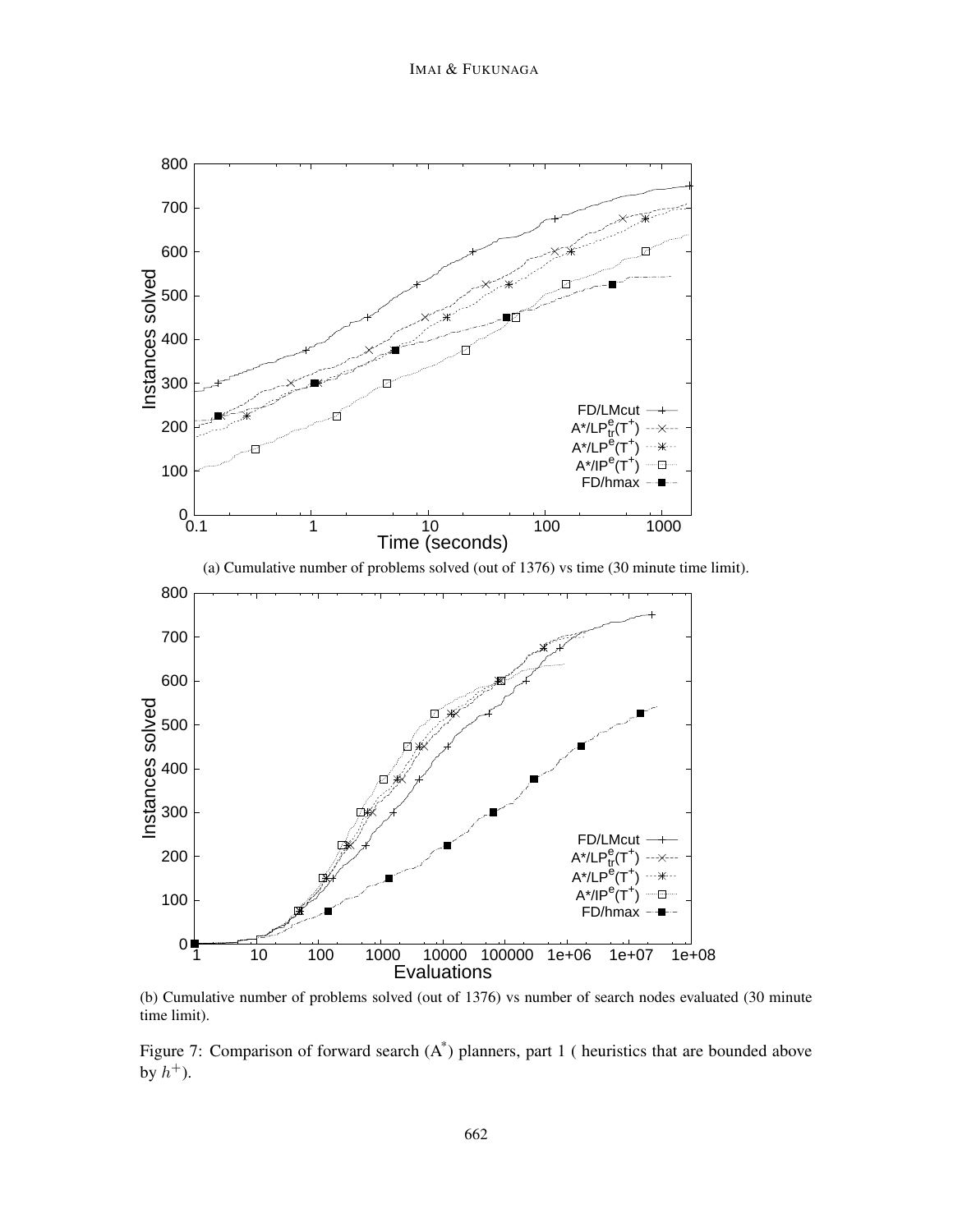

(b) Cumulative number of problems solved (out of 1376) vs number of search nodes evaluated (30 minute time limit).

Figure 7: Comparison of forward search (A\*) planners, part 1 ( heuristics that are bounded above by  $h^+$ ).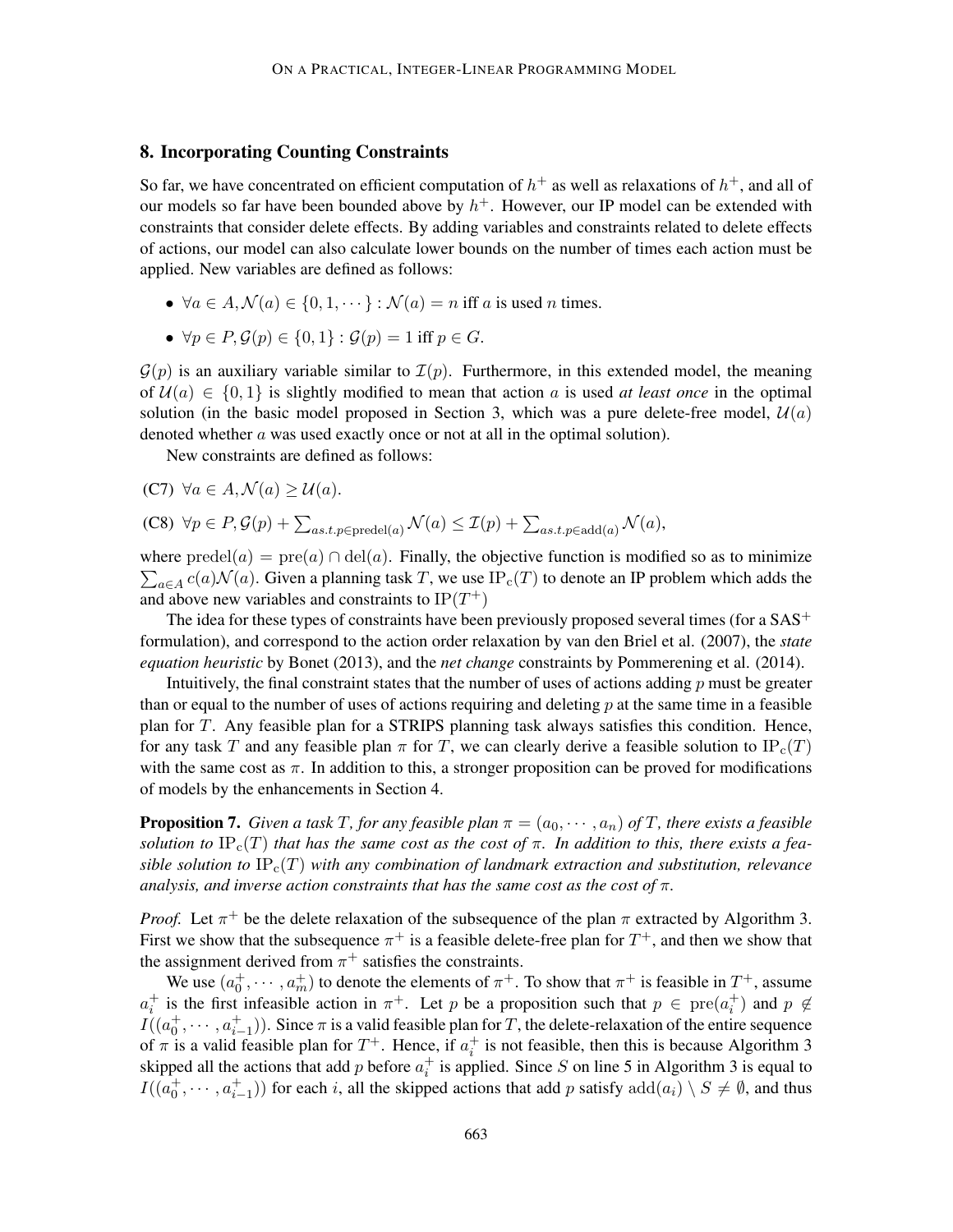## 8. Incorporating Counting Constraints

So far, we have concentrated on efficient computation of  $h^+$  as well as relaxations of  $h^+$ , and all of our models so far have been bounded above by  $h^+$ . However, our IP model can be extended with constraints that consider delete effects. By adding variables and constraints related to delete effects of actions, our model can also calculate lower bounds on the number of times each action must be applied. New variables are defined as follows:

- $\forall a \in A, \mathcal{N}(a) \in \{0, 1, \dots\} : \mathcal{N}(a) = n$  iff a is used n times.
- $\forall p \in P, \mathcal{G}(p) \in \{0,1\} : \mathcal{G}(p) = 1$  iff  $p \in G$ .

 $\mathcal{G}(p)$  is an auxiliary variable similar to  $\mathcal{I}(p)$ . Furthermore, in this extended model, the meaning of  $U(a) \in \{0, 1\}$  is slightly modified to mean that action a is used at least once in the optimal solution (in the basic model proposed in Section 3, which was a pure delete-free model,  $\mathcal{U}(a)$ ) denoted whether a was used exactly once or not at all in the optimal solution).

New constraints are defined as follows:

(C7)  $\forall a \in A, \mathcal{N}(a) > \mathcal{U}(a)$ .

(C8) 
$$
\forall p \in P, \mathcal{G}(p) + \sum_{as.t. p \in \text{predel}(a)} \mathcal{N}(a) \leq \mathcal{I}(p) + \sum_{as.t. p \in \text{add}(a)} \mathcal{N}(a),
$$

where  $\text{predel}(a) = \text{pre}(a) \cap \text{del}(a)$ . Finally, the objective function is modified so as to minimize  $\sum_{a \in A} c(a) \mathcal{N}(a)$ . Given a planning task T, we use  $IP_c(T)$  to denote an IP problem which adds the and above new variables and constraints to  $IP(T^+)$ 

The idea for these types of constraints have been previously proposed several times (for a  $SAS<sup>+</sup>$ formulation), and correspond to the action order relaxation by van den Briel et al. (2007), the *state equation heuristic* by Bonet (2013), and the *net change* constraints by Pommerening et al. (2014).

Intuitively, the final constraint states that the number of uses of actions adding  $p$  must be greater than or equal to the number of uses of actions requiring and deleting  $p$  at the same time in a feasible plan for T. Any feasible plan for a STRIPS planning task always satisfies this condition. Hence, for any task T and any feasible plan  $\pi$  for T, we can clearly derive a feasible solution to IP<sub>c</sub>(T) with the same cost as  $\pi$ . In addition to this, a stronger proposition can be proved for modifications of models by the enhancements in Section 4.

**Proposition 7.** *Given a task T, for any feasible plan*  $\pi = (a_0, \dots, a_n)$  *of T, there exists a feasible solution to*  $IP_c(T)$  *that has the same cost as the cost of*  $\pi$ *. In addition to this, there exists a feasible solution to*  $IP_c(T)$  *with any combination of landmark extraction and substitution, relevance analysis, and inverse action constraints that has the same cost as the cost of* π*.*

*Proof.* Let  $\pi^{+}$  be the delete relaxation of the subsequence of the plan  $\pi$  extracted by Algorithm 3. First we show that the subsequence  $\pi^+$  is a feasible delete-free plan for  $T^+$ , and then we show that the assignment derived from  $\pi^+$  satisfies the constraints.

We use  $(a_0^+, \dots, a_m^+)$  to denote the elements of  $\pi^+$ . To show that  $\pi^+$  is feasible in  $T^+$ , assume  $a_i^+$  is the first infeasible action in  $\pi^+$ . Let p be a proposition such that  $p \in \text{pre}(a_i^+)$  and  $p \notin$  $I((a_0^+, \cdots, a_{i-1}^+))$ . Since  $\pi$  is a valid feasible plan for T, the delete-relaxation of the entire sequence of  $\pi$  is a valid feasible plan for  $T^+$ . Hence, if  $a_i^+$  is not feasible, then this is because Algorithm 3 skipped all the actions that add p before  $a_i^+$  is applied. Since S on line 5 in Algorithm 3 is equal to  $I((a_0^+, \cdots, a_{i-1}^+))$  for each i, all the skipped actions that add p satisfy  $add(a_i) \setminus S \neq \emptyset$ , and thus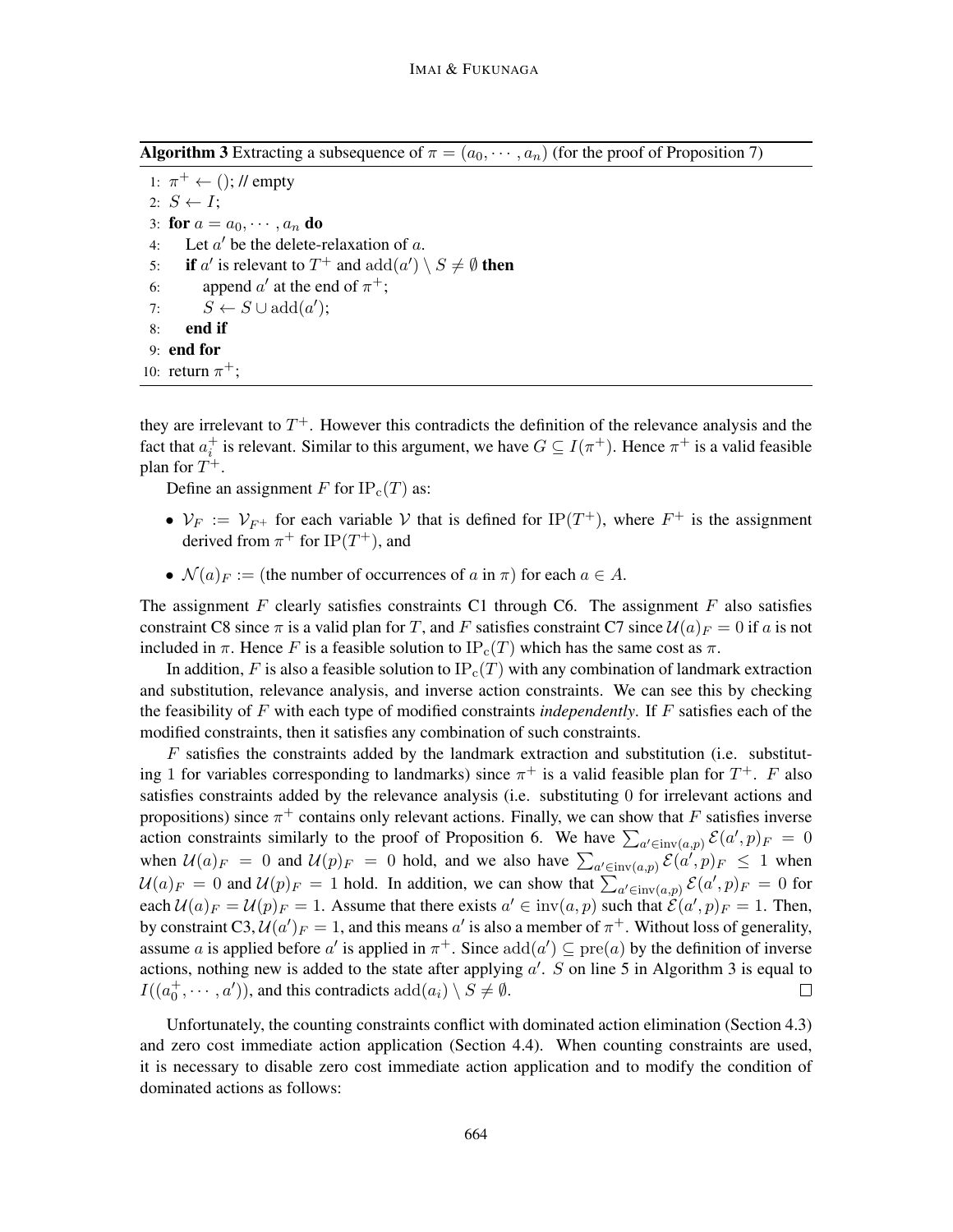**Algorithm 3** Extracting a subsequence of  $\pi = (a_0, \dots, a_n)$  (for the proof of Proposition 7)

1:  $\pi^+ \leftarrow$  (); // empty 2:  $S \leftarrow I$ ; 3: for  $a = a_0, \dots, a_n$  do 4: Let  $a'$  be the delete-relaxation of  $a$ . 5: if  $a'$  is relevant to  $T^+$  and  $add(a') \setminus S \neq \emptyset$  then 6: append  $a'$  at the end of  $\pi^+$ ; 7:  $S \leftarrow S \cup \text{add}(a')$ ; 8: end if 9: end for

10: return  $\pi^+$ ;

they are irrelevant to  $T^+$ . However this contradicts the definition of the relevance analysis and the fact that  $a_i^+$  is relevant. Similar to this argument, we have  $G \subseteq I(\pi^+)$ . Hence  $\pi^+$  is a valid feasible plan for  $T^+$ .

Define an assignment F for  $IP_c(T)$  as:

- $V_F := V_{F^+}$  for each variable V that is defined for  $IP(T^+)$ , where  $F^+$  is the assignment derived from  $\pi^+$  for IP(T<sup>+</sup>), and
- $\mathcal{N}(a)_{F} :=$  (the number of occurrences of a in  $\pi$ ) for each  $a \in A$ .

The assignment F clearly satisfies constraints C1 through C6. The assignment F also satisfies constraint C8 since  $\pi$  is a valid plan for T, and F satisfies constraint C7 since  $\mathcal{U}(a)_{F} = 0$  if a is not included in  $\pi$ . Hence F is a feasible solution to IP<sub>c</sub>(T) which has the same cost as  $\pi$ .

In addition, F is also a feasible solution to  $IP_c(T)$  with any combination of landmark extraction and substitution, relevance analysis, and inverse action constraints. We can see this by checking the feasibility of F with each type of modified constraints *independently*. If F satisfies each of the modified constraints, then it satisfies any combination of such constraints.

 $F$  satisfies the constraints added by the landmark extraction and substitution (i.e. substituting 1 for variables corresponding to landmarks) since  $\pi^{+}$  is a valid feasible plan for  $T^{+}$ . F also satisfies constraints added by the relevance analysis (i.e. substituting 0 for irrelevant actions and propositions) since  $\pi^+$  contains only relevant actions. Finally, we can show that F satisfies inverse action constraints similarly to the proof of Proposition 6. We have  $\sum_{a' \in inv(a,p)} \mathcal{E}(a',p)_F = 0$ when  $U(a)_{F} = 0$  and  $U(p)_{F} = 0$  hold, and we also have  $\sum_{a' \in inv(a,p)} \mathcal{E}(a',p)_{F} \leq 1$  when  $\mathcal{U}(a)_F = 0$  and  $\mathcal{U}(p)_F = 1$  hold. In addition, we can show that  $\sum_{a' \in inv(a,p)} \mathcal{E}(a',p)_F = 0$  for each  $\mathcal{U}(a)_F = \mathcal{U}(p)_F = 1$ . Assume that there exists  $a' \in inv(a, p)$  such that  $\mathcal{E}(a', p)_F = 1$ . Then, by constraint C3,  $\mathcal{U}(a')_F = 1$ , and this means  $a'$  is also a member of  $\pi^+$ . Without loss of generality, assume a is applied before a' is applied in  $\pi^+$ . Since  $add(a') \subseteq pre(a)$  by the definition of inverse actions, nothing new is added to the state after applying  $a'$ . S on line 5 in Algorithm 3 is equal to  $I((a_0^+,\dots,a'))$ , and this contradicts  $\text{add}(a_i) \setminus S \neq \emptyset$ .  $\Box$ 

Unfortunately, the counting constraints conflict with dominated action elimination (Section 4.3) and zero cost immediate action application (Section 4.4). When counting constraints are used, it is necessary to disable zero cost immediate action application and to modify the condition of dominated actions as follows: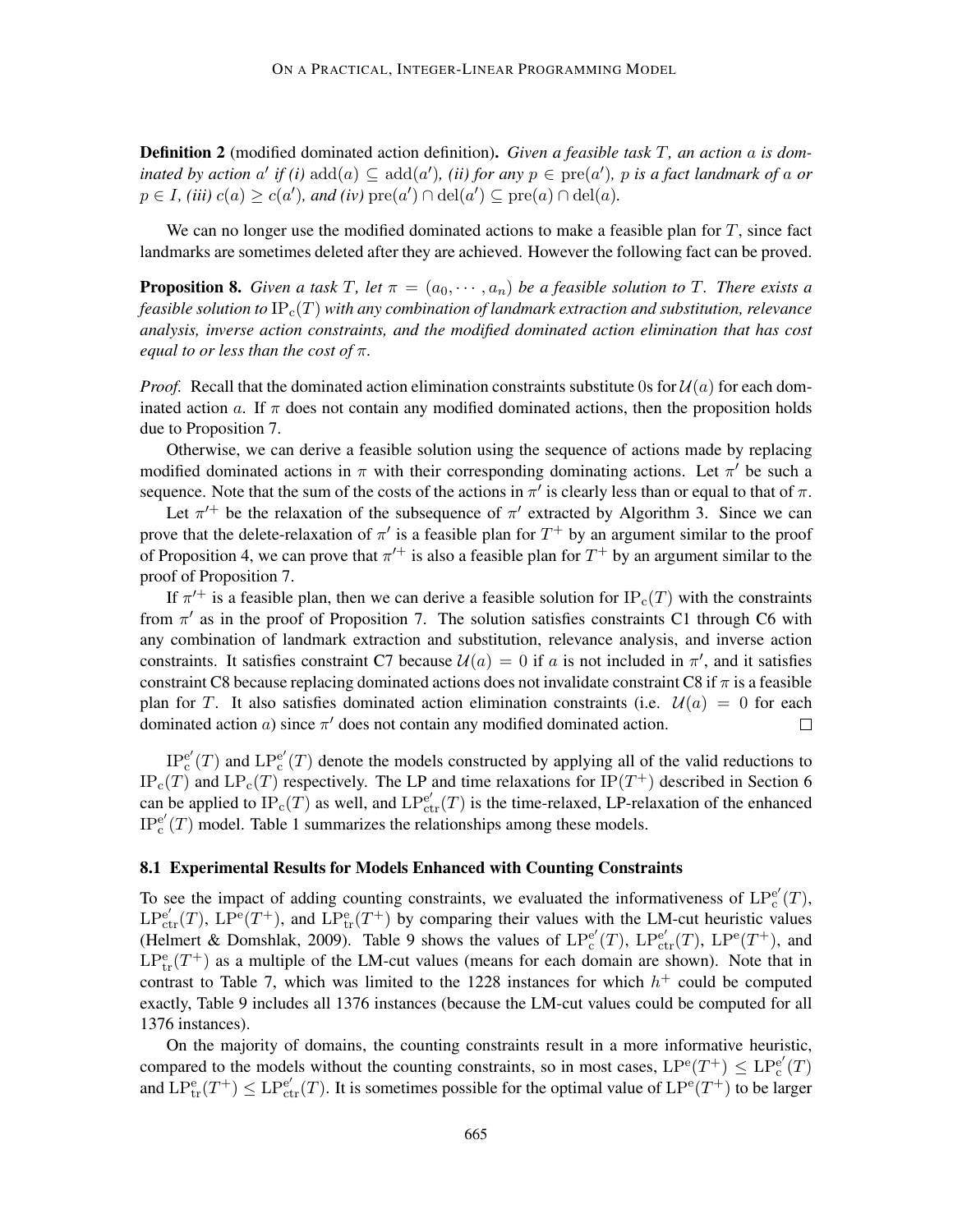Definition 2 (modified dominated action definition). *Given a feasible task* T*, an action* a *is dominated by action*  $a'$  *if (i)*  $add(a) \subseteq add(a')$ *, (ii) for any*  $p \in pre(a')$ *, p is a fact landmark of a or*  $p \in I$ , *(iii)*  $c(a) \ge c(a')$ , and *(iv)*  $\text{pre}(a') \cap \text{del}(a') \subseteq \text{pre}(a) \cap \text{del}(a)$ .

We can no longer use the modified dominated actions to make a feasible plan for  $T$ , since fact landmarks are sometimes deleted after they are achieved. However the following fact can be proved.

**Proposition 8.** *Given a task* T, let  $\pi = (a_0, \dots, a_n)$  be a feasible solution to T. There exists a *feasible solution to* IPc(T) *with any combination of landmark extraction and substitution, relevance analysis, inverse action constraints, and the modified dominated action elimination that has cost equal to or less than the cost of* π*.*

*Proof.* Recall that the dominated action elimination constraints substitute 0s for  $\mathcal{U}(a)$  for each dominated action a. If  $\pi$  does not contain any modified dominated actions, then the proposition holds due to Proposition 7.

Otherwise, we can derive a feasible solution using the sequence of actions made by replacing modified dominated actions in  $\pi$  with their corresponding dominating actions. Let  $\pi'$  be such a sequence. Note that the sum of the costs of the actions in  $\pi'$  is clearly less than or equal to that of  $\pi$ .

Let  $\pi^{+}$  be the relaxation of the subsequence of  $\pi'$  extracted by Algorithm 3. Since we can prove that the delete-relaxation of  $\pi'$  is a feasible plan for  $T^+$  by an argument similar to the proof of Proposition 4, we can prove that  $\pi^{+}$  is also a feasible plan for  $T^{+}$  by an argument similar to the proof of Proposition 7.

If  $\pi'^+$  is a feasible plan, then we can derive a feasible solution for  $IP_c(T)$  with the constraints from  $\pi'$  as in the proof of Proposition 7. The solution satisfies constraints C1 through C6 with any combination of landmark extraction and substitution, relevance analysis, and inverse action constraints. It satisfies constraint C7 because  $\mathcal{U}(a) = 0$  if a is not included in  $\pi'$ , and it satisfies constraint C8 because replacing dominated actions does not invalidate constraint C8 if  $\pi$  is a feasible plan for T. It also satisfies dominated action elimination constraints (i.e.  $\mathcal{U}(a) = 0$  for each dominated action  $a$ ) since  $\pi'$  does not contain any modified dominated action.  $\Box$ 

IP<sup>e</sup> ′  $_{\rm c}^{\rm e'}(T)$  and  $\mathrm{LP}_{\rm c}^{\rm e'}$  $c^e(T)$  denote the models constructed by applying all of the valid reductions to  $IP_c(T)$  and  $LP_c(T)$  respectively. The LP and time relaxations for  $IP(T^+)$  described in Section 6 can be applied to  $IP_c(T)$  as well, and  $LP_{ctr}(T)$  is the time-relaxed, LP-relaxation of the enhanced IP<sup>e</sup> ′  $e^e(T)$  model. Table 1 summarizes the relationships among these models.

#### 8.1 Experimental Results for Models Enhanced with Counting Constraints

To see the impact of adding counting constraints, we evaluated the informativeness of  $LP_c^{e'}$  $_{\rm c}^{\rm e'}(T),$  $LP_{ctr}^{e'}(T)$ ,  $LP_{\text{c}}^{e}(T^+)$ , and  $LP_{\text{tr}}^{e}(T^+)$  by comparing their values with the LM-cut heuristic values (Helmert & Domshlak, 2009). Table 9 shows the values of  $LP_c^{e'}$  $e'_{\rm c}(T)$ ,  $\mathrm{LP}_{\mathrm{ctr}}^{\mathrm{e}'}(T)$ ,  $\mathrm{LP}^{\mathrm{e}}(T^+)$ , and  $LP_{tr}^{e}(T^{+})$  as a multiple of the LM-cut values (means for each domain are shown). Note that in contrast to Table 7, which was limited to the 1228 instances for which  $h<sup>+</sup>$  could be computed exactly, Table 9 includes all 1376 instances (because the LM-cut values could be computed for all 1376 instances).

On the majority of domains, the counting constraints result in a more informative heuristic, compared to the models without the counting constraints, so in most cases,  $LP^{e}(T^{+}) \leq LP_{c}^{e'}$  $_{\rm c}^{\rm e'}(T)$ and  $LP_{tr}^{e}(T^+) \leq LP_{ctr}^{e'}(T)$ . It is sometimes possible for the optimal value of  $LP^{e}(T^+)$  to be larger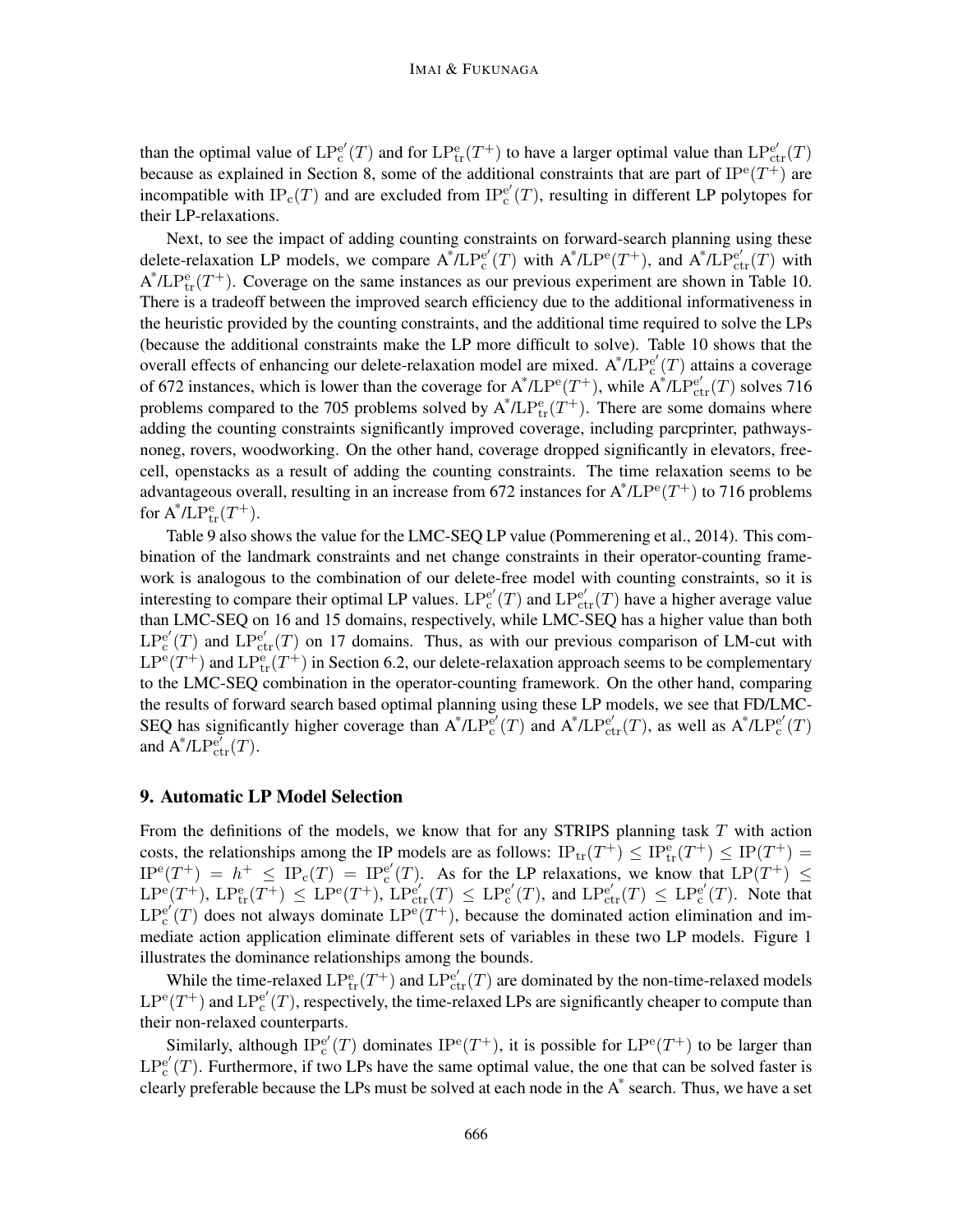than the optimal value of  $LP_c^{e'}$  $e'_{c}(T)$  and for  $LP_{\text{tr}}^{e}(T^{+})$  to have a larger optimal value than  $LP_{\text{ctr}}^{e'}(T)$ because as explained in Section 8, some of the additional constraints that are part of  $IP^{\text{e}}(T^+)$  are incompatible with  $IP_c(T)$  and are excluded from  $IP_c^{e'}$  $_{c}^{e'}(T)$ , resulting in different LP polytopes for their LP-relaxations.

Next, to see the impact of adding counting constraints on forward-search planning using these delete-relaxation LP models, we compare  $A^* / L P_c^{e'}$  $\int_{c}^{e'}(T)$  with  $A^* / L P^{e}(T^+)$ , and  $A^* / L P^{e'}_{ctr}(T)$  with  $A^* / L P_{tr}^e(T^+)$ . Coverage on the same instances as our previous experiment are shown in Table 10. There is a tradeoff between the improved search efficiency due to the additional informativeness in the heuristic provided by the counting constraints, and the additional time required to solve the LPs (because the additional constraints make the LP more difficult to solve). Table 10 shows that the overall effects of enhancing our delete-relaxation model are mixed.  $A^* / LP_c^{e'}$  $_{c}^{e'}(T)$  attains a coverage of 672 instances, which is lower than the coverage for  $A^* / L P^e(T^+)$ , while  $A^* / L P^e_{ctr}(T)$  solves 716 problems compared to the 705 problems solved by  $A^* / L P_{tr}^e(T^+)$ . There are some domains where adding the counting constraints significantly improved coverage, including parcprinter, pathwaysnoneg, rovers, woodworking. On the other hand, coverage dropped significantly in elevators, freecell, openstacks as a result of adding the counting constraints. The time relaxation seems to be advantageous overall, resulting in an increase from 672 instances for  $A^* / L P^e(T^+)$  to 716 problems for  $\text{A}^* / \text{LP}_{\text{tr}}^{\text{e}}(T^+).$ 

Table 9 also shows the value for the LMC-SEQ LP value (Pommerening et al., 2014). This combination of the landmark constraints and net change constraints in their operator-counting framework is analogous to the combination of our delete-free model with counting constraints, so it is interesting to compare their optimal LP values.  $LP_c^{e'}$  $e'_{c}(T)$  and  $LP_{ctr}^{e'}(T)$  have a higher average value than LMC-SEQ on 16 and 15 domains, respectively, while LMC-SEQ has a higher value than both  $\mathrm{LP_c^{e'}}$  $e'_{c}(T)$  and  $LP_{ctr}^{e'}(T)$  on 17 domains. Thus, as with our previous comparison of LM-cut with  $\mathrm{LP}^{\mathrm{e}}(T^+)$  and  $\mathrm{LP}^{\mathrm{e}}_{\mathrm{tr}}(T^+)$  in Section 6.2, our delete-relaxation approach seems to be complementary to the LMC-SEQ combination in the operator-counting framework. On the other hand, comparing the results of forward search based optimal planning using these LP models, we see that FD/LMC-SEQ has significantly higher coverage than  $A^* / LP<sub>c</sub><sup>e'</sup>$  $f_c^{e'}(T)$  and  $A^*/LP_{ctr}^{e'}(T)$ , as well as  $A^*/LP_c^{e'}$  $_{\rm c}^{\rm e'}(T)$ and  $\mathbf{A}^* / \mathbf{LP}_{\text{ctr}}^{e'}(T)$ .

## 9. Automatic LP Model Selection

From the definitions of the models, we know that for any STRIPS planning task  $T$  with action costs, the relationships among the IP models are as follows:  $IP_{tr}(T^+) \leq IP_{tr}^e(T^+) \leq IP(T^+) =$  $IP^{\rm e}(T^+) = h^+ \leq IP_{\rm c}(T) = IP_{\rm c}^{\rm e'}$  $c^{e'}(T)$ . As for the LP relaxations, we know that  $LP(T^+) \leq$  $\text{LP}^{\text{e}}(T^+), \text{LP}^{\text{e}}_{\text{tr}}(T^+) \leq \text{LP}^{\text{e}}(T^+), \text{LP}^{\text{e}'}_{\text{ctr}}(T) \leq \text{LP}^{\text{e}'}_{\text{c}}$  $E_c^{e'}(T)$ , and  $LP_{ctr}^{e'}(T) \leq LP_c^{e'}$  $_{c}^{e'}(T)$ . Note that  $\mathrm{LP_c^{e'}}$  $e'_{c}(T)$  does not always dominate  $LP^{e}(T^{+})$ , because the dominated action elimination and immediate action application eliminate different sets of variables in these two LP models. Figure 1 illustrates the dominance relationships among the bounds.

While the time-relaxed  $LP_{\text{tr}}^{\text{e}}(T^+)$  and  $LP_{\text{ctr}}^{\text{e}'}(T)$  are dominated by the non-time-relaxed models  $\text{LP}^{\text{e}}(T^+)$  and  $\text{LP}^{\text{e}'}_{\text{c}}$  $e^e(T)$ , respectively, the time-relaxed LPs are significantly cheaper to compute than their non-relaxed counterparts.

Similarly, although  $\overline{IP}_{c}^{e'}$  $e'_{c}(T)$  dominates  $IP^{e}(T^{+})$ , it is possible for  $LP^{e}(T^{+})$  to be larger than  $\mathrm{LP_c^{e'}}$  $e^{\epsilon}(T)$ . Furthermore, if two LPs have the same optimal value, the one that can be solved faster is clearly preferable because the LPs must be solved at each node in the  $A^*$  search. Thus, we have a set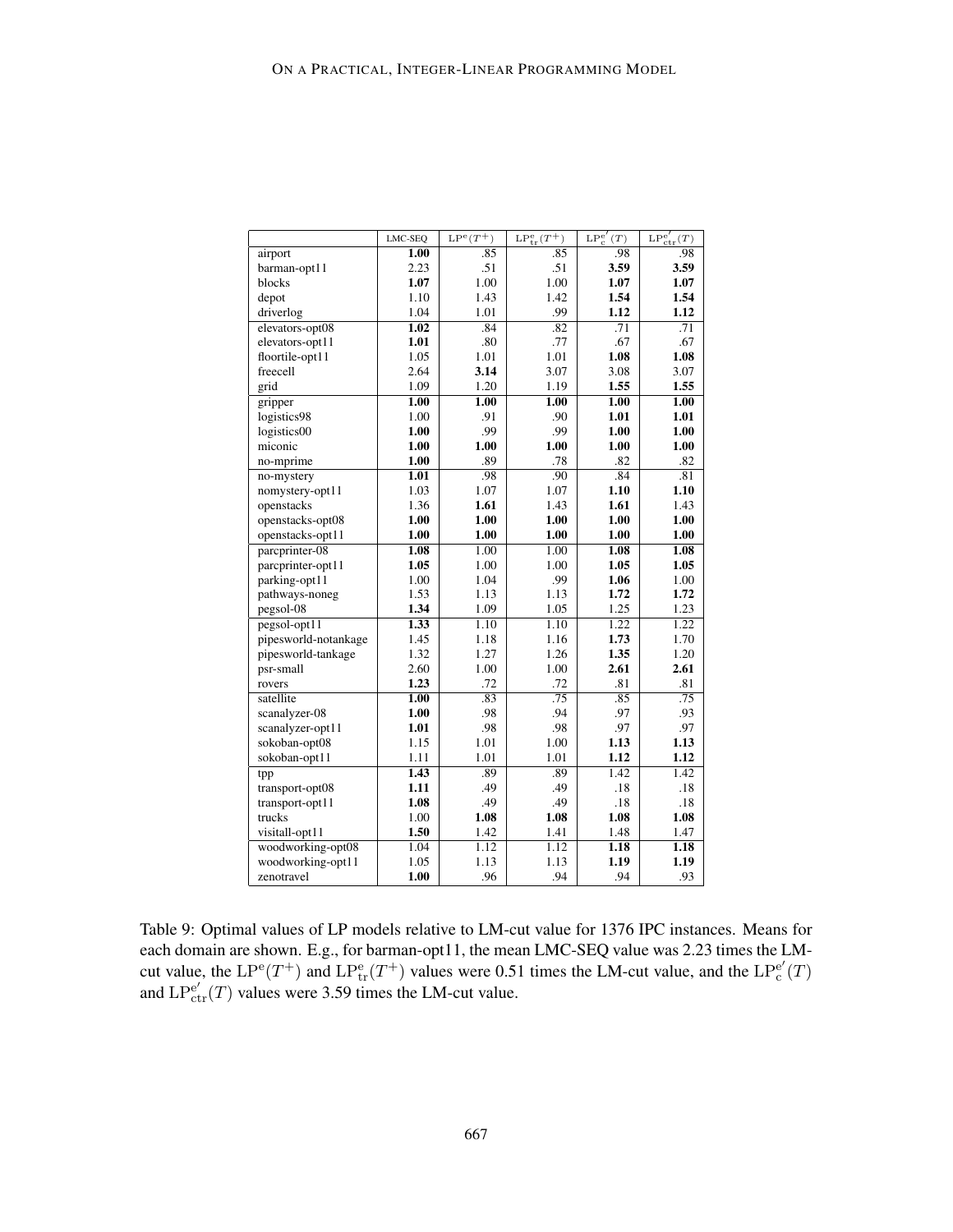|                      | LMC-SEQ           | $LP^e(T^+)$       | $LP_{tr}^{e}(T^{+})$ | $LP_c^{e'}$<br>(T) | $\text{LP}_{\text{ctr}}^{e'}(T)$ |
|----------------------|-------------------|-------------------|----------------------|--------------------|----------------------------------|
| airport              | 1.00              | .85               | .85                  | .98                | .98                              |
| barman-opt11         | 2.23              | .51               | .51                  | 3.59               | 3.59                             |
| blocks               | 1.07              | 1.00              | 1.00                 | 1.07               | 1.07                             |
| depot                | 1.10              | 1.43              | 1.42                 | 1.54               | 1.54                             |
| driverlog            | 1.04              | 1.01              | .99                  | 1.12               | 1.12                             |
| elevators-opt08      | 1.02              | .84               | .82                  | .71                | .71                              |
| elevators-opt11      | 1.01              | .80               | .77                  | .67                | .67                              |
| floortile-opt11      | 1.05              | 1.01              | 1.01                 | 1.08               | 1.08                             |
| freecell             | 2.64              | 3.14              | 3.07                 | 3.08               | 3.07                             |
| grid                 | 1.09              | 1.20              | 1.19                 | 1.55               | 1.55                             |
| gripper              | 1.00              | $\overline{1.00}$ | 1.00                 | 1.00               | 1.00                             |
| logistics98          | 1.00              | .91               | .90                  | 1.01               | 1.01                             |
| logistics00          | 1.00              | .99               | .99                  | 1.00               | 1.00                             |
| miconic              | 1.00              | 1.00              | 1.00                 | 1.00               | 1.00                             |
| no-mprime            | 1.00              | .89               | .78                  | .82                | .82                              |
| no-mystery           | 1.01              | .98               | .90                  | .84                | .81                              |
| nomystery-opt11      | 1.03              | 1.07              | 1.07                 | 1.10               | $1.10\,$                         |
| openstacks           | 1.36              | 1.61              | 1.43                 | 1.61               | 1.43                             |
| openstacks-opt08     | 1.00              | 1.00              | 1.00                 | 1.00               | 1.00                             |
| openstacks-opt11     | 1.00              | 1.00              | 1.00                 | 1.00               | 1.00                             |
| parcprinter-08       | 1.08              | 1.00              | 1.00                 | 1.08               | 1.08                             |
| parcprinter-opt11    | 1.05              | 1.00              | 1.00                 | 1.05               | 1.05                             |
| parking-opt11        | 1.00              | 1.04              | .99                  | 1.06               | 1.00                             |
| pathways-noneg       | 1.53              | 1.13              | 1.13                 | 1.72               | 1.72                             |
| pegsol-08            | 1.34              | 1.09              | 1.05                 | 1.25               | 1.23                             |
| $pegsol-opt11$       | 1.33              | 1.10              | 1.10                 | 1.22               | 1.22                             |
| pipesworld-notankage | 1.45              | 1.18              | 1.16                 | 1.73               | 1.70                             |
| pipesworld-tankage   | 1.32              | 1.27              | 1.26                 | 1.35               | 1.20                             |
| psr-small            | 2.60              | 1.00              | 1.00                 | 2.61               | 2.61                             |
| rovers               | 1.23              | .72               | .72                  | .81                | .81                              |
| satellite            | $\overline{1.00}$ | .83               | .75                  | .85                | .75                              |
| scanalyzer-08        | 1.00              | .98               | .94                  | .97                | .93                              |
| scanalyzer-opt11     | 1.01              | .98               | .98                  | .97                | .97                              |
| sokoban-opt08        | 1.15              | 1.01              | 1.00                 | 1.13               | 1.13                             |
| sokoban-opt11        | 1.11              | 1.01              | 1.01                 | 1.12               | 1.12                             |
| tpp                  | 1.43              | .89               | .89                  | 1.42               | 1.42                             |
| transport-opt08      | 1.11              | .49               | .49                  | .18                | .18                              |
| transport-opt11      | 1.08              | .49               | .49                  | .18                | .18                              |
| trucks               | 1.00              | 1.08              | 1.08                 | 1.08               | 1.08                             |
| visitall-opt11       | 1.50              | 1.42              | 1.41                 | 1.48               | 1.47                             |
| woodworking-opt08    | 1.04              | 1.12              | 1.12                 | 1.18               | 1.18                             |
| woodworking-opt11    | 1.05              | 1.13              | 1.13                 | 1.19               | 1.19                             |
| zenotravel           | 1.00              | .96               | .94                  | .94                | .93                              |

Table 9: Optimal values of LP models relative to LM-cut value for 1376 IPC instances. Means for each domain are shown. E.g., for barman-opt11, the mean LMC-SEQ value was 2.23 times the LMcut value, the  $LP^{\text{e}}(T^+)$  and  $LP^{\text{e}}_{\text{tr}}(T^+)$  values were 0.51 times the LM-cut value, and the  $LP^{\text{e}}_{\text{c}}$  $_{\rm c}^{\rm e'}(T)$ and  $LP_{ctr}^{e'}(T)$  values were 3.59 times the LM-cut value.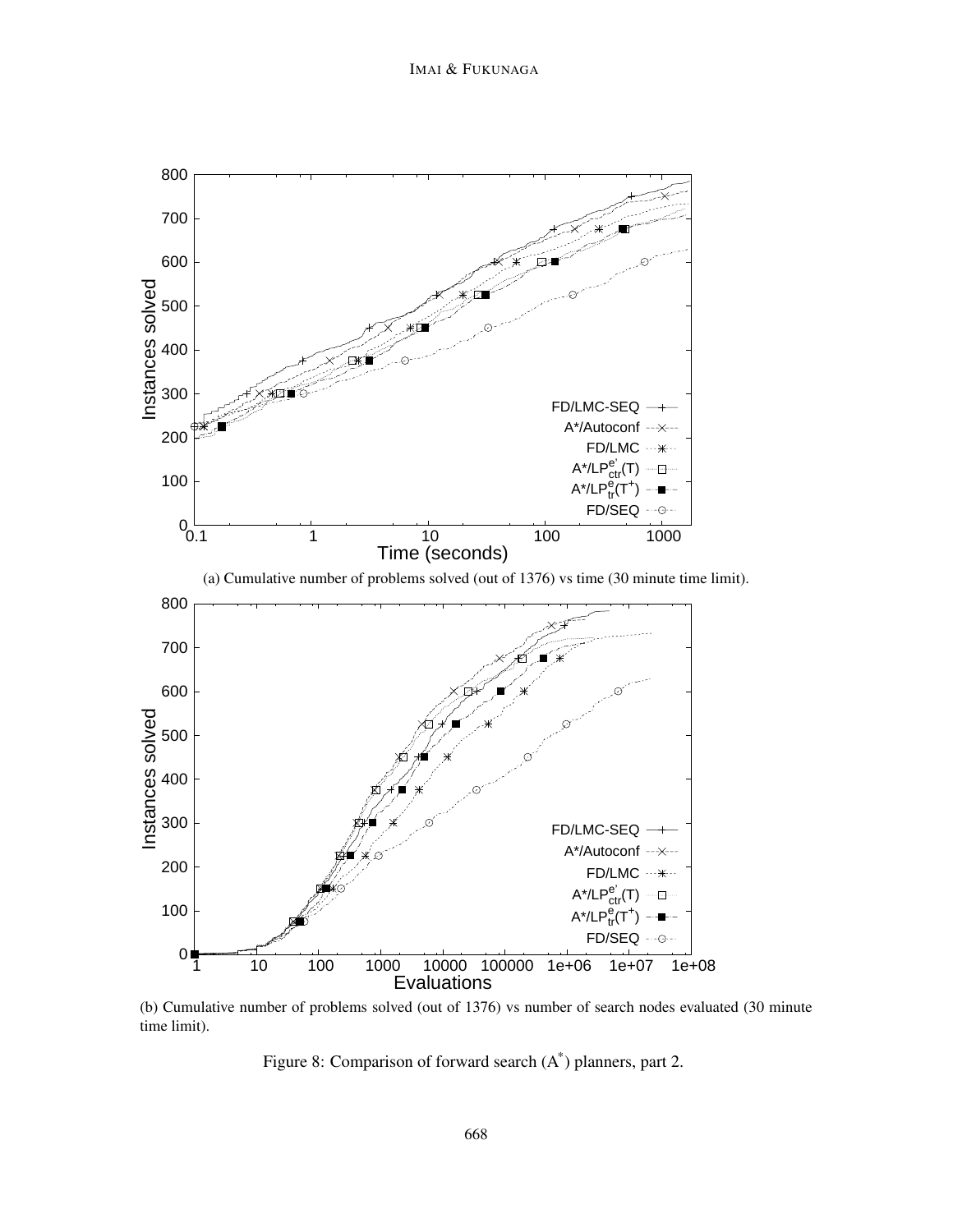

(b) Cumulative number of problems solved (out of 1376) vs number of search nodes evaluated (30 minute time limit).

Figure 8: Comparison of forward search  $(A^*)$  planners, part 2.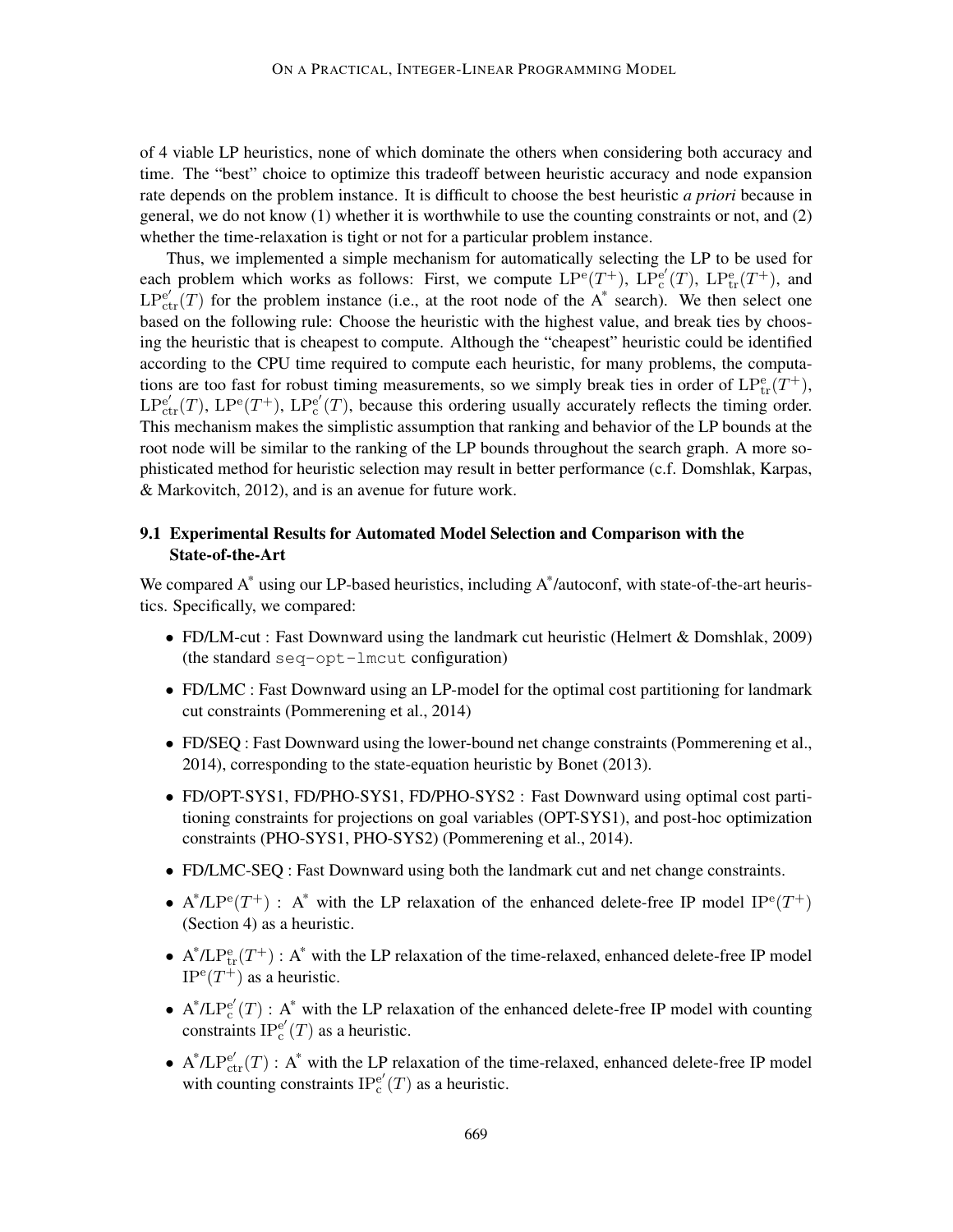of 4 viable LP heuristics, none of which dominate the others when considering both accuracy and time. The "best" choice to optimize this tradeoff between heuristic accuracy and node expansion rate depends on the problem instance. It is difficult to choose the best heuristic *a priori* because in general, we do not know (1) whether it is worthwhile to use the counting constraints or not, and (2) whether the time-relaxation is tight or not for a particular problem instance.

Thus, we implemented a simple mechanism for automatically selecting the LP to be used for each problem which works as follows: First, we compute  $LP^{e}(T^{+})$ ,  $LP_{c}^{e'}$  $_{\rm c}^{\rm e'}(T)$ ,  $\mathrm{LP}_{\rm tr}^{\rm e}(T^+)$ , and  $LP_{ctr}^{e'}(T)$  for the problem instance (i.e., at the root node of the A\* search). We then select one based on the following rule: Choose the heuristic with the highest value, and break ties by choosing the heuristic that is cheapest to compute. Although the "cheapest" heuristic could be identified according to the CPU time required to compute each heuristic, for many problems, the computations are too fast for robust timing measurements, so we simply break ties in order of  $LP_{tr}^{e}(T^{+})$ ,  $LP_{ctr}^{e'}(T)$ ,  $LP_{c}^{e'}(T^{+})$ ,  $LP_{c}^{e'}$  $e^e(T)$ , because this ordering usually accurately reflects the timing order. This mechanism makes the simplistic assumption that ranking and behavior of the LP bounds at the root node will be similar to the ranking of the LP bounds throughout the search graph. A more sophisticated method for heuristic selection may result in better performance (c.f. Domshlak, Karpas, & Markovitch, 2012), and is an avenue for future work.

## 9.1 Experimental Results for Automated Model Selection and Comparison with the State-of-the-Art

We compared  $A^*$  using our LP-based heuristics, including  $A^*$ /autoconf, with state-of-the-art heuristics. Specifically, we compared:

- FD/LM-cut : Fast Downward using the landmark cut heuristic (Helmert & Domshlak, 2009) (the standard seq-opt-lmcut configuration)
- FD/LMC : Fast Downward using an LP-model for the optimal cost partitioning for landmark cut constraints (Pommerening et al., 2014)
- FD/SEQ : Fast Downward using the lower-bound net change constraints (Pommerening et al., 2014), corresponding to the state-equation heuristic by Bonet (2013).
- FD/OPT-SYS1, FD/PHO-SYS1, FD/PHO-SYS2 : Fast Downward using optimal cost partitioning constraints for projections on goal variables (OPT-SYS1), and post-hoc optimization constraints (PHO-SYS1, PHO-SYS2) (Pommerening et al., 2014).
- FD/LMC-SEQ : Fast Downward using both the landmark cut and net change constraints.
- A\*/LP<sup>e</sup>(T<sup>+</sup>): A\* with the LP relaxation of the enhanced delete-free IP model IP<sup>e</sup>(T<sup>+</sup>) (Section 4) as a heuristic.
- $A^*/LP_{tr}^e(T^+)$ :  $A^*$  with the LP relaxation of the time-relaxed, enhanced delete-free IP model  $IP^{\rm e}(T^+)$  as a heuristic.
- $A^* / LP_c^{e'}$  $e'_{c}(T)$ : A<sup>\*</sup> with the LP relaxation of the enhanced delete-free IP model with counting  $\overline{\text{constraints}}$   $\text{IP}^{\text{e'}}_{\text{c}}$  $_{c}^{e'}(T)$  as a heuristic.
- $A^* / L P_{ctr}^{e'}(T)$ :  $A^*$  with the LP relaxation of the time-relaxed, enhanced delete-free IP model with counting constraints  $IP_c^{e'}$  $_{c}^{e'}(T)$  as a heuristic.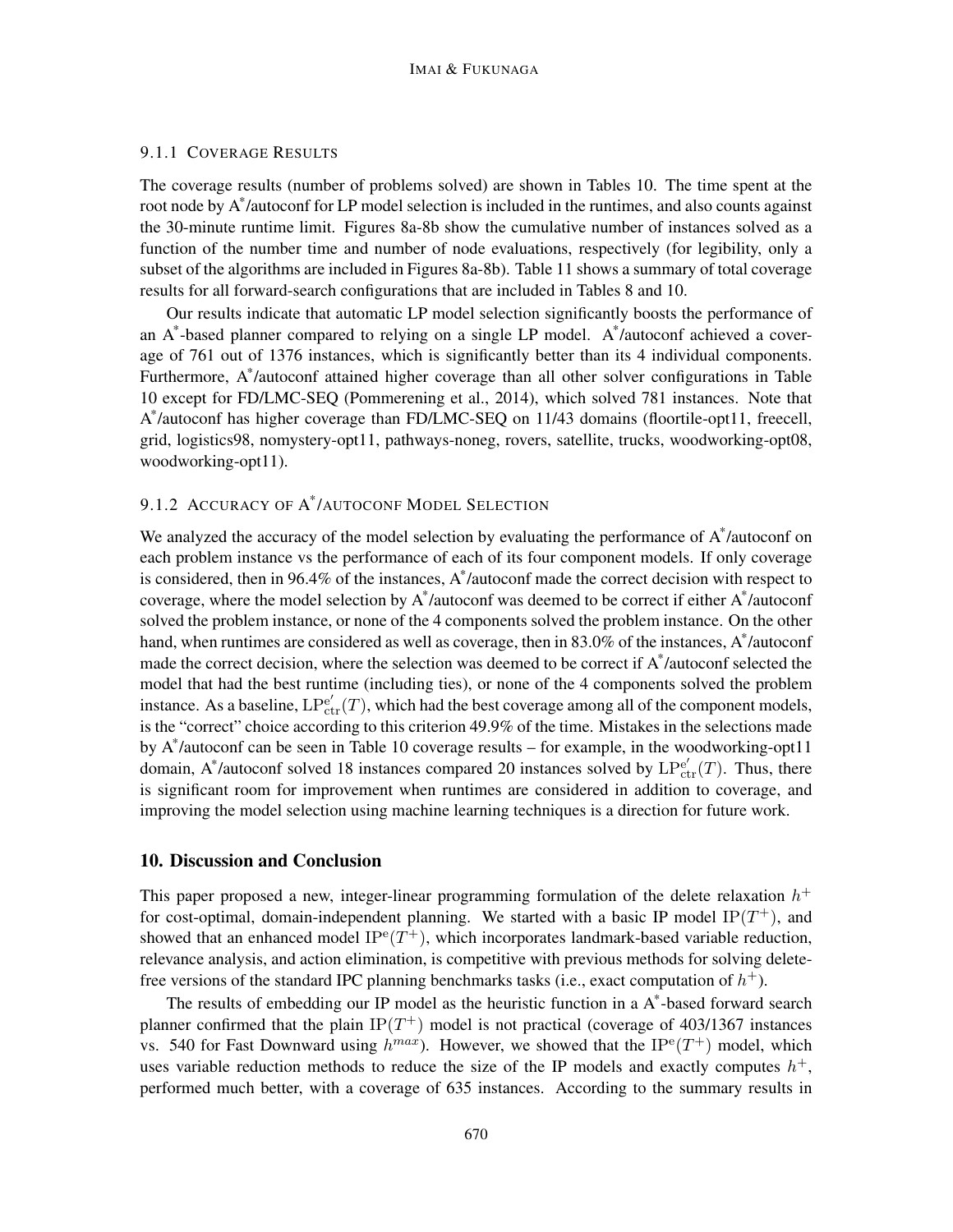## 9.1.1 COVERAGE RESULTS

The coverage results (number of problems solved) are shown in Tables 10. The time spent at the root node by A\* /autoconf for LP model selection is included in the runtimes, and also counts against the 30-minute runtime limit. Figures 8a-8b show the cumulative number of instances solved as a function of the number time and number of node evaluations, respectively (for legibility, only a subset of the algorithms are included in Figures 8a-8b). Table 11 shows a summary of total coverage results for all forward-search configurations that are included in Tables 8 and 10.

Our results indicate that automatic LP model selection significantly boosts the performance of an A\* -based planner compared to relying on a single LP model. A\* /autoconf achieved a coverage of 761 out of 1376 instances, which is significantly better than its 4 individual components. Furthermore, A\*/autoconf attained higher coverage than all other solver configurations in Table 10 except for FD/LMC-SEQ (Pommerening et al., 2014), which solved 781 instances. Note that A \* /autoconf has higher coverage than FD/LMC-SEQ on 11/43 domains (floortile-opt11, freecell, grid, logistics98, nomystery-opt11, pathways-noneg, rovers, satellite, trucks, woodworking-opt08, woodworking-opt11).

## 9.1.2 ACCURACY OF A \* /AUTOCONF MODEL SELECTION

We analyzed the accuracy of the model selection by evaluating the performance of A\*/autoconf on each problem instance vs the performance of each of its four component models. If only coverage is considered, then in 96.4% of the instances, A\* /autoconf made the correct decision with respect to coverage, where the model selection by  $A^*$ /autoconf was deemed to be correct if either  $A^*$ /autoconf solved the problem instance, or none of the 4 components solved the problem instance. On the other hand, when runtimes are considered as well as coverage, then in 83.0% of the instances, A\*/autoconf made the correct decision, where the selection was deemed to be correct if A\*/autoconf selected the model that had the best runtime (including ties), or none of the 4 components solved the problem instance. As a baseline,  $LP_{ctr}^{e'}(T)$ , which had the best coverage among all of the component models, is the "correct" choice according to this criterion 49.9% of the time. Mistakes in the selections made by A\* /autoconf can be seen in Table 10 coverage results – for example, in the woodworking-opt11 domain, A\*/autoconf solved 18 instances compared 20 instances solved by  $LP_{ctr}^{e'}(T)$ . Thus, there is significant room for improvement when runtimes are considered in addition to coverage, and improving the model selection using machine learning techniques is a direction for future work.

### 10. Discussion and Conclusion

This paper proposed a new, integer-linear programming formulation of the delete relaxation  $h^+$ for cost-optimal, domain-independent planning. We started with a basic IP model  $IP(T^+)$ , and showed that an enhanced model  $IP^e(T^+)$ , which incorporates landmark-based variable reduction, relevance analysis, and action elimination, is competitive with previous methods for solving deletefree versions of the standard IPC planning benchmarks tasks (i.e., exact computation of  $h^+$ ).

The results of embedding our IP model as the heuristic function in a A\*-based forward search planner confirmed that the plain  $IP(T^+)$  model is not practical (coverage of 403/1367 instances vs. 540 for Fast Downward using  $h^{max}$ ). However, we showed that the IP<sup>e</sup>(T<sup>+</sup>) model, which uses variable reduction methods to reduce the size of the IP models and exactly computes  $h^+$ , performed much better, with a coverage of 635 instances. According to the summary results in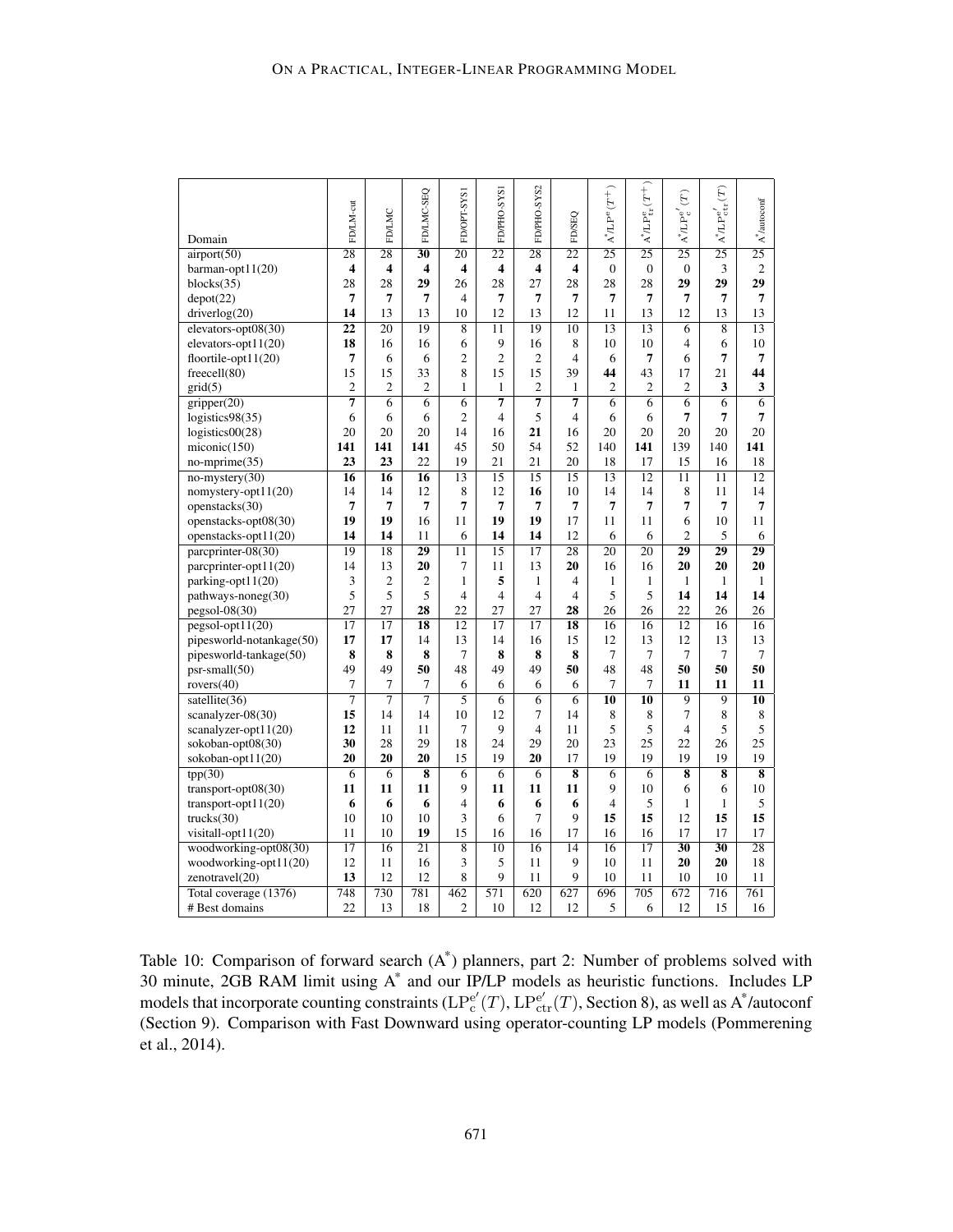| Domain                   | FD/LM-cut               | FD/LMC                  | FD/LMC-SEQ              | FD/OPT-SYS1              | FD/PHO-SYS1              | FD/PHO-SYS2             | FD/SEQ                  | $A^*L P^e(T^+)$ | $\text{A}^* \Lambda \text{P}^{\text{e}}_{\text{tr}} (T^+)$ | $(\mathcal{T})$<br>$A^*L\text{Pe}^{\text{e}'}$ | $\mathring{A}^*L\mathrm{Pe}^e_{\mathrm{ctr}}(T)$ | $\mathring{\mathbf{A}}^*$ /autoconf |
|--------------------------|-------------------------|-------------------------|-------------------------|--------------------------|--------------------------|-------------------------|-------------------------|-----------------|------------------------------------------------------------|------------------------------------------------|--------------------------------------------------|-------------------------------------|
| airport(50)              | $\overline{28}$         | $\overline{28}$         | $\overline{30}$         | $\overline{20}$          | $\overline{22}$          | 28                      | $\overline{22}$         | $\overline{25}$ | $\overline{25}$                                            | $\overline{25}$                                | $\overline{25}$                                  | $\overline{25}$                     |
| barman-opt $11(20)$      | $\overline{\mathbf{4}}$ | $\overline{\mathbf{4}}$ | $\overline{\mathbf{4}}$ | 4                        | $\overline{\mathbf{4}}$  | $\overline{\mathbf{4}}$ | $\overline{\mathbf{4}}$ | $\overline{0}$  | $\mathbf{0}$                                               | $\mathbf{0}$                                   | 3                                                | $\overline{c}$                      |
| blocks(35)               | 28                      | 28                      | 29                      | 26                       | 28                       | 27                      | 28                      | 28              | 28                                                         | 29                                             | 29                                               | 29                                  |
| depot(22)                | 7                       | 7                       | 7                       | $\overline{4}$           | 7                        | 7                       | $\overline{7}$          | 7               | 7                                                          | 7                                              | 7                                                | 7                                   |
| driverlog(20)            | 14                      | 13                      | 13                      | 10                       | 12                       | 13                      | 12                      | 11              | 13                                                         | 12                                             | 13                                               | 13                                  |
| elevators-opt08(30)      | $\overline{22}$         | 20                      | 19                      | 8                        | 11                       | 19                      | 10                      | 13              | 13                                                         | 6                                              | 8                                                | 13                                  |
| elevators-opt $11(20)$   | 18                      | 16                      | 16                      | 6                        | 9                        | 16                      | 8                       | 10              | 10                                                         | $\overline{4}$                                 | 6                                                | 10                                  |
| floortile-opt $11(20)$   | 7                       | 6                       | 6                       | $\overline{2}$           | $\overline{c}$           | $\mathfrak{2}$          | $\overline{4}$          | 6               | 7                                                          | 6                                              | 7                                                | 7                                   |
| freecell(80)             | 15                      | 15                      | 33                      | 8                        | 15                       | 15                      | 39                      | 44              | 43                                                         | 17                                             | 21                                               | 44                                  |
| grid(5)                  | $\overline{c}$          | $\overline{c}$          | $\overline{2}$          | $\mathbf{1}$             | $\mathbf{1}$             | $\overline{2}$          | $\mathbf{1}$            | $\overline{c}$  | $\overline{c}$                                             | $\overline{2}$                                 | 3                                                | 3                                   |
| gripper(20)              | $\overline{7}$          | $\overline{6}$          | $\overline{6}$          | $\overline{6}$           | $\overline{7}$           | $\overline{7}$          | $\overline{7}$          | $\overline{6}$  | $\overline{6}$                                             | $\overline{6}$                                 | $\overline{6}$                                   | $\overline{6}$                      |
| logistics98(35)          | 6                       | 6                       | 6                       | $\overline{2}$           | $\overline{4}$           | 5                       | $\overline{4}$          | 6               | 6                                                          | 7                                              | 7                                                | $\overline{7}$                      |
| logistics00(28)          | 20                      | 20                      | 20                      | 14                       | 16                       | 21                      | 16                      | 20              | 20                                                         | 20                                             | 20                                               | 20                                  |
| miconic(150)             | 141                     | 141                     | 141                     | 45                       | 50                       | 54                      | 52                      | 140             | 141                                                        | 139                                            | 140                                              | 141                                 |
| $no\text{-}mprime(35)$   | 23                      | 23                      | 22                      | 19                       | 21                       | 21                      | 20                      | 18              | 17                                                         | 15                                             | 16                                               | 18                                  |
| $no-mysterv(30)$         | 16                      | 16                      | $\overline{16}$         | $\overline{13}$          | 15                       | $\overline{15}$         | 15                      | $\overline{13}$ | $\overline{12}$                                            | $\overline{11}$                                | $\overline{11}$                                  | $\overline{12}$                     |
| nomystery-opt11(20)      | 14                      | 14                      | 12                      | 8                        | 12                       | 16                      | 10                      | 14              | 14                                                         | 8                                              | 11                                               | 14                                  |
| openstacks(30)           | 7                       | 7                       | 7                       | 7                        | 7                        | 7                       | 7                       | $\overline{7}$  | 7                                                          | 7                                              | 7                                                | $\overline{7}$                      |
| openstacks-opt08(30)     | 19                      | 19                      | 16                      | 11                       | 19                       | 19                      | 17                      | 11              | 11                                                         | 6                                              | 10                                               | 11                                  |
| openstacks-opt $11(20)$  | 14                      | 14                      | 11                      | 6                        | 14                       | 14                      | 12                      | 6               | 6                                                          | $\overline{2}$                                 | 5                                                | 6                                   |
| parcprinter-08(30)       | 19                      | 18                      | 29                      | 11                       | $\overline{15}$          | $\overline{17}$         | $\overline{28}$         | $\overline{20}$ | $\overline{20}$                                            | $\overline{29}$                                | 29                                               | 29                                  |
| parcprinter-opt11(20)    | 14                      | 13                      | 20                      | 7                        | 11                       | 13                      | 20                      | 16              | 16                                                         | 20                                             | 20                                               | 20                                  |
| parking-opt11(20)        | 3                       | $\overline{2}$          | $\overline{2}$          | $\mathbf{1}$             | 5                        | $\mathbf{1}$            | $\overline{4}$          | 1               | 1                                                          | 1                                              | $\mathbf{1}$                                     | $\mathbf{1}$                        |
| pathways-noneg(30)       | 5                       | 5                       | 5                       | $\overline{\mathbf{4}}$  | $\overline{\mathcal{L}}$ | $\overline{4}$          | $\overline{4}$          | 5               | 5                                                          | 14                                             | 14                                               | 14                                  |
| $pegsol-08(30)$          | 27                      | 27                      | 28                      | 22                       | 27                       | 27                      | 28                      | 26              | 26                                                         | 22                                             | 26                                               | 26                                  |
| $pegsol-opt11(20)$       | $\overline{17}$         | $\overline{17}$         | 18                      | 12                       | 17                       | 17                      | 18                      | 16              | 16                                                         | $\overline{12}$                                | 16                                               | 16                                  |
| pipesworld-notankage(50) | 17                      | 17                      | 14                      | 13                       | 14                       | 16                      | 15                      | 12              | 13                                                         | 12                                             | 13                                               | 13                                  |
| pipesworld-tankage(50)   | 8                       | 8                       | 8                       | $\overline{7}$           | 8                        | 8                       | 8                       | 7               | 7                                                          | $\overline{7}$                                 | 7                                                | 7                                   |
| $psr-small(50)$          | 49                      | 49                      | 50                      | 48                       | 49                       | 49                      | 50                      | 48              | 48                                                         | 50                                             | 50                                               | 50                                  |
| rovers $(40)$            | 7                       | 7                       | $\tau$                  | 6                        | 6                        | 6                       | 6                       | 7               | 7                                                          | 11                                             | 11                                               | 11                                  |
| satellite(36)            | $\overline{7}$          | $\overline{7}$          | $\overline{7}$          | 5                        | 6                        | 6                       | $\overline{6}$          | $\overline{10}$ | 10                                                         | 9                                              | 9                                                | 10                                  |
| scanalyzer-08(30)        | 15                      | 14                      | 14                      | 10                       | 12                       | 7                       | 14                      | 8               | 8                                                          | 7                                              | 8                                                | 8                                   |
| scanalyzer-opt11(20)     | 12                      | 11                      | 11                      | 7                        | 9                        | $\overline{4}$          | 11                      | 5               | 5                                                          | $\overline{4}$                                 | 5                                                | 5                                   |
| sokoban-opt08(30)        | 30                      | 28                      | 29                      | 18                       | 24                       | 29                      | 20                      | 23              | 25                                                         | 22                                             | 26                                               | 25                                  |
| sokoban-opt11(20)        | 20                      | 20                      | 20                      | 15                       | 19                       | 20                      | 17                      | 19              | 19                                                         | 19                                             | 19                                               | 19                                  |
| tpp(30)                  | $\overline{6}$          | $\overline{6}$          | $\overline{\bf 8}$      | $\overline{6}$           | $\overline{6}$           | $\overline{6}$          | $\overline{\bf 8}$      | $\overline{6}$  | $\overline{6}$                                             | $\overline{\bf 8}$                             | $\overline{\bf 8}$                               | $\overline{\bf 8}$                  |
| transport-opt $08(30)$   | 11                      | 11                      | 11                      | 9                        | 11                       | 11                      | 11                      | 9               | 10                                                         | 6                                              | 6                                                | 10                                  |
| transport-opt $11(20)$   | 6                       | 6                       | 6                       | $\overline{\mathcal{L}}$ | 6                        | 6                       | 6                       | $\overline{4}$  | 5                                                          | $\mathbf{1}$                                   | $\mathbf{1}$                                     | 5                                   |
| trucks(30)               | 10                      | 10                      | 10                      | 3                        | 6                        | 7                       | 9                       | 15              | 15                                                         | 12                                             | 15                                               | 15                                  |
| visitall-opt11(20)       | 11                      | 10                      | 19                      | 15                       | 16                       | 16                      | 17                      | 16              | 16                                                         | 17                                             | 17                                               | 17                                  |
| woodworking-opt08(30)    | $\overline{17}$         | 16                      | $\overline{21}$         | $\overline{8}$           | $\overline{10}$          | 16                      | $\overline{14}$         | 16              | $\overline{17}$                                            | $\overline{30}$                                | $\overline{30}$                                  | $\overline{28}$                     |
| woodworking-opt11(20)    | 12                      | 11                      | 16                      | 3                        | 5                        | 11                      | 9                       | 10              | 11                                                         | 20                                             | 20                                               | 18                                  |
| zenotravel(20)           | 13                      | 12                      | 12                      | 8                        | 9                        | 11                      | 9                       | 10              | 11                                                         | 10                                             | 10                                               | 11                                  |
| Total coverage (1376)    | 748                     | 730                     | 781                     | 462                      | 571                      | 620                     | 627                     | 696             | 705                                                        | 672                                            | 716                                              | 761                                 |
| # Best domains           | 22                      | 13                      | 18                      | $\overline{c}$           | 10                       | 12                      | 12                      | 5               | 6                                                          | 12                                             | 15                                               | 16                                  |

Table 10: Comparison of forward search (A\* ) planners, part 2: Number of problems solved with 30 minute, 2GB RAM limit using A\* and our IP/LP models as heuristic functions. Includes LP models that incorporate counting constraints  $(LP_c^e)$  $e'_{\rm c}(T)$ ,  $\rm LP_{ctr}^{e'}(T)$ , Section 8), as well as A\*/autoconf (Section 9). Comparison with Fast Downward using operator-counting LP models (Pommerening et al., 2014).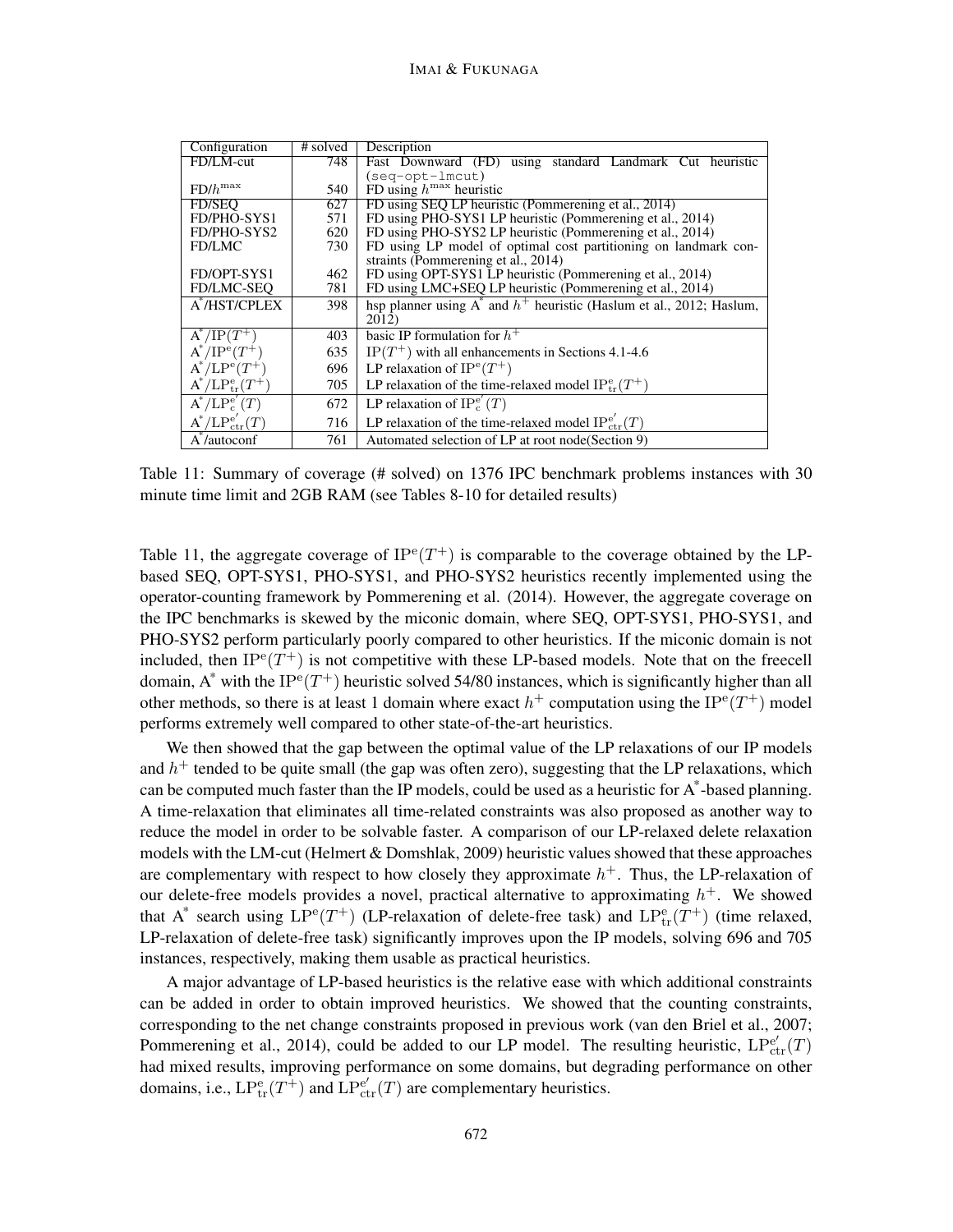| Configuration            | # solved | Description                                                                   |  |  |  |  |  |  |  |
|--------------------------|----------|-------------------------------------------------------------------------------|--|--|--|--|--|--|--|
| FD/LM-cut                | 748      | Fast Downward (FD) using standard Landmark Cut heuristic                      |  |  |  |  |  |  |  |
|                          |          | $(seq-opt-lmcut)$                                                             |  |  |  |  |  |  |  |
| $FD/h^{max}$             | 540      | FD using $h^{\max}$ heuristic                                                 |  |  |  |  |  |  |  |
| <b>FD/SEO</b>            | 627      | FD using SEO LP heuristic (Pommerening et al., 2014)                          |  |  |  |  |  |  |  |
| FD/PHO-SYS1              | 571      | FD using PHO-SYS1 LP heuristic (Pommerening et al., 2014)                     |  |  |  |  |  |  |  |
| FD/PHO-SYS2              | 620      | FD using PHO-SYS2 LP heuristic (Pommerening et al., 2014)                     |  |  |  |  |  |  |  |
| <b>FD/LMC</b>            | 730      | FD using LP model of optimal cost partitioning on landmark con-               |  |  |  |  |  |  |  |
|                          |          | straints (Pommerening et al., 2014)                                           |  |  |  |  |  |  |  |
| FD/OPT-SYS1              | 462      | FD using OPT-SYS1 LP heuristic (Pommerening et al., 2014)                     |  |  |  |  |  |  |  |
| FD/LMC-SEQ               | 781      | FD using LMC+SEQ LP heuristic (Pommerening et al., 2014)                      |  |  |  |  |  |  |  |
| A*/HST/CPLEX             | 398      | hsp planner using $A^*$ and $h^+$ heuristic (Haslum et al., 2012; Haslum,     |  |  |  |  |  |  |  |
|                          |          | 2012)                                                                         |  |  |  |  |  |  |  |
| $A^*/IP(T^+$             | 403      | basic IP formulation for $h^+$                                                |  |  |  |  |  |  |  |
| $A^*/IP^e(T^+)$          | 635      | $IP(T^+)$ with all enhancements in Sections 4.1-4.6                           |  |  |  |  |  |  |  |
| $A^*/LP^e(T^+)$          | 696      | LP relaxation of $IP^e(T^+)$                                                  |  |  |  |  |  |  |  |
| $A^*/LP_{tr}^e(T^+)$     | 705      | LP relaxation of the time-relaxed model IP <sup>e</sup> <sub>tr</sub> $(T^+)$ |  |  |  |  |  |  |  |
| $A^*/LP_c^{e'}(T)$       | 672      | LP relaxation of $IP_c^{e'}(T)$                                               |  |  |  |  |  |  |  |
| $A^*/LP_{ctr}^{e'}(T)$   | 716      | LP relaxation of the time-relaxed model $IP_{ctr}^{e'}(T)$                    |  |  |  |  |  |  |  |
| A <sup>*</sup> /autoconf | 761      | Automated selection of LP at root node (Section 9)                            |  |  |  |  |  |  |  |

Table 11: Summary of coverage (# solved) on 1376 IPC benchmark problems instances with 30 minute time limit and 2GB RAM (see Tables 8-10 for detailed results)

Table 11, the aggregate coverage of  $IP^e(T^+)$  is comparable to the coverage obtained by the LPbased SEQ, OPT-SYS1, PHO-SYS1, and PHO-SYS2 heuristics recently implemented using the operator-counting framework by Pommerening et al. (2014). However, the aggregate coverage on the IPC benchmarks is skewed by the miconic domain, where SEQ, OPT-SYS1, PHO-SYS1, and PHO-SYS2 perform particularly poorly compared to other heuristics. If the miconic domain is not included, then  $IP^e(T^+)$  is not competitive with these LP-based models. Note that on the freecell domain, A\* with the IP<sup>e</sup>(T<sup>+</sup>) heuristic solved 54/80 instances, which is significantly higher than all other methods, so there is at least 1 domain where exact  $h^+$  computation using the IP<sup>e</sup>(T<sup>+</sup>) model performs extremely well compared to other state-of-the-art heuristics.

We then showed that the gap between the optimal value of the LP relaxations of our IP models and  $h^+$  tended to be quite small (the gap was often zero), suggesting that the LP relaxations, which can be computed much faster than the IP models, could be used as a heuristic for  $A^*$ -based planning. A time-relaxation that eliminates all time-related constraints was also proposed as another way to reduce the model in order to be solvable faster. A comparison of our LP-relaxed delete relaxation models with the LM-cut (Helmert  $&$  Domshlak, 2009) heuristic values showed that these approaches are complementary with respect to how closely they approximate  $h^+$ . Thus, the LP-relaxation of our delete-free models provides a novel, practical alternative to approximating  $h^+$ . We showed that A<sup>\*</sup> search using  $LP^e(T^+)$  (LP-relaxation of delete-free task) and  $LP^e_{tr}(T^+)$  (time relaxed, LP-relaxation of delete-free task) significantly improves upon the IP models, solving 696 and 705 instances, respectively, making them usable as practical heuristics.

A major advantage of LP-based heuristics is the relative ease with which additional constraints can be added in order to obtain improved heuristics. We showed that the counting constraints, corresponding to the net change constraints proposed in previous work (van den Briel et al., 2007; Pommerening et al., 2014), could be added to our LP model. The resulting heuristic,  $LP_{ctr}^{e'}(T)$ had mixed results, improving performance on some domains, but degrading performance on other domains, i.e.,  $LP_{tr}^{e}(T^{+})$  and  $LP_{ctr}^{e'}(T)$  are complementary heuristics.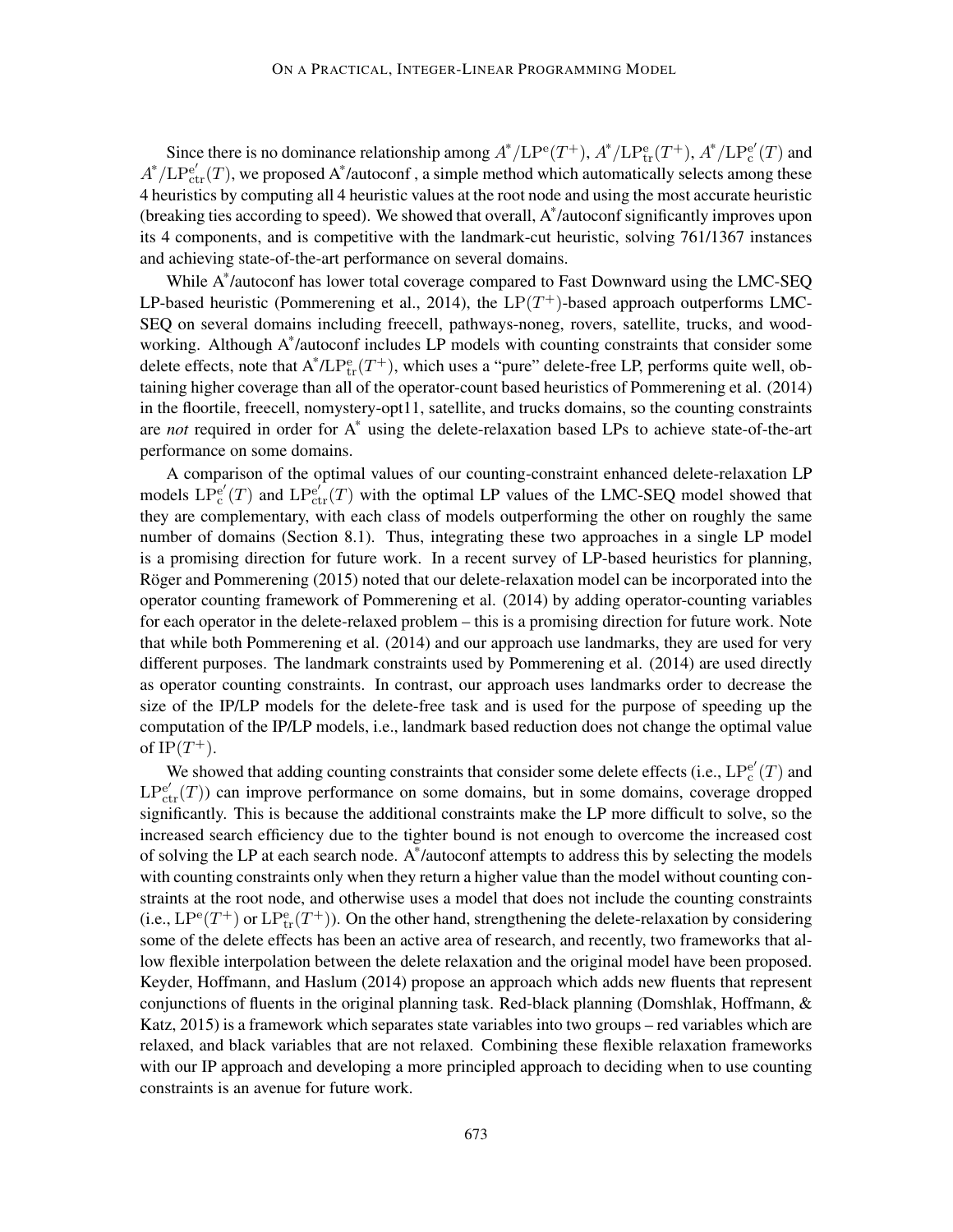Since there is no dominance relationship among  $A^*/\text{LP}^{\text{e}}(T^+)$ ,  $A^*/\text{LP}^{\text{e}}_{\text{tr}}(T^+)$ ,  $A^*/\text{LP}^{\text{e}}_{\text{c}}$  $_{\rm c}^{\rm e'}(T)$  and  $A^*/LP_{ctr}^{e'}(T)$ , we proposed A\*/autoconf, a simple method which automatically selects among these 4 heuristics by computing all 4 heuristic values at the root node and using the most accurate heuristic (breaking ties according to speed). We showed that overall,  $A^*$ /autoconf significantly improves upon its 4 components, and is competitive with the landmark-cut heuristic, solving 761/1367 instances and achieving state-of-the-art performance on several domains.

While A\* /autoconf has lower total coverage compared to Fast Downward using the LMC-SEQ LP-based heuristic (Pommerening et al., 2014), the  $LP(T^+)$ -based approach outperforms LMC-SEQ on several domains including freecell, pathways-noneg, rovers, satellite, trucks, and woodworking. Although A\* /autoconf includes LP models with counting constraints that consider some delete effects, note that  $A^* / L P_{tr}^e(T^+)$ , which uses a "pure" delete-free LP, performs quite well, obtaining higher coverage than all of the operator-count based heuristics of Pommerening et al. (2014) in the floortile, freecell, nomystery-opt11, satellite, and trucks domains, so the counting constraints are *not* required in order for A\* using the delete-relaxation based LPs to achieve state-of-the-art performance on some domains.

A comparison of the optimal values of our counting-constraint enhanced delete-relaxation LP models  $LP<sub>c</sub><sup>1</sup>$  $e'_{c}(T)$  and  $LP_{ctr}^{e'}(T)$  with the optimal LP values of the LMC-SEQ model showed that they are complementary, with each class of models outperforming the other on roughly the same number of domains (Section 8.1). Thus, integrating these two approaches in a single LP model is a promising direction for future work. In a recent survey of LP-based heuristics for planning, Röger and Pommerening (2015) noted that our delete-relaxation model can be incorporated into the operator counting framework of Pommerening et al. (2014) by adding operator-counting variables for each operator in the delete-relaxed problem – this is a promising direction for future work. Note that while both Pommerening et al. (2014) and our approach use landmarks, they are used for very different purposes. The landmark constraints used by Pommerening et al. (2014) are used directly as operator counting constraints. In contrast, our approach uses landmarks order to decrease the size of the IP/LP models for the delete-free task and is used for the purpose of speeding up the computation of the IP/LP models, i.e., landmark based reduction does not change the optimal value of  $IP(T^+).$ 

We showed that adding counting constraints that consider some delete effects (i.e.,  $LP_c^{e'}$  $_{\rm c}^{\rm e'}(T)$  and  $LP<sub>ctr</sub><sup>e</sup>(T)$ ) can improve performance on some domains, but in some domains, coverage dropped significantly. This is because the additional constraints make the LP more difficult to solve, so the increased search efficiency due to the tighter bound is not enough to overcome the increased cost of solving the LP at each search node. A\* /autoconf attempts to address this by selecting the models with counting constraints only when they return a higher value than the model without counting constraints at the root node, and otherwise uses a model that does not include the counting constraints (i.e.,  $LP^e(T^+)$  or  $LP^e_{tr}(T^+)$ ). On the other hand, strengthening the delete-relaxation by considering some of the delete effects has been an active area of research, and recently, two frameworks that allow flexible interpolation between the delete relaxation and the original model have been proposed. Keyder, Hoffmann, and Haslum (2014) propose an approach which adds new fluents that represent conjunctions of fluents in the original planning task. Red-black planning (Domshlak, Hoffmann,  $\&$ Katz, 2015) is a framework which separates state variables into two groups – red variables which are relaxed, and black variables that are not relaxed. Combining these flexible relaxation frameworks with our IP approach and developing a more principled approach to deciding when to use counting constraints is an avenue for future work.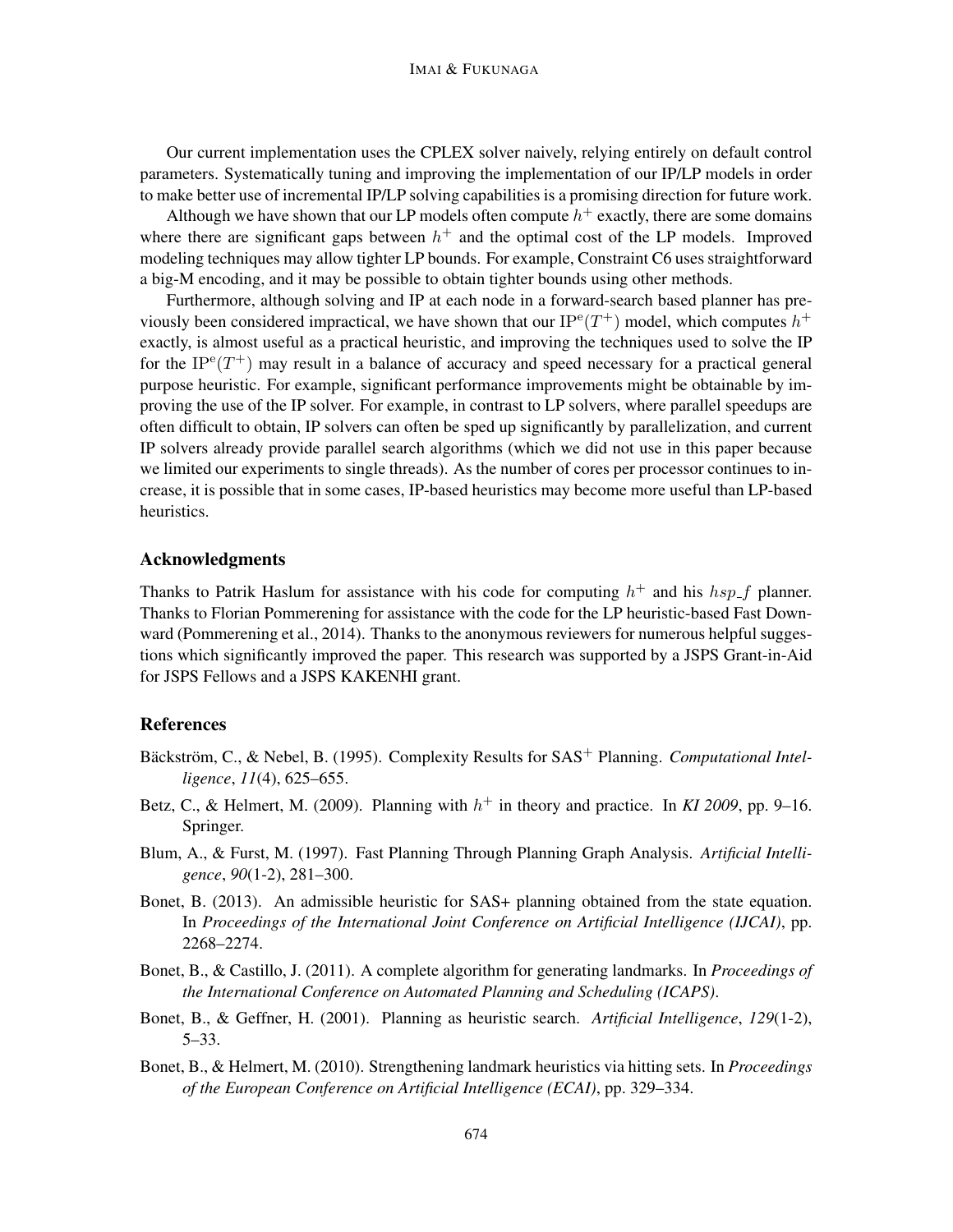Our current implementation uses the CPLEX solver naively, relying entirely on default control parameters. Systematically tuning and improving the implementation of our IP/LP models in order to make better use of incremental IP/LP solving capabilities is a promising direction for future work.

Although we have shown that our LP models often compute  $h^+$  exactly, there are some domains where there are significant gaps between  $h^+$  and the optimal cost of the LP models. Improved modeling techniques may allow tighter LP bounds. For example, Constraint C6 uses straightforward a big-M encoding, and it may be possible to obtain tighter bounds using other methods.

Furthermore, although solving and IP at each node in a forward-search based planner has previously been considered impractical, we have shown that our  $IP^e(T^+)$  model, which computes  $h^+$ exactly, is almost useful as a practical heuristic, and improving the techniques used to solve the IP for the  $IP^e(T^+)$  may result in a balance of accuracy and speed necessary for a practical general purpose heuristic. For example, significant performance improvements might be obtainable by improving the use of the IP solver. For example, in contrast to LP solvers, where parallel speedups are often difficult to obtain, IP solvers can often be sped up significantly by parallelization, and current IP solvers already provide parallel search algorithms (which we did not use in this paper because we limited our experiments to single threads). As the number of cores per processor continues to increase, it is possible that in some cases, IP-based heuristics may become more useful than LP-based heuristics.

## Acknowledgments

Thanks to Patrik Haslum for assistance with his code for computing  $h^+$  and his  $hsp-f$  planner. Thanks to Florian Pommerening for assistance with the code for the LP heuristic-based Fast Downward (Pommerening et al., 2014). Thanks to the anonymous reviewers for numerous helpful suggestions which significantly improved the paper. This research was supported by a JSPS Grant-in-Aid for JSPS Fellows and a JSPS KAKENHI grant.

## References

- Bäckström, C., & Nebel, B. (1995). Complexity Results for SAS<sup>+</sup> Planning. Computational Intel*ligence*, *11*(4), 625–655.
- Betz, C., & Helmert, M. (2009). Planning with  $h^+$  in theory and practice. In *KI* 2009, pp. 9–16. Springer.
- Blum, A., & Furst, M. (1997). Fast Planning Through Planning Graph Analysis. *Artificial Intelligence*, *90*(1-2), 281–300.
- Bonet, B. (2013). An admissible heuristic for SAS+ planning obtained from the state equation. In *Proceedings of the International Joint Conference on Artificial Intelligence (IJCAI)*, pp. 2268–2274.
- Bonet, B., & Castillo, J. (2011). A complete algorithm for generating landmarks. In *Proceedings of the International Conference on Automated Planning and Scheduling (ICAPS)*.
- Bonet, B., & Geffner, H. (2001). Planning as heuristic search. *Artificial Intelligence*, *129*(1-2), 5–33.
- Bonet, B., & Helmert, M. (2010). Strengthening landmark heuristics via hitting sets. In *Proceedings of the European Conference on Artificial Intelligence (ECAI)*, pp. 329–334.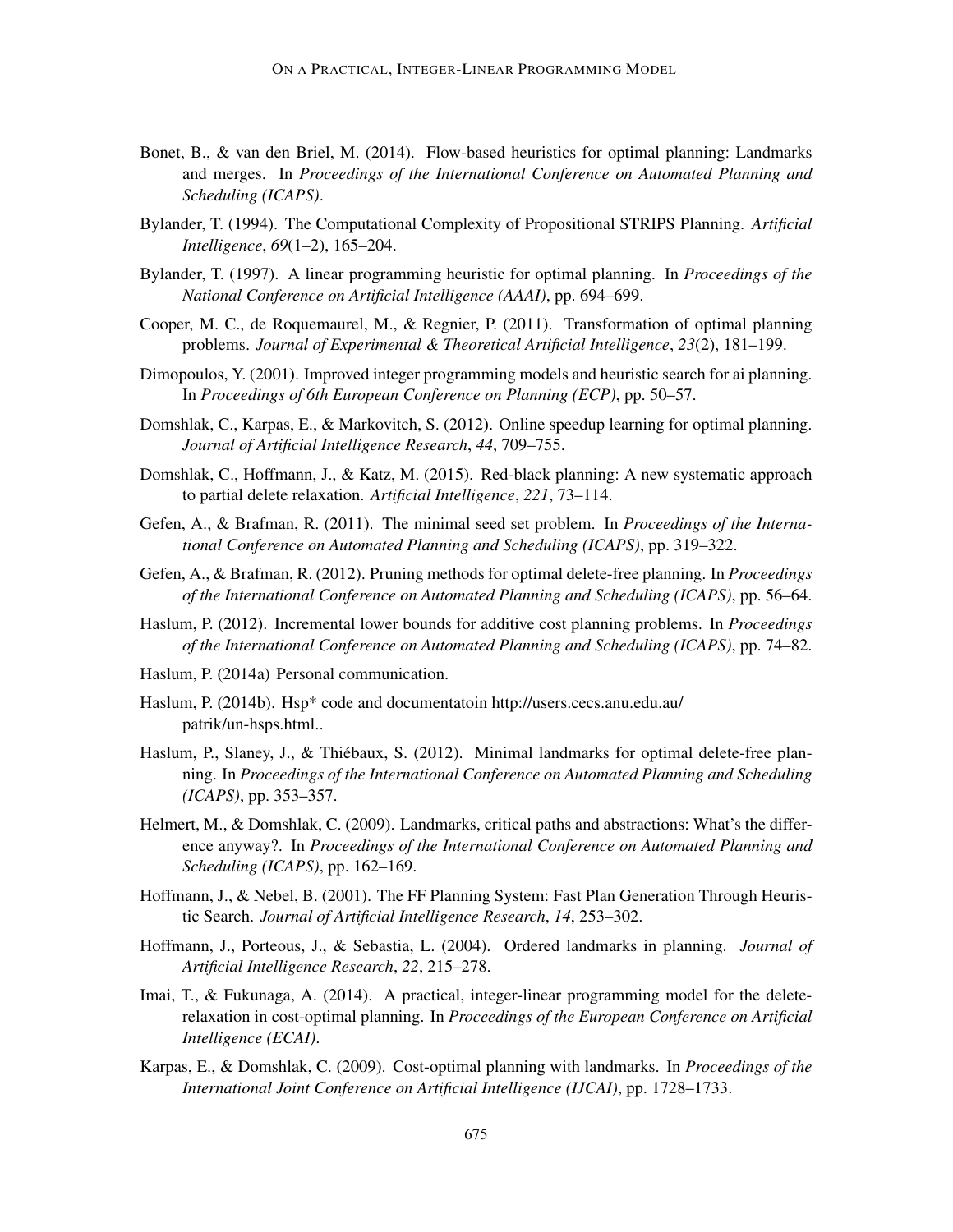- Bonet, B., & van den Briel, M. (2014). Flow-based heuristics for optimal planning: Landmarks and merges. In *Proceedings of the International Conference on Automated Planning and Scheduling (ICAPS)*.
- Bylander, T. (1994). The Computational Complexity of Propositional STRIPS Planning. *Artificial Intelligence*, *69*(1–2), 165–204.
- Bylander, T. (1997). A linear programming heuristic for optimal planning. In *Proceedings of the National Conference on Artificial Intelligence (AAAI)*, pp. 694–699.
- Cooper, M. C., de Roquemaurel, M., & Regnier, P. (2011). Transformation of optimal planning problems. *Journal of Experimental & Theoretical Artificial Intelligence*, *23*(2), 181–199.
- Dimopoulos, Y. (2001). Improved integer programming models and heuristic search for ai planning. In *Proceedings of 6th European Conference on Planning (ECP)*, pp. 50–57.
- Domshlak, C., Karpas, E., & Markovitch, S. (2012). Online speedup learning for optimal planning. *Journal of Artificial Intelligence Research*, *44*, 709–755.
- Domshlak, C., Hoffmann, J., & Katz, M. (2015). Red-black planning: A new systematic approach to partial delete relaxation. *Artificial Intelligence*, *221*, 73–114.
- Gefen, A., & Brafman, R. (2011). The minimal seed set problem. In *Proceedings of the International Conference on Automated Planning and Scheduling (ICAPS)*, pp. 319–322.
- Gefen, A., & Brafman, R. (2012). Pruning methods for optimal delete-free planning. In *Proceedings of the International Conference on Automated Planning and Scheduling (ICAPS)*, pp. 56–64.
- Haslum, P. (2012). Incremental lower bounds for additive cost planning problems. In *Proceedings of the International Conference on Automated Planning and Scheduling (ICAPS)*, pp. 74–82.
- Haslum, P. (2014a) Personal communication.
- Haslum, P. (2014b). Hsp\* code and documentatoin http://users.cecs.anu.edu.au/ patrik/un-hsps.html..
- Haslum, P., Slaney, J., & Thiébaux, S. (2012). Minimal landmarks for optimal delete-free planning. In *Proceedings of the International Conference on Automated Planning and Scheduling (ICAPS)*, pp. 353–357.
- Helmert, M., & Domshlak, C. (2009). Landmarks, critical paths and abstractions: What's the difference anyway?. In *Proceedings of the International Conference on Automated Planning and Scheduling (ICAPS)*, pp. 162–169.
- Hoffmann, J., & Nebel, B. (2001). The FF Planning System: Fast Plan Generation Through Heuristic Search. *Journal of Artificial Intelligence Research*, *14*, 253–302.
- Hoffmann, J., Porteous, J., & Sebastia, L. (2004). Ordered landmarks in planning. *Journal of Artificial Intelligence Research*, *22*, 215–278.
- Imai, T., & Fukunaga, A. (2014). A practical, integer-linear programming model for the deleterelaxation in cost-optimal planning. In *Proceedings of the European Conference on Artificial Intelligence (ECAI)*.
- Karpas, E., & Domshlak, C. (2009). Cost-optimal planning with landmarks. In *Proceedings of the International Joint Conference on Artificial Intelligence (IJCAI)*, pp. 1728–1733.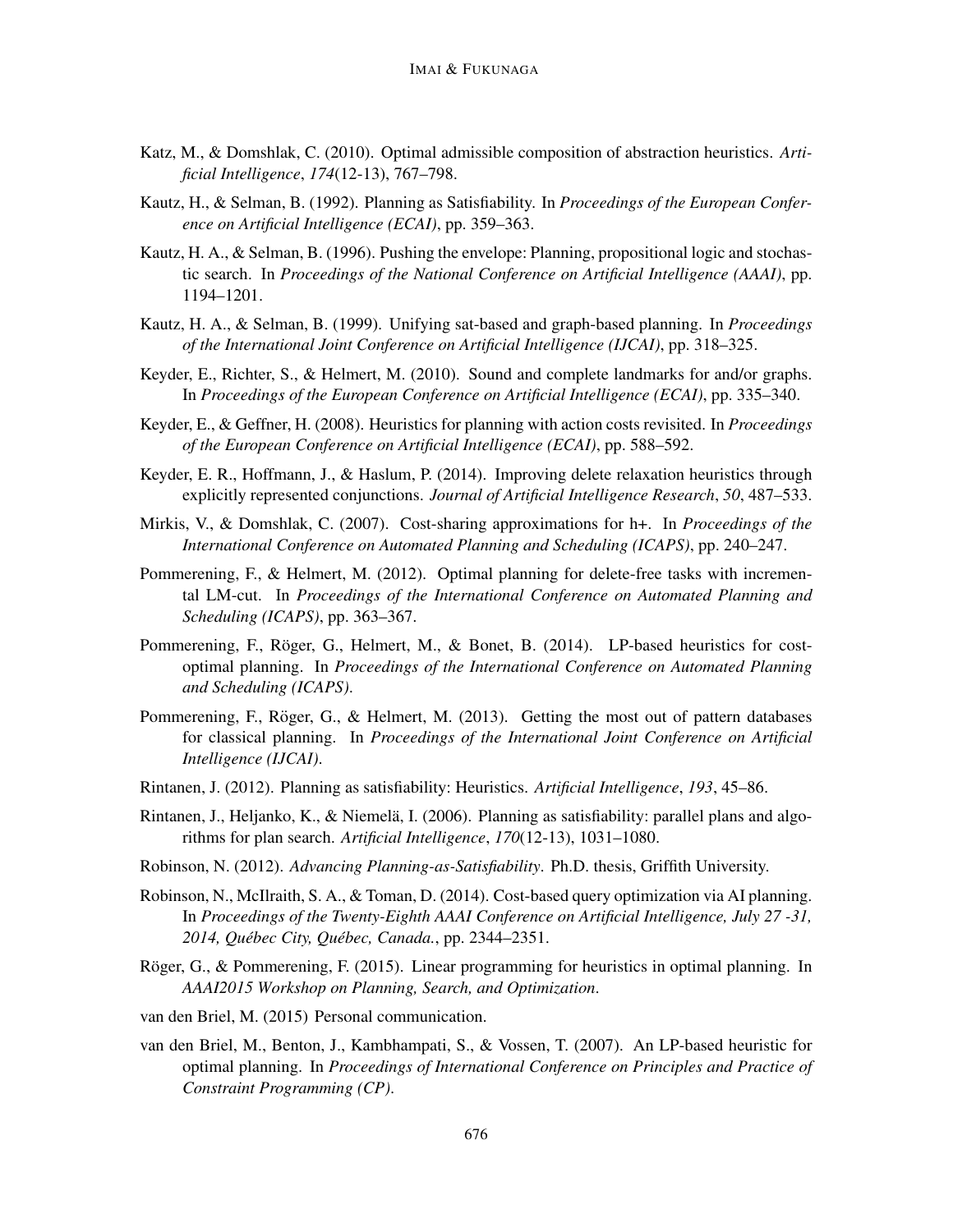- Katz, M., & Domshlak, C. (2010). Optimal admissible composition of abstraction heuristics. *Artificial Intelligence*, *174*(12-13), 767–798.
- Kautz, H., & Selman, B. (1992). Planning as Satisfiability. In *Proceedings of the European Conference on Artificial Intelligence (ECAI)*, pp. 359–363.
- Kautz, H. A., & Selman, B. (1996). Pushing the envelope: Planning, propositional logic and stochastic search. In *Proceedings of the National Conference on Artificial Intelligence (AAAI)*, pp. 1194–1201.
- Kautz, H. A., & Selman, B. (1999). Unifying sat-based and graph-based planning. In *Proceedings of the International Joint Conference on Artificial Intelligence (IJCAI)*, pp. 318–325.
- Keyder, E., Richter, S., & Helmert, M. (2010). Sound and complete landmarks for and/or graphs. In *Proceedings of the European Conference on Artificial Intelligence (ECAI)*, pp. 335–340.
- Keyder, E., & Geffner, H. (2008). Heuristics for planning with action costs revisited. In *Proceedings of the European Conference on Artificial Intelligence (ECAI)*, pp. 588–592.
- Keyder, E. R., Hoffmann, J., & Haslum, P. (2014). Improving delete relaxation heuristics through explicitly represented conjunctions. *Journal of Artificial Intelligence Research*, *50*, 487–533.
- Mirkis, V., & Domshlak, C. (2007). Cost-sharing approximations for h+. In *Proceedings of the International Conference on Automated Planning and Scheduling (ICAPS)*, pp. 240–247.
- Pommerening, F., & Helmert, M. (2012). Optimal planning for delete-free tasks with incremental LM-cut. In *Proceedings of the International Conference on Automated Planning and Scheduling (ICAPS)*, pp. 363–367.
- Pommerening, F., Röger, G., Helmert, M., & Bonet, B. (2014). LP-based heuristics for costoptimal planning. In *Proceedings of the International Conference on Automated Planning and Scheduling (ICAPS)*.
- Pommerening, F., Röger, G., & Helmert, M. (2013). Getting the most out of pattern databases for classical planning. In *Proceedings of the International Joint Conference on Artificial Intelligence (IJCAI)*.
- Rintanen, J. (2012). Planning as satisfiability: Heuristics. *Artificial Intelligence*, *193*, 45–86.
- Rintanen, J., Heljanko, K., & Niemela, I. (2006). Planning as satisfiability: parallel plans and algo- ¨ rithms for plan search. *Artificial Intelligence*, *170*(12-13), 1031–1080.
- Robinson, N. (2012). *Advancing Planning-as-Satisfiability*. Ph.D. thesis, Griffith University.
- Robinson, N., McIlraith, S. A., & Toman, D. (2014). Cost-based query optimization via AI planning. In *Proceedings of the Twenty-Eighth AAAI Conference on Artificial Intelligence, July 27 -31, 2014, Quebec City, Qu ´ ebec, Canada. ´* , pp. 2344–2351.
- Röger, G., & Pommerening, F. (2015). Linear programming for heuristics in optimal planning. In *AAAI2015 Workshop on Planning, Search, and Optimization*.
- van den Briel, M. (2015) Personal communication.
- van den Briel, M., Benton, J., Kambhampati, S., & Vossen, T. (2007). An LP-based heuristic for optimal planning. In *Proceedings of International Conference on Principles and Practice of Constraint Programming (CP)*.